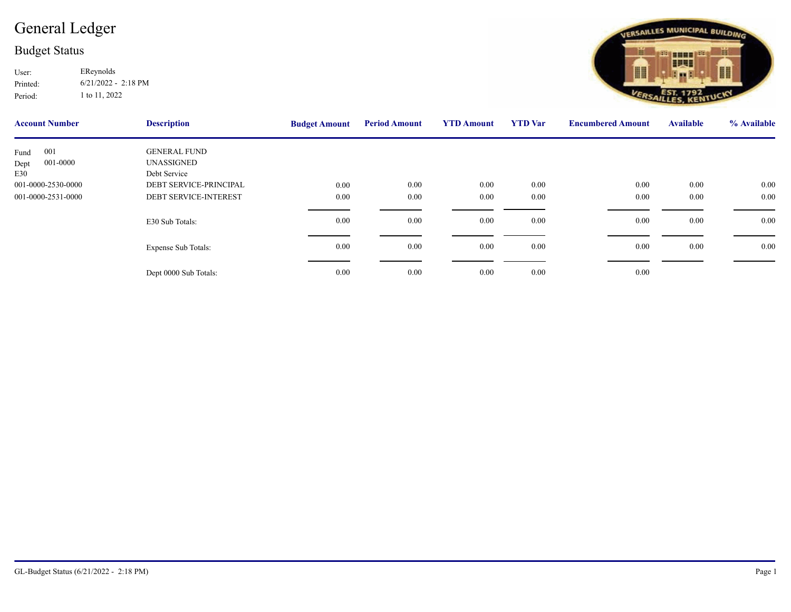## [General Ledger](http://ssi.NET?action=object&object=GLAccount&id=2022:001-0000-2531-0000)

## Budget Status

Printed: User: EReynolds 6/21/2022 - 2:18 PM Period: 1 to 11, 2022

| <b>Account Number</b> | <b>Description</b>           | <b>Budget Amount</b> | <b>Period Amount</b> | <b>YTD Amount</b> | <b>YTD</b> Var | <b>Encumbere</b> |
|-----------------------|------------------------------|----------------------|----------------------|-------------------|----------------|------------------|
| 001<br>Fund           | <b>GENERAL FUND</b>          |                      |                      |                   |                |                  |
| 001-0000<br>Dept      | UNASSIGNED                   |                      |                      |                   |                |                  |
| E30                   | Debt Service                 |                      |                      |                   |                |                  |
| 001-0000-2530-0000    | DEBT SERVICE-PRINCIPAL       | 0.00                 | 0.00                 | 0.00              | 0.00           |                  |
| 001-0000-2531-0000    | <b>DEBT SERVICE-INTEREST</b> | 0.00                 | $0.00\,$             | $0.00\,$          | 0.00           |                  |
|                       |                              |                      |                      |                   |                |                  |
|                       | E30 Sub Totals:              | 0.00                 | $0.00\,$             | $0.00\,$          | 0.00           |                  |
|                       |                              |                      |                      |                   |                |                  |
|                       | <b>Expense Sub Totals:</b>   | 0.00                 | $0.00\,$             | $0.00\,$          | 0.00           |                  |
|                       |                              |                      |                      |                   |                |                  |
|                       |                              |                      |                      |                   |                |                  |
|                       | Dept 0000 Sub Totals:        | 0.00                 | 0.00                 | $0.00\,$          | 0.00           |                  |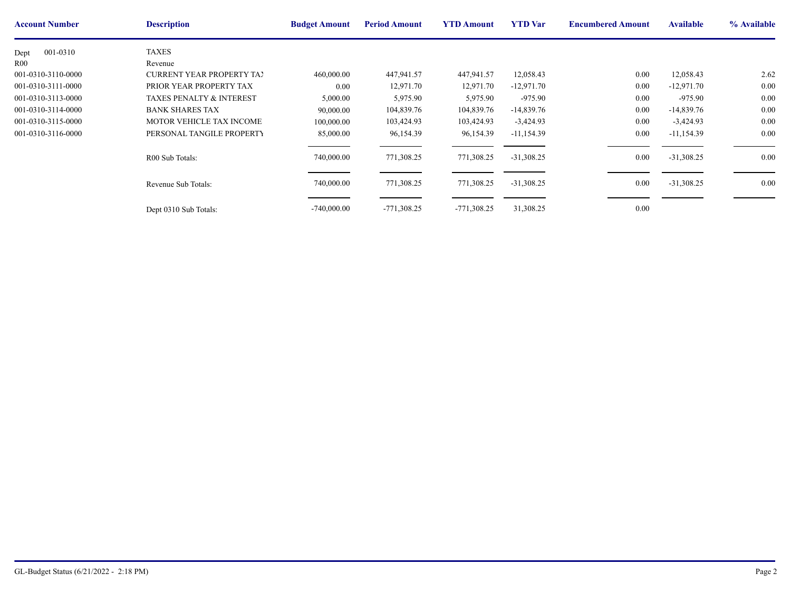| <b>Account Number</b> | <b>Description</b>                  | <b>Budget Amount</b> | <b>Period Amount</b> | <b>YTD Amount</b> | <b>YTD</b> Var | <b>Encumbere</b> |
|-----------------------|-------------------------------------|----------------------|----------------------|-------------------|----------------|------------------|
| 001-0310<br>Dept      | <b>TAXES</b>                        |                      |                      |                   |                |                  |
| R <sub>00</sub>       | Revenue                             |                      |                      |                   |                |                  |
| 001-0310-3110-0000    | <b>CURRENT YEAR PROPERTY TAY</b>    | 460,000.00           | 447,941.57           | 447,941.57        | 12,058.43      |                  |
| 001-0310-3111-0000    | PRIOR YEAR PROPERTY TAX             | 0.00                 | 12,971.70            | 12,971.70         | $-12,971.70$   |                  |
| 001-0310-3113-0000    | <b>TAXES PENALTY &amp; INTEREST</b> | 5,000.00             | 5,975.90             | 5,975.90          | $-975.90$      |                  |
| 001-0310-3114-0000    | <b>BANK SHARES TAX</b>              | 90,000.00            | 104,839.76           | 104,839.76        | $-14,839.76$   |                  |
| 001-0310-3115-0000    | MOTOR VEHICLE TAX INCOME            | 100,000.00           | 103,424.93           | 103,424.93        | $-3,424.93$    |                  |
| 001-0310-3116-0000    | PERSONAL TANGILE PROPERTY           | 85,000.00            | 96,154.39            | 96,154.39         | $-11,154.39$   |                  |
|                       | R00 Sub Totals:                     | 740,000.00           | 771,308.25           | 771,308.25        | $-31,308.25$   |                  |
|                       | Revenue Sub Totals:                 | 740,000.00           | 771,308.25           | 771,308.25        | $-31,308.25$   |                  |
|                       | Dept 0310 Sub Totals:               | $-740,000.00$        | $-771,308.25$        | $-771,308.25$     | 31,308.25      |                  |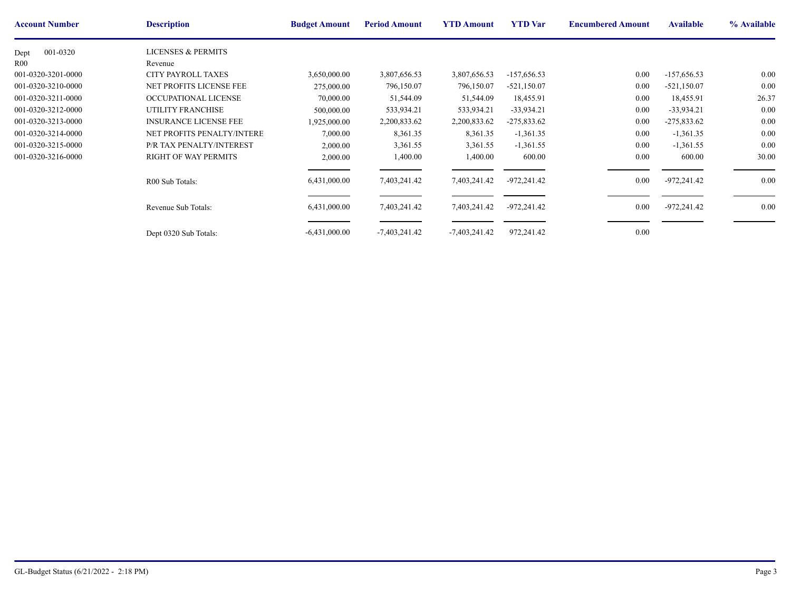| <b>Account Number</b> | <b>Description</b>            | <b>Budget Amount</b> | <b>Period Amount</b> | <b>YTD Amount</b> | <b>YTD</b> Var | <b>Encumbere</b> |
|-----------------------|-------------------------------|----------------------|----------------------|-------------------|----------------|------------------|
| 001-0320<br>Dept      | <b>LICENSES &amp; PERMITS</b> |                      |                      |                   |                |                  |
| R00                   | Revenue                       |                      |                      |                   |                |                  |
| 001-0320-3201-0000    | <b>CITY PAYROLL TAXES</b>     | 3,650,000.00         | 3,807,656.53         | 3,807,656.53      | $-157,656.53$  |                  |
| 001-0320-3210-0000    | NET PROFITS LICENSE FEE       | 275,000.00           | 796,150.07           | 796,150.07        | $-521,150.07$  |                  |
| 001-0320-3211-0000    | OCCUPATIONAL LICENSE          | 70,000.00            | 51,544.09            | 51,544.09         | 18,455.91      |                  |
| 001-0320-3212-0000    | <b>UTILITY FRANCHISE</b>      | 500,000.00           | 533,934.21           | 533,934.21        | $-33,934.21$   |                  |
| 001-0320-3213-0000    | <b>INSURANCE LICENSE FEE</b>  | 1,925,000.00         | 2,200,833.62         | 2,200,833.62      | $-275,833.62$  |                  |
| 001-0320-3214-0000    | NET PROFITS PENALTY/INTERE    | 7,000.00             | 8,361.35             | 8,361.35          | $-1,361.35$    |                  |
| 001-0320-3215-0000    | P/R TAX PENALTY/INTEREST      | 2,000.00             | 3,361.55             | 3,361.55          | $-1,361.55$    |                  |
| 001-0320-3216-0000    | <b>RIGHT OF WAY PERMITS</b>   | 2,000.00             | 1,400.00             | 1,400.00          | 600.00         |                  |
|                       | R00 Sub Totals:               | 6,431,000.00         | 7,403,241.42         | 7,403,241.42      | $-972,241.42$  |                  |
|                       | Revenue Sub Totals:           | 6,431,000.00         | 7,403,241.42         | 7,403,241.42      | $-972,241.42$  |                  |
|                       | Dept 0320 Sub Totals:         | $-6,431,000.00$      | $-7,403,241.42$      | $-7,403,241.42$   | 972,241.42     |                  |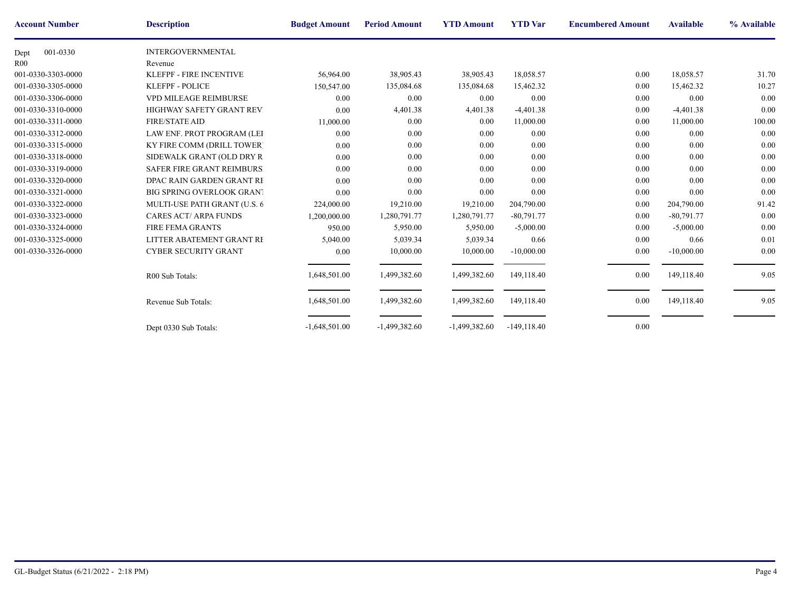| <b>Account Number</b> | <b>Description</b>                | <b>Budget Amount</b> | <b>Period Amount</b> | <b>YTD Amount</b> | <b>YTD</b> Var | <b>Encumbere</b> |
|-----------------------|-----------------------------------|----------------------|----------------------|-------------------|----------------|------------------|
| 001-0330<br>Dept      | <b>INTERGOVERNMENTAL</b>          |                      |                      |                   |                |                  |
| R <sub>00</sub>       | Revenue                           |                      |                      |                   |                |                  |
| 001-0330-3303-0000    | <b>KLEFPF - FIRE INCENTIVE</b>    | 56,964.00            | 38,905.43            | 38,905.43         | 18,058.57      |                  |
| 001-0330-3305-0000    | <b>KLEFPF - POLICE</b>            | 150,547.00           | 135,084.68           | 135,084.68        | 15,462.32      |                  |
| 001-0330-3306-0000    | <b>VPD MILEAGE REIMBURSE</b>      | 0.00                 | 0.00                 | 0.00              | 0.00           |                  |
| 001-0330-3310-0000    | HIGHWAY SAFETY GRANT REV.         | 0.00                 | 4,401.38             | 4,401.38          | $-4,401.38$    |                  |
| 001-0330-3311-0000    | <b>FIRE/STATE AID</b>             | 11,000.00            | 0.00                 | 0.00              | 11,000.00      |                  |
| 001-0330-3312-0000    | LAW ENF. PROT PROGRAM (LEI        | 0.00                 | 0.00                 | 0.00              | 0.00           |                  |
| 001-0330-3315-0000    | <b>KY FIRE COMM (DRILL TOWER)</b> | 0.00                 | 0.00                 | 0.00              | 0.00           |                  |
| 001-0330-3318-0000    | SIDEWALK GRANT (OLD DRY R)        | 0.00                 | 0.00                 | 0.00              | 0.00           |                  |
| 001-0330-3319-0000    | <b>SAFER FIRE GRANT REIMBURS</b>  | 0.00                 | 0.00                 | 0.00              | 0.00           |                  |
| 001-0330-3320-0000    | DPAC RAIN GARDEN GRANT RE         | 0.00                 | 0.00                 | 0.00              | 0.00           |                  |
| 001-0330-3321-0000    | <b>BIG SPRING OVERLOOK GRANT</b>  | 0.00                 | 0.00                 | 0.00              | 0.00           |                  |
| 001-0330-3322-0000    | MULTI-USE PATH GRANT (U.S. 6      | 224,000.00           | 19,210.00            | 19,210.00         | 204,790.00     |                  |
| 001-0330-3323-0000    | <b>CARES ACT/ ARPA FUNDS</b>      | 1,200,000.00         | 1,280,791.77         | 1,280,791.77      | $-80,791.77$   |                  |
| 001-0330-3324-0000    | <b>FIRE FEMA GRANTS</b>           | 950.00               | 5,950.00             | 5,950.00          | $-5,000.00$    |                  |
| 001-0330-3325-0000    | LITTER ABATEMENT GRANT RE         | 5,040.00             | 5,039.34             | 5,039.34          | 0.66           |                  |
| 001-0330-3326-0000    | <b>CYBER SECURITY GRANT</b>       | 0.00                 | 10,000.00            | 10,000.00         | $-10,000.00$   |                  |
|                       | R00 Sub Totals:                   | 1,648,501.00         | 1,499,382.60         | 1,499,382.60      | 149,118.40     |                  |
|                       | Revenue Sub Totals:               | 1,648,501.00         | 1,499,382.60         | 1,499,382.60      | 149,118.40     |                  |
|                       | Dept 0330 Sub Totals:             | $-1,648,501.00$      | $-1,499,382.60$      | $-1,499,382.60$   | $-149,118.40$  |                  |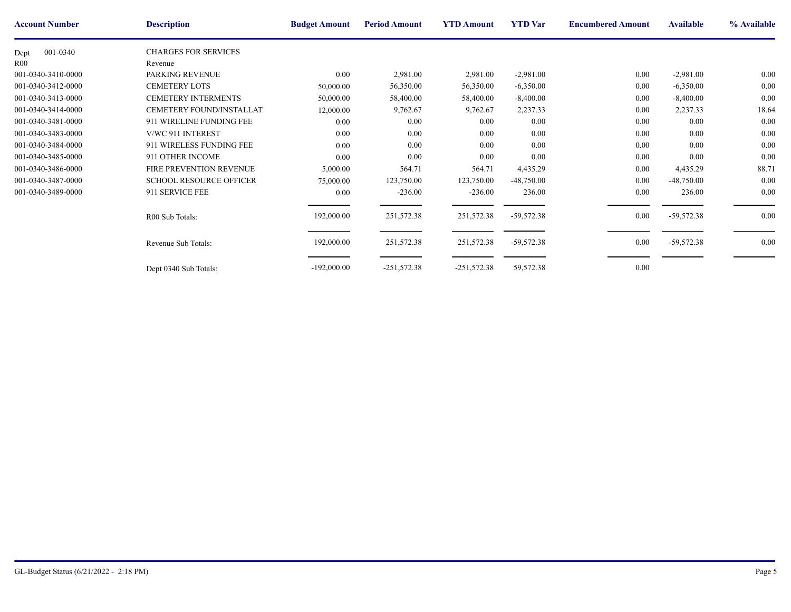| <b>Account Number</b> | <b>Description</b>             | <b>Budget Amount</b> | <b>Period Amount</b> | <b>YTD Amount</b> | <b>YTD</b> Var | <b>Encumbere</b> |
|-----------------------|--------------------------------|----------------------|----------------------|-------------------|----------------|------------------|
| 001-0340<br>Dept      | <b>CHARGES FOR SERVICES</b>    |                      |                      |                   |                |                  |
| R <sub>00</sub>       | Revenue                        |                      |                      |                   |                |                  |
| 001-0340-3410-0000    | PARKING REVENUE                | 0.00                 | 2,981.00             | 2,981.00          | $-2,981.00$    |                  |
| 001-0340-3412-0000    | <b>CEMETERY LOTS</b>           | 50,000.00            | 56,350.00            | 56,350.00         | $-6,350.00$    |                  |
| 001-0340-3413-0000    | <b>CEMETERY INTERMENTS</b>     | 50,000.00            | 58,400.00            | 58,400.00         | $-8,400.00$    |                  |
| 001-0340-3414-0000    | CEMETERY FOUND/INSTALLAT       | 12,000.00            | 9,762.67             | 9,762.67          | 2,237.33       |                  |
| 001-0340-3481-0000    | 911 WIRELINE FUNDING FEE       | 0.00                 | $0.00\,$             | 0.00              | 0.00           |                  |
| 001-0340-3483-0000    | V/WC 911 INTEREST              | 0.00                 | $0.00\,$             | 0.00              | 0.00           |                  |
| 001-0340-3484-0000    | 911 WIRELESS FUNDING FEE       | 0.00                 | $0.00\,$             | 0.00              | 0.00           |                  |
| 001-0340-3485-0000    | 911 OTHER INCOME               | 0.00                 | $0.00\,$             | 0.00              | $0.00\,$       |                  |
| 001-0340-3486-0000    | <b>FIRE PREVENTION REVENUE</b> | 5,000.00             | 564.71               | 564.71            | 4,435.29       |                  |
| 001-0340-3487-0000    | <b>SCHOOL RESOURCE OFFICER</b> | 75,000.00            | 123,750.00           | 123,750.00        | $-48,750.00$   |                  |
| 001-0340-3489-0000    | 911 SERVICE FEE                | 0.00                 | $-236.00$            | $-236.00$         | 236.00         |                  |
|                       | R00 Sub Totals:                | 192,000.00           | 251,572.38           | 251,572.38        | $-59,572.38$   |                  |
|                       | Revenue Sub Totals:            | 192,000.00           | 251,572.38           | 251,572.38        | $-59,572.38$   |                  |
|                       | Dept 0340 Sub Totals:          | $-192,000.00$        | $-251,572.38$        | $-251,572.38$     | 59,572.38      |                  |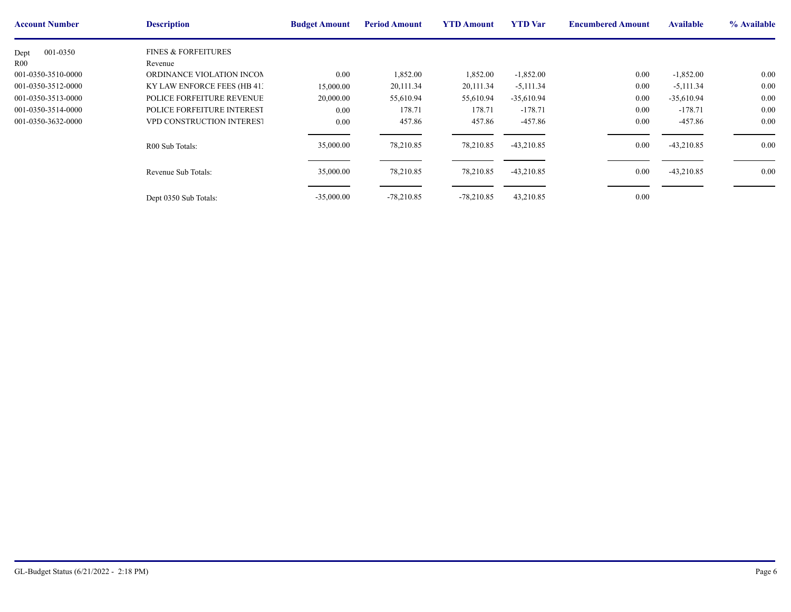| <b>Account Number</b> | <b>Description</b>             | <b>Budget Amount</b> | <b>Period Amount</b> | <b>YTD Amount</b> | <b>YTD</b> Var | <b>Encumbere</b> |
|-----------------------|--------------------------------|----------------------|----------------------|-------------------|----------------|------------------|
| 001-0350<br>Dept      | <b>FINES &amp; FORFEITURES</b> |                      |                      |                   |                |                  |
| <b>R00</b>            | Revenue                        |                      |                      |                   |                |                  |
| 001-0350-3510-0000    | ORDINANCE VIOLATION INCOM      | 0.00                 | 1,852.00             | 1,852.00          | $-1,852.00$    |                  |
| 001-0350-3512-0000    | KY LAW ENFORCE FEES (HB 41:    | 15,000.00            | 20,111.34            | 20,111.34         | $-5,111.34$    |                  |
| 001-0350-3513-0000    | POLICE FORFEITURE REVENUE      | 20,000.00            | 55,610.94            | 55,610.94         | $-35,610.94$   |                  |
| 001-0350-3514-0000    | POLICE FORFEITURE INTEREST     | 0.00                 | 178.71               | 178.71            | $-178.71$      |                  |
| 001-0350-3632-0000    | VPD CONSTRUCTION INTEREST      | 0.00                 | 457.86               | 457.86            | -457.86        |                  |
|                       | R00 Sub Totals:                | 35,000.00            | 78,210.85            | 78,210.85         | $-43,210.85$   |                  |
|                       | Revenue Sub Totals:            | 35,000.00            | 78,210.85            | 78,210.85         | $-43,210.85$   |                  |
|                       | Dept 0350 Sub Totals:          | $-35,000.00$         | $-78,210.85$         | $-78,210.85$      | 43,210.85      |                  |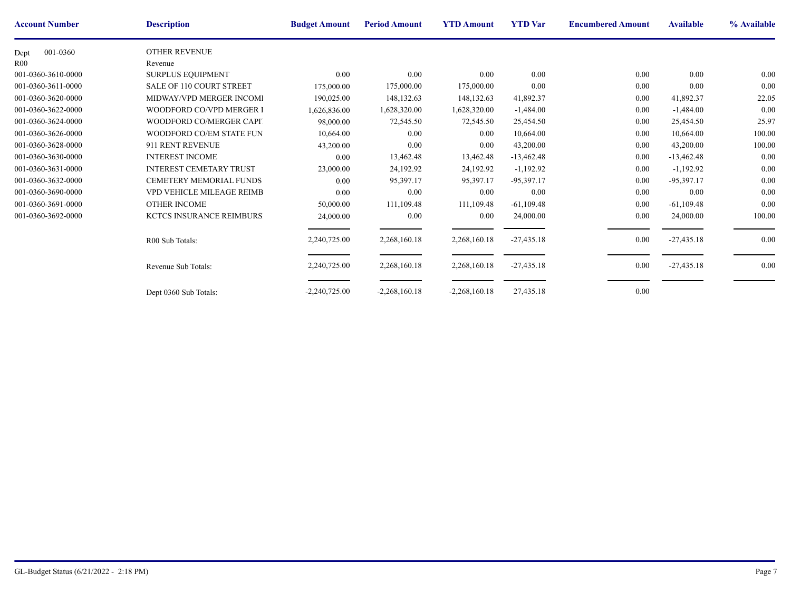| <b>Account Number</b> | <b>Description</b>              | <b>Budget Amount</b> | <b>Period Amount</b> | <b>YTD Amount</b> | <b>YTD</b> Var | <b>Encumbere</b> |
|-----------------------|---------------------------------|----------------------|----------------------|-------------------|----------------|------------------|
| 001-0360<br>Dept      | OTHER REVENUE                   |                      |                      |                   |                |                  |
| R <sub>00</sub>       | Revenue                         |                      |                      |                   |                |                  |
| 001-0360-3610-0000    | <b>SURPLUS EQUIPMENT</b>        | 0.00                 | 0.00                 | 0.00              | 0.00           |                  |
| 001-0360-3611-0000    | <b>SALE OF 110 COURT STREET</b> | 175,000.00           | 175,000.00           | 175,000.00        | 0.00           |                  |
| 001-0360-3620-0000    | MIDWAY/VPD MERGER INCOMI        | 190,025.00           | 148, 132. 63         | 148,132.63        | 41,892.37      |                  |
| 001-0360-3622-0000    | WOODFORD CO/VPD MERGER I        | 1,626,836.00         | 1,628,320.00         | 1,628,320.00      | $-1,484.00$    |                  |
| 001-0360-3624-0000    | WOODFORD CO/MERGER CAPIT        | 98,000.00            | 72,545.50            | 72,545.50         | 25,454.50      |                  |
| 001-0360-3626-0000    | WOODFORD CO/EM STATE FUN        | 10,664.00            | 0.00                 | 0.00              | 10,664.00      |                  |
| 001-0360-3628-0000    | 911 RENT REVENUE                | 43,200.00            | 0.00                 | 0.00              | 43,200.00      |                  |
| 001-0360-3630-0000    | <b>INTEREST INCOME</b>          | 0.00                 | 13,462.48            | 13,462.48         | $-13,462.48$   |                  |
| 001-0360-3631-0000    | <b>INTEREST CEMETARY TRUST</b>  | 23,000.00            | 24,192.92            | 24,192.92         | $-1,192.92$    |                  |
| 001-0360-3632-0000    | CEMETERY MEMORIAL FUNDS         | 0.00                 | 95,397.17            | 95,397.17         | -95,397.17     |                  |
| 001-0360-3690-0000    | VPD VEHICLE MILEAGE REIMB       | 0.00                 | 0.00                 | 0.00              | 0.00           |                  |
| 001-0360-3691-0000    | <b>OTHER INCOME</b>             | 50,000.00            | 111,109.48           | 111,109.48        | $-61,109.48$   |                  |
| 001-0360-3692-0000    | <b>KCTCS INSURANCE REIMBURS</b> | 24,000.00            | $0.00\,$             | 0.00              | 24,000.00      |                  |
|                       | R00 Sub Totals:                 | 2,240,725.00         | 2,268,160.18         | 2,268,160.18      | $-27,435.18$   |                  |
|                       | Revenue Sub Totals:             | 2,240,725.00         | 2,268,160.18         | 2,268,160.18      | $-27,435.18$   |                  |
|                       | Dept 0360 Sub Totals:           | $-2,240,725.00$      | $-2,268,160.18$      | $-2,268,160.18$   | 27,435.18      |                  |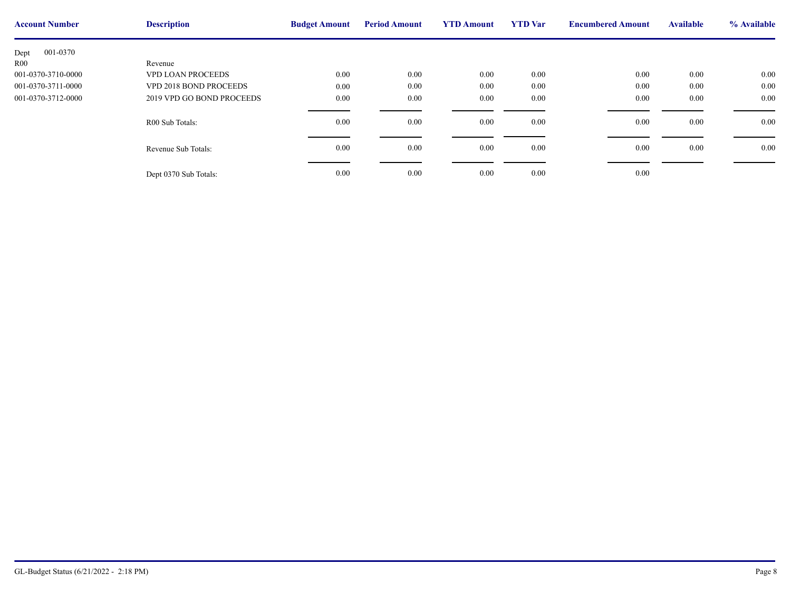| <b>Account Number</b> | <b>Description</b>        | <b>Budget Amount</b> | <b>Period Amount</b> | <b>YTD Amount</b> | <b>YTD</b> Var | <b>Encumbere</b> |
|-----------------------|---------------------------|----------------------|----------------------|-------------------|----------------|------------------|
| 001-0370<br>Dept      |                           |                      |                      |                   |                |                  |
| R00                   | Revenue                   |                      |                      |                   |                |                  |
| 001-0370-3710-0000    | <b>VPD LOAN PROCEEDS</b>  | 0.00                 | $0.00\,$             | 0.00              | 0.00           |                  |
| 001-0370-3711-0000    | VPD 2018 BOND PROCEEDS    | 0.00                 | $0.00\,$             | 0.00              | 0.00           |                  |
| 001-0370-3712-0000    | 2019 VPD GO BOND PROCEEDS | 0.00                 | $0.00\,$             | 0.00              | 0.00           |                  |
|                       | R00 Sub Totals:           | 0.00                 | $0.00\,$             | 0.00              | 0.00           |                  |
|                       | Revenue Sub Totals:       | 0.00                 | $0.00\,$             | 0.00              | 0.00           |                  |
|                       | Dept 0370 Sub Totals:     | 0.00                 | $0.00\,$             | 0.00              | 0.00           |                  |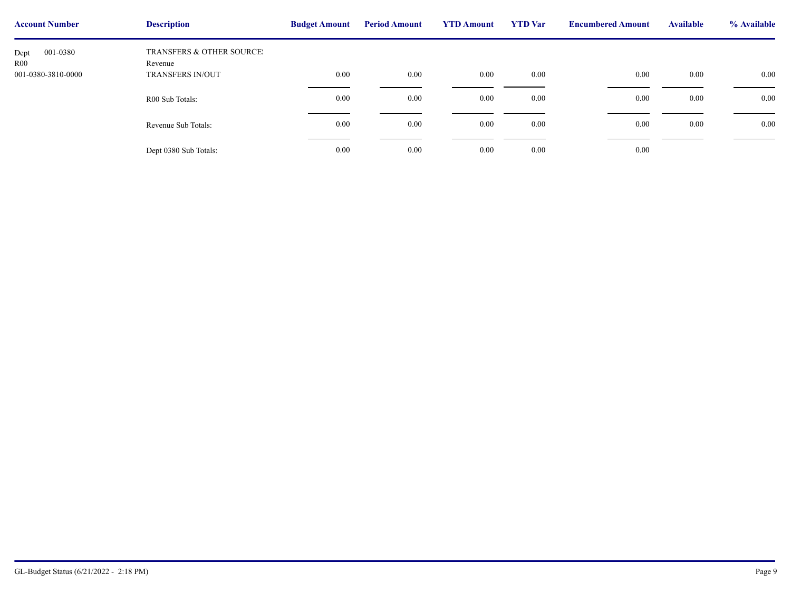| <b>Account Number</b>   | <b>Description</b>                   | <b>Budget Amount</b> | <b>Period Amount</b> | <b>YTD Amount</b> | <b>YTD</b> Var | <b>Encumbere</b> |
|-------------------------|--------------------------------------|----------------------|----------------------|-------------------|----------------|------------------|
| 001-0380<br>Dept<br>R00 | TRANSFERS & OTHER SOURCE!<br>Revenue |                      |                      |                   |                |                  |
| 001-0380-3810-0000      | <b>TRANSFERS IN/OUT</b>              | 0.00                 | $0.00\,$             | 0.00              | 0.00           |                  |
|                         | R00 Sub Totals:                      | 0.00                 | $0.00\,$             | 0.00              | 0.00           |                  |
|                         | Revenue Sub Totals:                  | 0.00                 | $0.00\,$             | 0.00              | 0.00           |                  |
|                         | Dept 0380 Sub Totals:                | 0.00                 | $0.00\,$             | 0.00              | 0.00           |                  |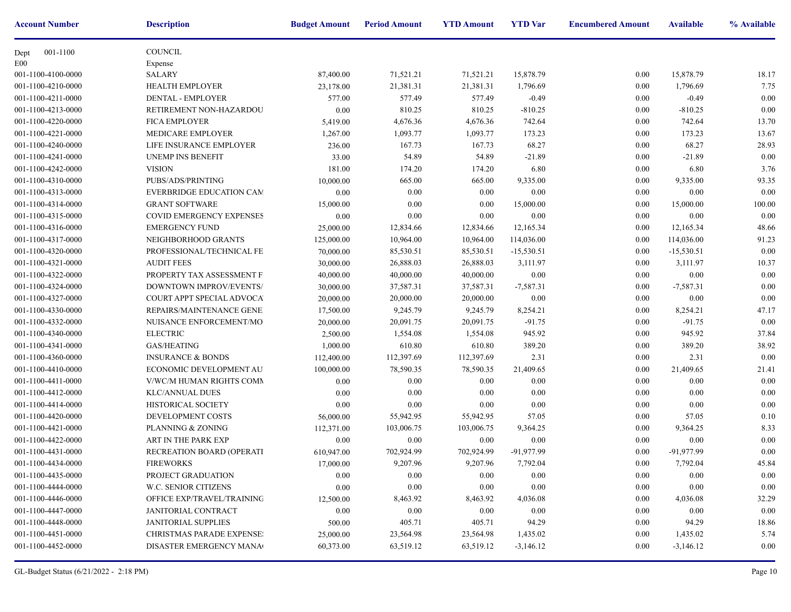| <b>Account Number</b> | <b>Description</b>               | <b>Budget Amount</b> | <b>Period Amount</b> | <b>YTD Amount</b> | <b>YTD</b> Var | <b>Encumbere</b> |
|-----------------------|----------------------------------|----------------------|----------------------|-------------------|----------------|------------------|
| 001-1100<br>Dept      | <b>COUNCIL</b>                   |                      |                      |                   |                |                  |
| E00                   | Expense                          |                      |                      |                   |                |                  |
| 001-1100-4100-0000    | <b>SALARY</b>                    | 87,400.00            | 71,521.21            | 71,521.21         | 15,878.79      |                  |
| 001-1100-4210-0000    | HEALTH EMPLOYER                  | 23,178.00            | 21,381.31            | 21,381.31         | 1,796.69       |                  |
| 001-1100-4211-0000    | DENTAL - EMPLOYER                | 577.00               | 577.49               | 577.49            | $-0.49$        |                  |
| 001-1100-4213-0000    | RETIREMENT NON-HAZARDOU          | 0.00                 | 810.25               | 810.25            | $-810.25$      |                  |
| 001-1100-4220-0000    | <b>FICA EMPLOYER</b>             | 5,419.00             | 4,676.36             | 4,676.36          | 742.64         |                  |
| 001-1100-4221-0000    | <b>MEDICARE EMPLOYER</b>         | 1,267.00             | 1,093.77             | 1,093.77          | 173.23         |                  |
| 001-1100-4240-0000    | LIFE INSURANCE EMPLOYER          | 236.00               | 167.73               | 167.73            | 68.27          |                  |
| 001-1100-4241-0000    | UNEMP INS BENEFIT                | 33.00                | 54.89                | 54.89             | $-21.89$       |                  |
| 001-1100-4242-0000    | <b>VISION</b>                    | 181.00               | 174.20               | 174.20            | 6.80           |                  |
| 001-1100-4310-0000    | PUBS/ADS/PRINTING                | 10,000.00            | 665.00               | 665.00            | 9,335.00       |                  |
| 001-1100-4313-0000    | <b>EVERBRIDGE EDUCATION CAM</b>  | 0.00                 | 0.00                 | 0.00              | 0.00           |                  |
| 001-1100-4314-0000    | <b>GRANT SOFTWARE</b>            | 15,000.00            | 0.00                 | 0.00              | 15,000.00      |                  |
| 001-1100-4315-0000    | COVID EMERGENCY EXPENSES         | 0.00                 | 0.00                 | 0.00              | 0.00           |                  |
| 001-1100-4316-0000    | <b>EMERGENCY FUND</b>            | 25,000.00            | 12,834.66            | 12,834.66         | 12,165.34      |                  |
| 001-1100-4317-0000    | NEIGHBORHOOD GRANTS              | 125,000.00           | 10,964.00            | 10,964.00         | 114,036.00     |                  |
| 001-1100-4320-0000    | PROFESSIONAL/TECHNICAL FE        | 70,000.00            | 85,530.51            | 85,530.51         | $-15,530.51$   |                  |
| 001-1100-4321-0000    | <b>AUDIT FEES</b>                | 30,000.00            | 26,888.03            | 26,888.03         | 3,111.97       |                  |
| 001-1100-4322-0000    | PROPERTY TAX ASSESSMENT F.       | 40,000.00            | 40,000.00            | 40,000.00         | 0.00           |                  |
| 001-1100-4324-0000    | DOWNTOWN IMPROV/EVENTS/          | 30,000.00            | 37,587.31            | 37,587.31         | $-7,587.31$    |                  |
| 001-1100-4327-0000    | COURT APPT SPECIAL ADVOCA        | 20,000.00            | 20,000.00            | 20,000.00         | 0.00           |                  |
| 001-1100-4330-0000    | REPAIRS/MAINTENANCE GENE         | 17,500.00            | 9,245.79             | 9,245.79          | 8,254.21       |                  |
| 001-1100-4332-0000    | NUISANCE ENFORCEMENT/MO          | 20,000.00            | 20,091.75            | 20,091.75         | $-91.75$       |                  |
| 001-1100-4340-0000    | <b>ELECTRIC</b>                  | 2,500.00             | 1,554.08             | 1,554.08          | 945.92         |                  |
| 001-1100-4341-0000    | <b>GAS/HEATING</b>               | 1,000.00             | 610.80               | 610.80            | 389.20         |                  |
| 001-1100-4360-0000    | <b>INSURANCE &amp; BONDS</b>     | 112,400.00           | 112,397.69           | 112,397.69        | 2.31           |                  |
| 001-1100-4410-0000    | ECONOMIC DEVELOPMENT AU          | 100,000.00           | 78,590.35            | 78,590.35         | 21,409.65      |                  |
| 001-1100-4411-0000    | V/WC/M HUMAN RIGHTS COMN         | 0.00                 | 0.00                 | 0.00              | 0.00           |                  |
| 001-1100-4412-0000    | <b>KLC/ANNUAL DUES</b>           | 0.00                 | 0.00                 | 0.00              | 0.00           |                  |
| 001-1100-4414-0000    | <b>HISTORICAL SOCIETY</b>        | 0.00                 | 0.00                 | 0.00              | 0.00           |                  |
| 001-1100-4420-0000    | DEVELOPMENT COSTS                | 56,000.00            | 55,942.95            | 55,942.95         | 57.05          |                  |
| 001-1100-4421-0000    | PLANNING & ZONING                | 112,371.00           | 103,006.75           | 103,006.75        | 9,364.25       |                  |
| 001-1100-4422-0000    | ART IN THE PARK EXP              | 0.00                 | 0.00                 | 0.00              | 0.00           |                  |
| 001-1100-4431-0000    | RECREATION BOARD (OPERATI        | 610,947.00           | 702,924.99           | 702,924.99        | -91,977.99     |                  |
| 001-1100-4434-0000    | FIREWORKS                        | 17,000.00            | 9,207.96             | 9,207.96          | 7,792.04       |                  |
| 001-1100-4435-0000    | PROJECT GRADUATION               | 0.00                 | $0.00\,$             | $0.00\,$          | 0.00           |                  |
| 001-1100-4444-0000    | W.C. SENIOR CITIZENS             | 0.00                 | 0.00                 | $0.00\,$          | 0.00           |                  |
| 001-1100-4446-0000    | OFFICE EXP/TRAVEL/TRAINING       | 12,500.00            | 8,463.92             | 8,463.92          | 4,036.08       |                  |
| 001-1100-4447-0000    | JANITORIAL CONTRACT              | 0.00                 | $0.00\,$             | $0.00\,$          | $0.00\,$       |                  |
| 001-1100-4448-0000    | <b>JANITORIAL SUPPLIES</b>       | 500.00               | 405.71               | 405.71            | 94.29          |                  |
| 001-1100-4451-0000    | <b>CHRISTMAS PARADE EXPENSE:</b> | 25,000.00            | 23,564.98            | 23,564.98         | 1,435.02       |                  |
| 001-1100-4452-0000    | DISASTER EMERGENCY MANA          | 60,373.00            | 63,519.12            | 63,519.12         | $-3,146.12$    |                  |
|                       |                                  |                      |                      |                   |                |                  |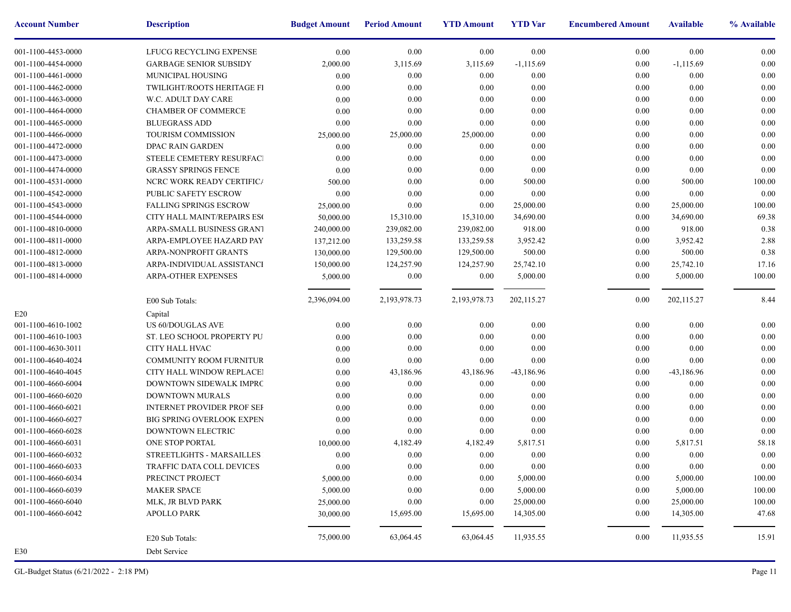| <b>Account Number</b> | <b>Description</b>                | <b>Budget Amount</b> | <b>Period Amount</b> | <b>YTD Amount</b> | <b>YTD</b> Var | <b>Encumbere</b> |
|-----------------------|-----------------------------------|----------------------|----------------------|-------------------|----------------|------------------|
| 001-1100-4453-0000    | LFUCG RECYCLING EXPENSE           | 0.00                 | 0.00                 | 0.00              | 0.00           |                  |
| 001-1100-4454-0000    | <b>GARBAGE SENIOR SUBSIDY</b>     | 2,000.00             | 3,115.69             | 3,115.69          | $-1,115.69$    |                  |
| 001-1100-4461-0000    | MUNICIPAL HOUSING                 | $0.00\,$             | 0.00                 | 0.00              | 0.00           |                  |
| 001-1100-4462-0000    | TWILIGHT/ROOTS HERITAGE FI        | $0.00\,$             | 0.00                 | 0.00              | 0.00           |                  |
| 001-1100-4463-0000    | W.C. ADULT DAY CARE               | 0.00                 | 0.00                 | 0.00              | 0.00           |                  |
| 001-1100-4464-0000    | <b>CHAMBER OF COMMERCE</b>        | 0.00                 | 0.00                 | 0.00              | 0.00           |                  |
| 001-1100-4465-0000    | <b>BLUEGRASS ADD</b>              | 0.00                 | 0.00                 | 0.00              | 0.00           |                  |
| 001-1100-4466-0000    | <b>TOURISM COMMISSION</b>         | 25,000.00            | 25,000.00            | 25,000.00         | 0.00           |                  |
| 001-1100-4472-0000    | DPAC RAIN GARDEN                  | 0.00                 | 0.00                 | 0.00              | 0.00           |                  |
| 001-1100-4473-0000    | STEELE CEMETERY RESURFACI         | 0.00                 | 0.00                 | 0.00              | 0.00           |                  |
| 001-1100-4474-0000    | <b>GRASSY SPRINGS FENCE</b>       | 0.00                 | 0.00                 | 0.00              | 0.00           |                  |
| 001-1100-4531-0000    | NCRC WORK READY CERTIFICA         | 500.00               | 0.00                 | 0.00              | 500.00         |                  |
| 001-1100-4542-0000    | PUBLIC SAFETY ESCROW              | 0.00                 | 0.00                 | 0.00              | 0.00           |                  |
| 001-1100-4543-0000    | <b>FALLING SPRINGS ESCROW</b>     | 25,000.00            | 0.00                 | 0.00              | 25,000.00      |                  |
| 001-1100-4544-0000    | CITY HALL MAINT/REPAIRS ESC       | 50,000.00            | 15,310.00            | 15,310.00         | 34,690.00      |                  |
| 001-1100-4810-0000    | ARPA-SMALL BUSINESS GRANT         | 240,000.00           | 239,082.00           | 239,082.00        | 918.00         |                  |
| 001-1100-4811-0000    | ARPA-EMPLOYEE HAZARD PAY          | 137,212.00           | 133,259.58           | 133,259.58        | 3,952.42       |                  |
| 001-1100-4812-0000    | ARPA-NONPROFIT GRANTS             | 130,000.00           | 129,500.00           | 129,500.00        | 500.00         |                  |
| 001-1100-4813-0000    | ARPA-INDIVIDUAL ASSISTANCI        | 150,000.00           | 124,257.90           | 124,257.90        | 25,742.10      |                  |
| 001-1100-4814-0000    | ARPA-OTHER EXPENSES               | 5,000.00             | 0.00                 | 0.00              | 5,000.00       |                  |
|                       |                                   |                      |                      |                   |                |                  |
|                       | E00 Sub Totals:                   | 2,396,094.00         | 2,193,978.73         | 2,193,978.73      | 202,115.27     |                  |
| E20                   | Capital                           |                      |                      |                   |                |                  |
| 001-1100-4610-1002    | US 60/DOUGLAS AVE                 | 0.00                 | 0.00                 | 0.00              | 0.00           |                  |
| 001-1100-4610-1003    | ST. LEO SCHOOL PROPERTY PU        | 0.00                 | 0.00                 | 0.00              | 0.00           |                  |
| 001-1100-4630-3011    | CITY HALL HVAC                    | 0.00                 | 0.00                 | 0.00              | 0.00           |                  |
| 001-1100-4640-4024    | COMMUNITY ROOM FURNITUR           | 0.00                 | 0.00                 | 0.00              | 0.00           |                  |
| 001-1100-4640-4045    | CITY HALL WINDOW REPLACE!         | $0.00\,$             | 43,186.96            | 43,186.96         | $-43,186.96$   |                  |
| 001-1100-4660-6004    | DOWNTOWN SIDEWALK IMPRC           | 0.00                 | 0.00                 | 0.00              | 0.00           |                  |
| 001-1100-4660-6020    | DOWNTOWN MURALS                   | 0.00                 | 0.00                 | 0.00              | 0.00           |                  |
| 001-1100-4660-6021    | <b>INTERNET PROVIDER PROF SEF</b> | 0.00                 | 0.00                 | 0.00              | 0.00           |                  |
| 001-1100-4660-6027    | <b>BIG SPRING OVERLOOK EXPEN</b>  | 0.00                 | 0.00                 | 0.00              | 0.00           |                  |
| 001-1100-4660-6028    | <b>DOWNTOWN ELECTRIC</b>          | 0.00                 | 0.00                 | $0.00\,$          | 0.00           |                  |
| 001-1100-4660-6031    | ONE STOP PORTAL                   | 10,000.00            | 4,182.49             | 4,182.49          | 5,817.51       |                  |
| 001-1100-4660-6032    | STREETLIGHTS - MARSAILLES         | 0.00                 | 0.00                 | 0.00              | 0.00           |                  |
| 001-1100-4660-6033    | TRAFFIC DATA COLL DEVICES         | 0.00                 | $0.00\,$             | $0.00\,$          | $0.00\,$       |                  |
| 001-1100-4660-6034    | PRECINCT PROJECT                  | 5,000.00             | 0.00                 | 0.00              | 5,000.00       |                  |
| 001-1100-4660-6039    | <b>MAKER SPACE</b>                | 5,000.00             | $0.00\,$             | 0.00              | 5,000.00       |                  |
| 001-1100-4660-6040    | MLK, JR BLVD PARK                 | 25,000.00            | 0.00                 | 0.00              | 25,000.00      |                  |
| 001-1100-4660-6042    | <b>APOLLO PARK</b>                | 30,000.00            | 15,695.00            | 15,695.00         | 14,305.00      |                  |
|                       |                                   |                      |                      |                   |                |                  |
|                       | E20 Sub Totals:                   | 75,000.00            | 63,064.45            | 63,064.45         | 11,935.55      |                  |
| E30                   | Debt Service                      |                      |                      |                   |                |                  |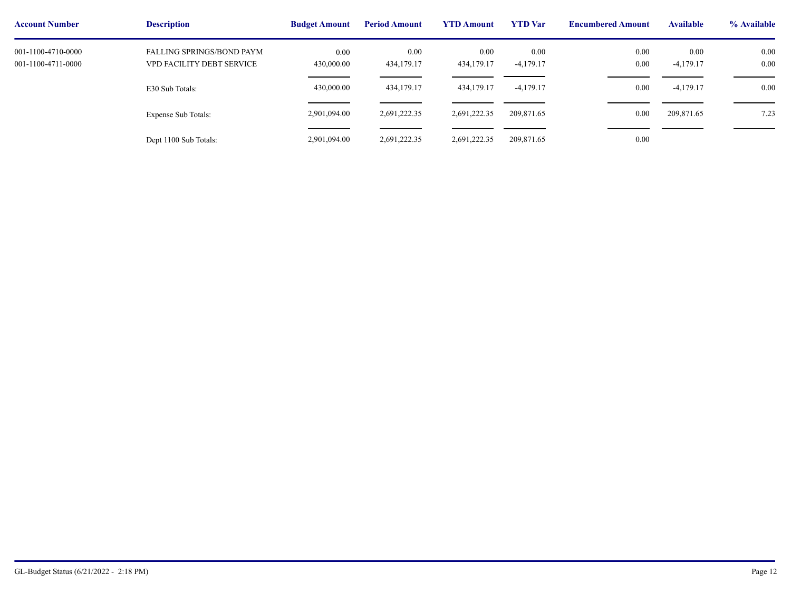| <b>Account Number</b>                    | <b>Description</b>                                     | <b>Budget Amount</b> | <b>Period Amount</b> | <b>YTD Amount</b>  | <b>YTD</b> Var      | <b>Encumbere</b> |
|------------------------------------------|--------------------------------------------------------|----------------------|----------------------|--------------------|---------------------|------------------|
| 001-1100-4710-0000<br>001-1100-4711-0000 | FALLING SPRINGS/BOND PAYM<br>VPD FACILITY DEBT SERVICE | 0.00<br>430,000.00   | 0.00<br>434,179.17   | 0.00<br>434,179.17 | 0.00<br>$-4,179.17$ |                  |
|                                          |                                                        | 430,000.00           | 434,179.17           | 434,179.17         | $-4,179.17$         |                  |
|                                          | E30 Sub Totals:                                        |                      |                      |                    |                     |                  |
|                                          | Expense Sub Totals:                                    | 2,901,094.00         | 2,691,222.35         | 2,691,222.35       | 209,871.65          |                  |
|                                          | Dept 1100 Sub Totals:                                  | 2,901,094.00         | 2,691,222.35         | 2,691,222.35       | 209,871.65          |                  |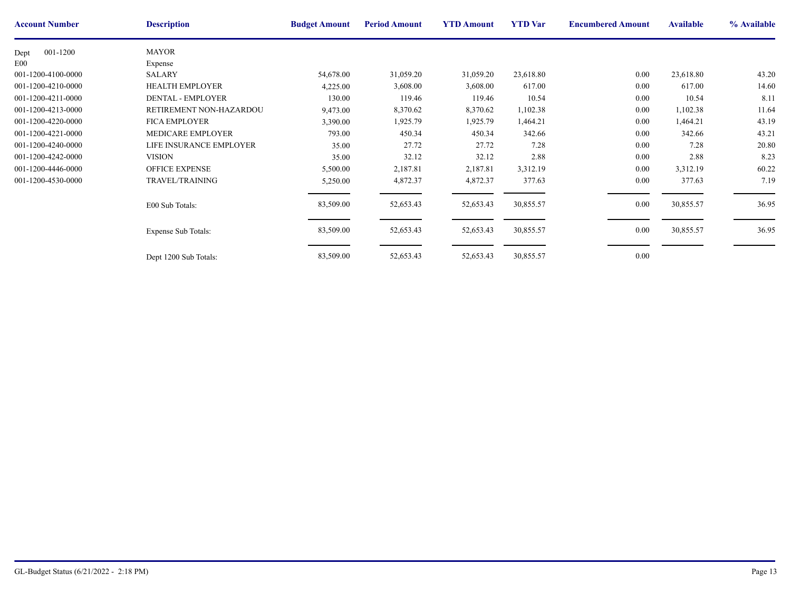| <b>Account Number</b> | <b>Description</b>         | <b>Budget Amount</b> | <b>Period Amount</b> | <b>YTD Amount</b> | <b>YTD</b> Var | <b>Encumbere</b> |
|-----------------------|----------------------------|----------------------|----------------------|-------------------|----------------|------------------|
| 001-1200<br>Dept      | <b>MAYOR</b>               |                      |                      |                   |                |                  |
| E <sub>00</sub>       | Expense                    |                      |                      |                   |                |                  |
| 001-1200-4100-0000    | <b>SALARY</b>              | 54,678.00            | 31,059.20            | 31,059.20         | 23,618.80      |                  |
| 001-1200-4210-0000    | <b>HEALTH EMPLOYER</b>     | 4,225.00             | 3,608.00             | 3,608.00          | 617.00         |                  |
| 001-1200-4211-0000    | <b>DENTAL - EMPLOYER</b>   | 130.00               | 119.46               | 119.46            | 10.54          |                  |
| 001-1200-4213-0000    | RETIREMENT NON-HAZARDOU    | 9,473.00             | 8,370.62             | 8,370.62          | 1,102.38       |                  |
| 001-1200-4220-0000    | <b>FICA EMPLOYER</b>       | 3,390.00             | 1,925.79             | 1,925.79          | 1,464.21       |                  |
| 001-1200-4221-0000    | MEDICARE EMPLOYER          | 793.00               | 450.34               | 450.34            | 342.66         |                  |
| 001-1200-4240-0000    | LIFE INSURANCE EMPLOYER    | 35.00                | 27.72                | 27.72             | 7.28           |                  |
| 001-1200-4242-0000    | <b>VISION</b>              | 35.00                | 32.12                | 32.12             | 2.88           |                  |
| 001-1200-4446-0000    | <b>OFFICE EXPENSE</b>      | 5,500.00             | 2,187.81             | 2,187.81          | 3,312.19       |                  |
| 001-1200-4530-0000    | TRAVEL/TRAINING            | 5,250.00             | 4,872.37             | 4,872.37          | 377.63         |                  |
|                       | E00 Sub Totals:            | 83,509.00            | 52,653.43            | 52,653.43         | 30,855.57      |                  |
|                       | <b>Expense Sub Totals:</b> | 83,509.00            | 52,653.43            | 52,653.43         | 30,855.57      |                  |
|                       | Dept 1200 Sub Totals:      | 83,509.00            | 52,653.43            | 52,653.43         | 30,855.57      |                  |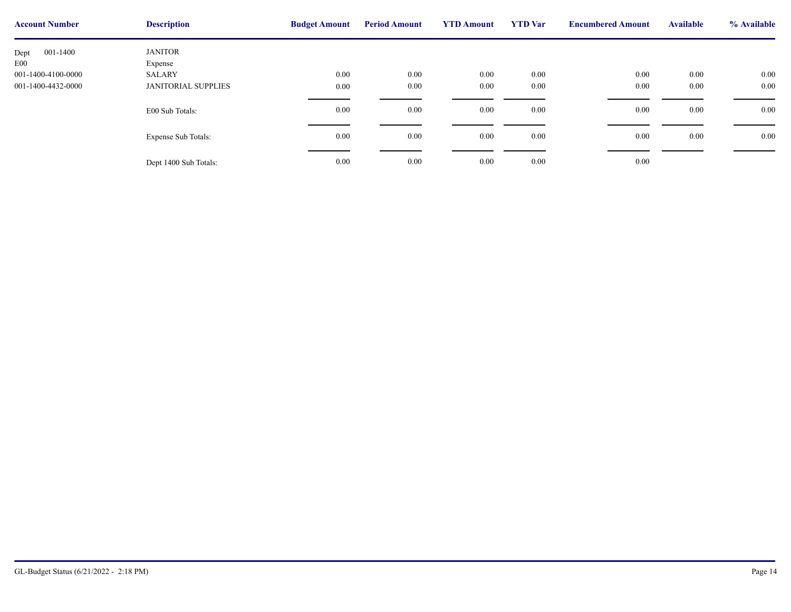| <b>Account Number</b> | <b>Description</b>         | <b>Budget Amount</b> | <b>Period Amount</b> | <b>YTD Amount</b> | <b>YTD</b> Var | <b>Encumbere</b> |
|-----------------------|----------------------------|----------------------|----------------------|-------------------|----------------|------------------|
| 001-1400<br>Dept      | <b>JANITOR</b>             |                      |                      |                   |                |                  |
| E <sub>00</sub>       | Expense                    |                      |                      |                   |                |                  |
| 001-1400-4100-0000    | SALARY                     | 0.00                 | 0.00                 | $0.00\,$          | $0.00\,$       |                  |
| 001-1400-4432-0000    | <b>JANITORIAL SUPPLIES</b> | 0.00                 | 0.00                 | $0.00\,$          | 0.00           |                  |
|                       |                            |                      |                      |                   |                |                  |
|                       | E00 Sub Totals:            | 0.00                 | 0.00                 | $0.00\,$          | $0.00\,$       |                  |
|                       |                            |                      |                      |                   |                |                  |
|                       | <b>Expense Sub Totals:</b> | 0.00                 | 0.00                 | $0.00\,$          | 0.00           |                  |
|                       |                            |                      |                      |                   |                |                  |
|                       |                            |                      |                      |                   |                |                  |
|                       | Dept 1400 Sub Totals:      | 0.00                 | 0.00                 | $0.00\,$          | $0.00\,$       |                  |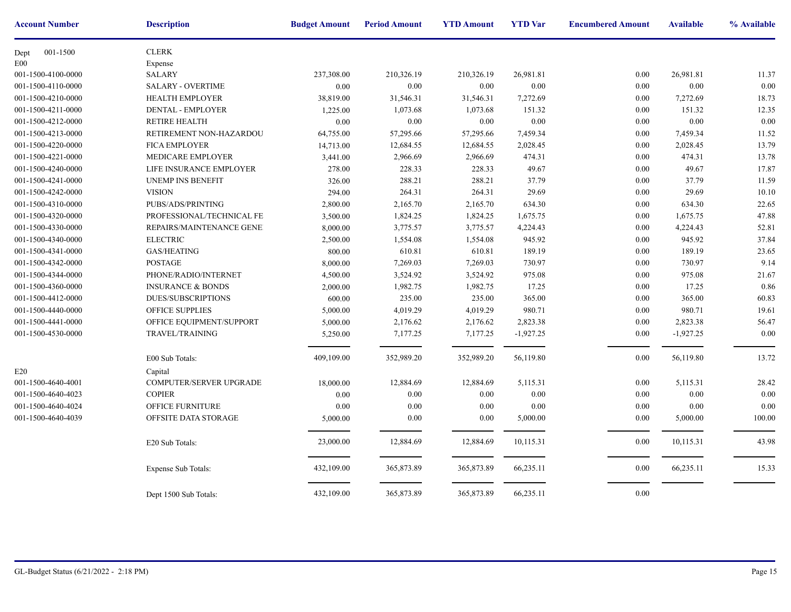| <b>Account Number</b> | <b>Description</b>           | <b>Budget Amount</b> | <b>Period Amount</b> | <b>YTD Amount</b> | <b>YTD</b> Var | <b>Encumbere</b> |
|-----------------------|------------------------------|----------------------|----------------------|-------------------|----------------|------------------|
| 001-1500<br>Dept      | <b>CLERK</b>                 |                      |                      |                   |                |                  |
| E00                   | Expense                      |                      |                      |                   |                |                  |
| 001-1500-4100-0000    | <b>SALARY</b>                | 237,308.00           | 210,326.19           | 210,326.19        | 26,981.81      |                  |
| 001-1500-4110-0000    | <b>SALARY - OVERTIME</b>     | $0.00\,$             | 0.00                 | 0.00              | 0.00           |                  |
| 001-1500-4210-0000    | <b>HEALTH EMPLOYER</b>       | 38,819.00            | 31,546.31            | 31,546.31         | 7,272.69       |                  |
| 001-1500-4211-0000    | <b>DENTAL - EMPLOYER</b>     | 1,225.00             | 1,073.68             | 1,073.68          | 151.32         |                  |
| 001-1500-4212-0000    | <b>RETIRE HEALTH</b>         | 0.00                 | $0.00\,$             | 0.00              | 0.00           |                  |
| 001-1500-4213-0000    | RETIREMENT NON-HAZARDOU      | 64,755.00            | 57,295.66            | 57,295.66         | 7,459.34       |                  |
| 001-1500-4220-0000    | <b>FICA EMPLOYER</b>         | 14,713.00            | 12,684.55            | 12,684.55         | 2,028.45       |                  |
| 001-1500-4221-0000    | MEDICARE EMPLOYER            | 3,441.00             | 2,966.69             | 2,966.69          | 474.31         |                  |
| 001-1500-4240-0000    | LIFE INSURANCE EMPLOYER      | 278.00               | 228.33               | 228.33            | 49.67          |                  |
| 001-1500-4241-0000    | <b>UNEMP INS BENEFIT</b>     | 326.00               | 288.21               | 288.21            | 37.79          |                  |
| 001-1500-4242-0000    | <b>VISION</b>                | 294.00               | 264.31               | 264.31            | 29.69          |                  |
| 001-1500-4310-0000    | PUBS/ADS/PRINTING            | 2,800.00             | 2,165.70             | 2,165.70          | 634.30         |                  |
| 001-1500-4320-0000    | PROFESSIONAL/TECHNICAL FE    | 3,500.00             | 1,824.25             | 1,824.25          | 1,675.75       |                  |
| 001-1500-4330-0000    | REPAIRS/MAINTENANCE GENE     | 8,000.00             | 3,775.57             | 3,775.57          | 4,224.43       |                  |
| 001-1500-4340-0000    | <b>ELECTRIC</b>              | 2,500.00             | 1,554.08             | 1,554.08          | 945.92         |                  |
| 001-1500-4341-0000    | GAS/HEATING                  | 800.00               | 610.81               | 610.81            | 189.19         |                  |
| 001-1500-4342-0000    | <b>POSTAGE</b>               | 8,000.00             | 7,269.03             | 7,269.03          | 730.97         |                  |
| 001-1500-4344-0000    | PHONE/RADIO/INTERNET         | 4,500.00             | 3,524.92             | 3,524.92          | 975.08         |                  |
| 001-1500-4360-0000    | <b>INSURANCE &amp; BONDS</b> | 2,000.00             | 1,982.75             | 1,982.75          | 17.25          |                  |
| 001-1500-4412-0000    | <b>DUES/SUBSCRIPTIONS</b>    | 600.00               | 235.00               | 235.00            | 365.00         |                  |
| 001-1500-4440-0000    | OFFICE SUPPLIES              | 5,000.00             | 4,019.29             | 4,019.29          | 980.71         |                  |
| 001-1500-4441-0000    | OFFICE EQUIPMENT/SUPPORT     | 5,000.00             | 2,176.62             | 2,176.62          | 2,823.38       |                  |
| 001-1500-4530-0000    | TRAVEL/TRAINING              | 5,250.00             | 7,177.25             | 7,177.25          | $-1,927.25$    |                  |
|                       |                              |                      |                      |                   |                |                  |
|                       | E00 Sub Totals:              | 409,109.00           | 352,989.20           | 352,989.20        | 56,119.80      |                  |
| E20                   | Capital                      |                      |                      |                   |                |                  |
| 001-1500-4640-4001    | COMPUTER/SERVER UPGRADE      | 18,000.00            | 12,884.69            | 12,884.69         | 5,115.31       |                  |
| 001-1500-4640-4023    | <b>COPIER</b>                | 0.00                 | 0.00                 | 0.00              | 0.00           |                  |
| 001-1500-4640-4024    | OFFICE FURNITURE             | 0.00                 | 0.00                 | 0.00              | 0.00           |                  |
| 001-1500-4640-4039    | OFFSITE DATA STORAGE         | 5,000.00             | $0.00\,$             | 0.00              | 5,000.00       |                  |
|                       | E20 Sub Totals:              | 23,000.00            | 12,884.69            | 12,884.69         | 10,115.31      |                  |
|                       | Expense Sub Totals:          | 432,109.00           | 365,873.89           | 365,873.89        | 66,235.11      |                  |
|                       | Dept 1500 Sub Totals:        | 432,109.00           | 365,873.89           | 365,873.89        | 66,235.11      |                  |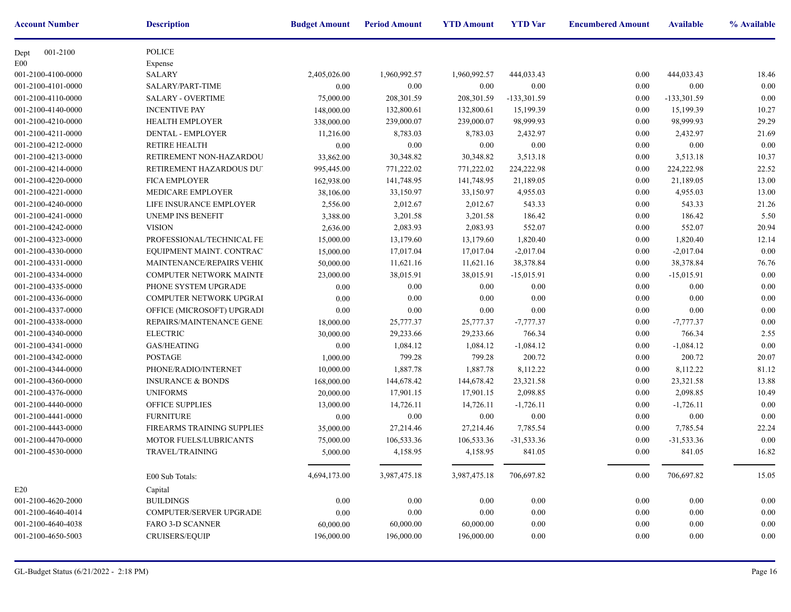| <b>Account Number</b> | <b>Description</b>           | <b>Budget Amount</b> | <b>Period Amount</b> | <b>YTD Amount</b> | <b>YTD</b> Var | <b>Encumbere</b> |
|-----------------------|------------------------------|----------------------|----------------------|-------------------|----------------|------------------|
| 001-2100<br>Dept      | POLICE                       |                      |                      |                   |                |                  |
| E00                   | Expense                      |                      |                      |                   |                |                  |
| 001-2100-4100-0000    | <b>SALARY</b>                | 2,405,026.00         | 1,960,992.57         | 1,960,992.57      | 444,033.43     |                  |
| 001-2100-4101-0000    | SALARY/PART-TIME             | 0.00                 | 0.00                 | 0.00              | 0.00           |                  |
| 001-2100-4110-0000    | <b>SALARY - OVERTIME</b>     | 75,000.00            | 208,301.59           | 208,301.59        | -133,301.59    |                  |
| 001-2100-4140-0000    | <b>INCENTIVE PAY</b>         | 148,000.00           | 132,800.61           | 132,800.61        | 15,199.39      |                  |
| 001-2100-4210-0000    | <b>HEALTH EMPLOYER</b>       | 338,000.00           | 239,000.07           | 239,000.07        | 98,999.93      |                  |
| 001-2100-4211-0000    | <b>DENTAL - EMPLOYER</b>     | 11,216.00            | 8,783.03             | 8,783.03          | 2,432.97       |                  |
| 001-2100-4212-0000    | <b>RETIRE HEALTH</b>         | 0.00                 | 0.00                 | 0.00              | 0.00           |                  |
| 001-2100-4213-0000    | RETIREMENT NON-HAZARDOU      | 33,862.00            | 30,348.82            | 30,348.82         | 3,513.18       |                  |
| 001-2100-4214-0000    | RETIREMENT HAZARDOUS DU'     | 995,445.00           | 771,222.02           | 771,222.02        | 224,222.98     |                  |
| 001-2100-4220-0000    | <b>FICA EMPLOYER</b>         | 162,938.00           | 141,748.95           | 141,748.95        | 21,189.05      |                  |
| 001-2100-4221-0000    | MEDICARE EMPLOYER            | 38,106.00            | 33,150.97            | 33,150.97         | 4,955.03       |                  |
| 001-2100-4240-0000    | LIFE INSURANCE EMPLOYER      | 2,556.00             | 2,012.67             | 2,012.67          | 543.33         |                  |
| 001-2100-4241-0000    | UNEMP INS BENEFIT            | 3,388.00             | 3,201.58             | 3,201.58          | 186.42         |                  |
| 001-2100-4242-0000    | <b>VISION</b>                | 2,636.00             | 2,083.93             | 2,083.93          | 552.07         |                  |
| 001-2100-4323-0000    | PROFESSIONAL/TECHNICAL FE    | 15,000.00            | 13,179.60            | 13,179.60         | 1,820.40       |                  |
| 001-2100-4330-0000    | EQUIPMENT MAINT. CONTRACT    | 15,000.00            | 17,017.04            | 17,017.04         | $-2,017.04$    |                  |
| 001-2100-4331-0000    | MAINTENANCE/REPAIRS VEHIC    | 50,000.00            | 11,621.16            | 11,621.16         | 38,378.84      |                  |
| 001-2100-4334-0000    | COMPUTER NETWORK MAINTE      | 23,000.00            | 38,015.91            | 38,015.91         | $-15,015.91$   |                  |
| 001-2100-4335-0000    | PHONE SYSTEM UPGRADE         | 0.00                 | 0.00                 | 0.00              | 0.00           |                  |
| 001-2100-4336-0000    | COMPUTER NETWORK UPGRAI      | 0.00                 | 0.00                 | 0.00              | 0.00           |                  |
| 001-2100-4337-0000    | OFFICE (MICROSOFT) UPGRADI   | 0.00                 | 0.00                 | 0.00              | 0.00           |                  |
| 001-2100-4338-0000    | REPAIRS/MAINTENANCE GENE!    | 18,000.00            | 25,777.37            | 25,777.37         | $-7,777.37$    |                  |
| 001-2100-4340-0000    | <b>ELECTRIC</b>              | 30,000.00            | 29,233.66            | 29,233.66         | 766.34         |                  |
| 001-2100-4341-0000    | <b>GAS/HEATING</b>           | $0.00\,$             | 1,084.12             | 1,084.12          | $-1,084.12$    |                  |
| 001-2100-4342-0000    | <b>POSTAGE</b>               | 1,000.00             | 799.28               | 799.28            | 200.72         |                  |
| 001-2100-4344-0000    | PHONE/RADIO/INTERNET         | 10,000.00            | 1,887.78             | 1,887.78          | 8,112.22       |                  |
| 001-2100-4360-0000    | <b>INSURANCE &amp; BONDS</b> | 168,000.00           | 144,678.42           | 144,678.42        | 23,321.58      |                  |
| 001-2100-4376-0000    | <b>UNIFORMS</b>              | 20,000.00            | 17,901.15            | 17,901.15         | 2,098.85       |                  |
| 001-2100-4440-0000    | OFFICE SUPPLIES              | 13,000.00            | 14,726.11            | 14,726.11         | $-1,726.11$    |                  |
| 001-2100-4441-0000    | <b>FURNITURE</b>             | 0.00                 | 0.00                 | 0.00              | 0.00           |                  |
| 001-2100-4443-0000    | FIREARMS TRAINING SUPPLIES   | 35,000.00            | 27,214.46            | 27,214.46         | 7,785.54       |                  |
| 001-2100-4470-0000    | MOTOR FUELS/LUBRICANTS       | 75,000.00            | 106,533.36           | 106,533.36        | $-31,533.36$   |                  |
| 001-2100-4530-0000    | <b>TRAVEL/TRAINING</b>       | 5,000.00             | 4,158.95             | 4,158.95          | 841.05         |                  |
|                       |                              |                      |                      |                   |                |                  |
|                       | E00 Sub Totals:              | 4,694,173.00         | 3,987,475.18         | 3,987,475.18      | 706,697.82     |                  |
| E20                   | Capital                      |                      |                      |                   |                |                  |
| 001-2100-4620-2000    | <b>BUILDINGS</b>             | 0.00                 | 0.00                 | 0.00              | $0.00\,$       |                  |
| 001-2100-4640-4014    | COMPUTER/SERVER UPGRADE      | $0.00\,$             | 0.00                 | 0.00              | 0.00           |                  |
| 001-2100-4640-4038    | <b>FARO 3-D SCANNER</b>      | 60,000.00            | 60,000.00            | 60,000.00         | 0.00           |                  |
| 001-2100-4650-5003    | CRUISERS/EQUIP               | 196,000.00           | 196,000.00           | 196,000.00        | 0.00           |                  |
|                       |                              |                      |                      |                   |                |                  |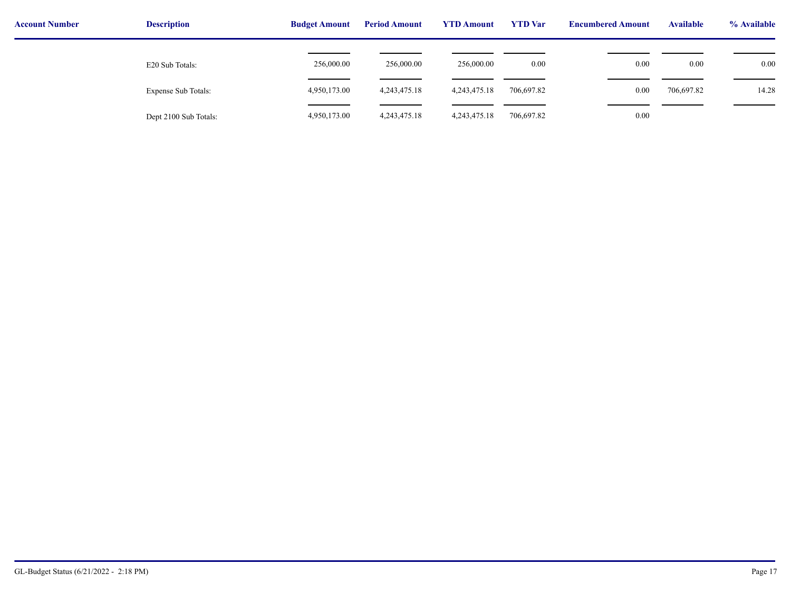| <b>Account Number</b> | <b>Description</b>    | <b>Budget Amount</b> | <b>Period Amount</b> | <b>YTD Amount</b> | <b>YTD</b> Var | <b>Encumbered Amount</b> | <b>Available</b> | % Available |
|-----------------------|-----------------------|----------------------|----------------------|-------------------|----------------|--------------------------|------------------|-------------|
|                       | E20 Sub Totals:       | 256,000.00           | 256,000.00           | 256,000.00        | 0.00           | 0.00                     | 0.00             | $0.00\,$    |
|                       | Expense Sub Totals:   | 4,950,173.00         | 4, 243, 475. 18      | 4,243,475.18      | 706,697.82     | 0.00                     | 706,697.82       | 14.28       |
|                       | Dept 2100 Sub Totals: | 4,950,173.00         | 4, 243, 475. 18      | 4, 243, 475. 18   | 706,697.82     | 0.00                     |                  |             |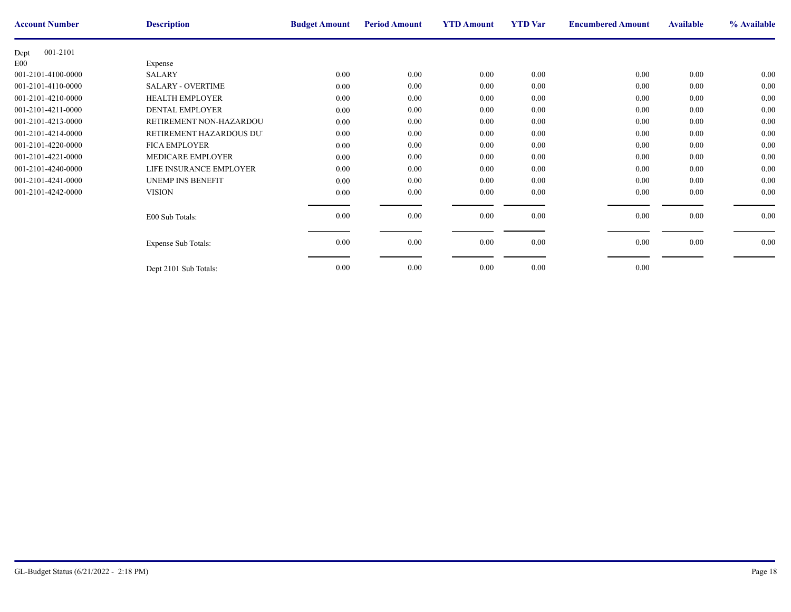| <b>Account Number</b> | <b>Description</b>       | <b>Budget Amount</b> | <b>Period Amount</b> | <b>YTD Amount</b> | <b>YTD</b> Var | <b>Encumbere</b> |
|-----------------------|--------------------------|----------------------|----------------------|-------------------|----------------|------------------|
| 001-2101<br>Dept      |                          |                      |                      |                   |                |                  |
| E00                   | Expense                  |                      |                      |                   |                |                  |
| 001-2101-4100-0000    | <b>SALARY</b>            | $0.00\,$             | $0.00\,$             | $0.00\,$          | 0.00           |                  |
| 001-2101-4110-0000    | <b>SALARY - OVERTIME</b> | 0.00                 | $0.00\,$             | 0.00              | 0.00           |                  |
| 001-2101-4210-0000    | <b>HEALTH EMPLOYER</b>   | $0.00\,$             | $0.00\,$             | 0.00              | 0.00           |                  |
| 001-2101-4211-0000    | DENTAL EMPLOYER          | 0.00                 | $0.00\,$             | $0.00\,$          | 0.00           |                  |
| 001-2101-4213-0000    | RETIREMENT NON-HAZARDOU  | 0.00                 | 0.00                 | 0.00              | 0.00           |                  |
| 001-2101-4214-0000    | RETIREMENT HAZARDOUS DU' | $0.00\,$             | 0.00                 | 0.00              | 0.00           |                  |
| 001-2101-4220-0000    | <b>FICA EMPLOYER</b>     | $0.00\,$             | $0.00\,$             | 0.00              | 0.00           |                  |
| 001-2101-4221-0000    | <b>MEDICARE EMPLOYER</b> | 0.00                 | 0.00                 | $0.00\,$          | 0.00           |                  |
| 001-2101-4240-0000    | LIFE INSURANCE EMPLOYER  | $0.00\,$             | $0.00\,$             | $0.00\,$          | 0.00           |                  |
| 001-2101-4241-0000    | <b>UNEMP INS BENEFIT</b> | $0.00\,$             | 0.00                 | 0.00              | 0.00           |                  |
| 001-2101-4242-0000    | <b>VISION</b>            | 0.00                 | $0.00\,$             | 0.00              | 0.00           |                  |
|                       |                          |                      |                      |                   |                |                  |
|                       | E00 Sub Totals:          | 0.00                 | $0.00\,$             | $0.00\,$          | 0.00           |                  |
|                       |                          |                      |                      |                   |                |                  |
|                       | Expense Sub Totals:      | 0.00                 | $0.00\,$             | $0.00\,$          | 0.00           |                  |
|                       |                          |                      |                      |                   |                |                  |
|                       |                          | 0.00                 | $0.00\,$             | 0.00              | 0.00           |                  |
|                       | Dept 2101 Sub Totals:    |                      |                      |                   |                |                  |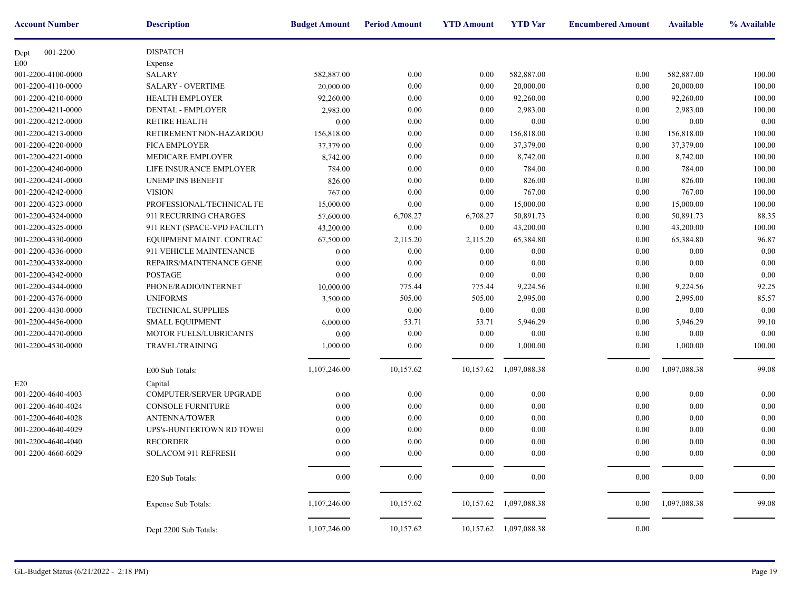| <b>Account Number</b> | <b>Description</b>           | <b>Budget Amount</b> | <b>Period Amount</b> | <b>YTD Amount</b> | <b>YTD</b> Var         | <b>Encumbere</b> |
|-----------------------|------------------------------|----------------------|----------------------|-------------------|------------------------|------------------|
| 001-2200<br>Dept      | <b>DISPATCH</b>              |                      |                      |                   |                        |                  |
| E00                   | Expense                      |                      |                      |                   |                        |                  |
| 001-2200-4100-0000    | <b>SALARY</b>                | 582,887.00           | 0.00                 | 0.00              | 582,887.00             |                  |
| 001-2200-4110-0000    | <b>SALARY - OVERTIME</b>     | 20,000.00            | 0.00                 | 0.00              | 20,000.00              |                  |
| 001-2200-4210-0000    | HEALTH EMPLOYER              | 92,260.00            | 0.00                 | 0.00              | 92,260.00              |                  |
| 001-2200-4211-0000    | <b>DENTAL - EMPLOYER</b>     | 2,983.00             | 0.00                 | 0.00              | 2,983.00               |                  |
| 001-2200-4212-0000    | <b>RETIRE HEALTH</b>         | $0.00\,$             | 0.00                 | 0.00              | 0.00                   |                  |
| 001-2200-4213-0000    | RETIREMENT NON-HAZARDOU      | 156,818.00           | 0.00                 | 0.00              | 156,818.00             |                  |
| 001-2200-4220-0000    | <b>FICA EMPLOYER</b>         | 37,379.00            | 0.00                 | 0.00              | 37,379.00              |                  |
| 001-2200-4221-0000    | MEDICARE EMPLOYER            | 8,742.00             | 0.00                 | 0.00              | 8,742.00               |                  |
| 001-2200-4240-0000    | LIFE INSURANCE EMPLOYER      | 784.00               | 0.00                 | 0.00              | 784.00                 |                  |
| 001-2200-4241-0000    | <b>UNEMP INS BENEFIT</b>     | 826.00               | 0.00                 | 0.00              | 826.00                 |                  |
| 001-2200-4242-0000    | <b>VISION</b>                | 767.00               | 0.00                 | 0.00              | 767.00                 |                  |
| 001-2200-4323-0000    | PROFESSIONAL/TECHNICAL FE    | 15,000.00            | 0.00                 | 0.00              | 15,000.00              |                  |
| 001-2200-4324-0000    | 911 RECURRING CHARGES        | 57,600.00            | 6,708.27             | 6,708.27          | 50,891.73              |                  |
| 001-2200-4325-0000    | 911 RENT (SPACE-VPD FACILITY | 43,200.00            | 0.00                 | 0.00              | 43,200.00              |                  |
| 001-2200-4330-0000    | EQUIPMENT MAINT. CONTRAC'    | 67,500.00            | 2,115.20             | 2,115.20          | 65,384.80              |                  |
| 001-2200-4336-0000    | 911 VEHICLE MAINTENANCE      | 0.00                 | 0.00                 | 0.00              | 0.00                   |                  |
| 001-2200-4338-0000    | REPAIRS/MAINTENANCE GENE!    | 0.00                 | 0.00                 | 0.00              | 0.00                   |                  |
| 001-2200-4342-0000    | <b>POSTAGE</b>               | 0.00                 | $0.00\,$             | 0.00              | 0.00                   |                  |
| 001-2200-4344-0000    | PHONE/RADIO/INTERNET         | 10,000.00            | 775.44               | 775.44            | 9,224.56               |                  |
| 001-2200-4376-0000    | <b>UNIFORMS</b>              | 3,500.00             | 505.00               | 505.00            | 2,995.00               |                  |
| 001-2200-4430-0000    | <b>TECHNICAL SUPPLIES</b>    | 0.00                 | 0.00                 | 0.00              | 0.00                   |                  |
| 001-2200-4456-0000    | SMALL EQUIPMENT              | 6,000.00             | 53.71                | 53.71             | 5,946.29               |                  |
| 001-2200-4470-0000    | MOTOR FUELS/LUBRICANTS       | 0.00                 | 0.00                 | 0.00              | 0.00                   |                  |
| 001-2200-4530-0000    | TRAVEL/TRAINING              | 1,000.00             | 0.00                 | 0.00              | 1,000.00               |                  |
|                       |                              |                      |                      |                   |                        |                  |
|                       | E00 Sub Totals:              | 1,107,246.00         | 10,157.62            |                   | 10,157.62 1,097,088.38 |                  |
| E20                   | Capital                      |                      |                      |                   |                        |                  |
| 001-2200-4640-4003    | COMPUTER/SERVER UPGRADE      | $0.00\,$             | 0.00                 | 0.00              | 0.00                   |                  |
| 001-2200-4640-4024    | <b>CONSOLE FURNITURE</b>     | 0.00                 | 0.00                 | 0.00              | $0.00\,$               |                  |
| 001-2200-4640-4028    | <b>ANTENNA/TOWER</b>         | 0.00                 | 0.00                 | 0.00              | 0.00                   |                  |
| 001-2200-4640-4029    | UPS's-HUNTERTOWN RD TOWEI    | 0.00                 | 0.00                 | 0.00              | 0.00                   |                  |
| 001-2200-4640-4040    | <b>RECORDER</b>              | 0.00                 | 0.00                 | 0.00              | 0.00                   |                  |
| 001-2200-4660-6029    | <b>SOLACOM 911 REFRESH</b>   | 0.00                 | 0.00                 | 0.00              | 0.00                   |                  |
|                       | E20 Sub Totals:              | $0.00\,$             | 0.00                 | 0.00              | 0.00                   |                  |
|                       | Expense Sub Totals:          | 1,107,246.00         | 10,157.62            | 10,157.62         | 1,097,088.38           |                  |
|                       | Dept 2200 Sub Totals:        | 1,107,246.00         | 10,157.62            | 10,157.62         | 1,097,088.38           |                  |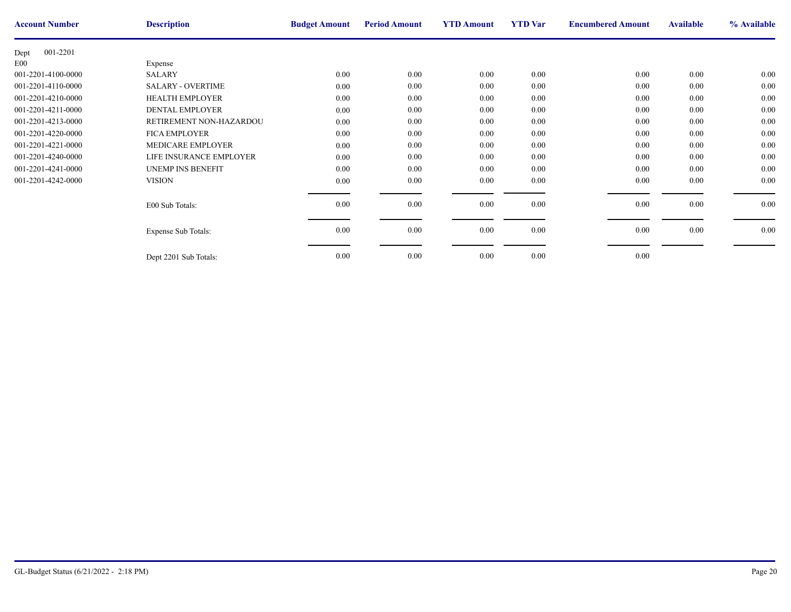| <b>Account Number</b> | <b>Description</b>       | <b>Budget Amount</b> | <b>Period Amount</b> | <b>YTD Amount</b> | <b>YTD</b> Var | <b>Encumbere</b> |
|-----------------------|--------------------------|----------------------|----------------------|-------------------|----------------|------------------|
| 001-2201<br>Dept      |                          |                      |                      |                   |                |                  |
| E00                   | Expense                  |                      |                      |                   |                |                  |
| 001-2201-4100-0000    | <b>SALARY</b>            | 0.00                 | 0.00                 | 0.00              | 0.00           |                  |
| 001-2201-4110-0000    | <b>SALARY - OVERTIME</b> | 0.00                 | 0.00                 | 0.00              | 0.00           |                  |
| 001-2201-4210-0000    | <b>HEALTH EMPLOYER</b>   | 0.00                 | 0.00                 | 0.00              | 0.00           |                  |
| 001-2201-4211-0000    | <b>DENTAL EMPLOYER</b>   | 0.00                 | 0.00                 | 0.00              | 0.00           |                  |
| 001-2201-4213-0000    | RETIREMENT NON-HAZARDOU  | $0.00\,$             | 0.00                 | 0.00              | 0.00           |                  |
| 001-2201-4220-0000    | <b>FICA EMPLOYER</b>     | 0.00                 | 0.00                 | 0.00              | 0.00           |                  |
| 001-2201-4221-0000    | MEDICARE EMPLOYER        | 0.00                 | 0.00                 | 0.00              | 0.00           |                  |
| 001-2201-4240-0000    | LIFE INSURANCE EMPLOYER  | 0.00                 | 0.00                 | 0.00              | 0.00           |                  |
| 001-2201-4241-0000    | <b>UNEMP INS BENEFIT</b> | 0.00                 | 0.00                 | 0.00              | 0.00           |                  |
| 001-2201-4242-0000    | <b>VISION</b>            | 0.00                 | 0.00                 | 0.00              | 0.00           |                  |
|                       |                          |                      |                      |                   |                |                  |
|                       | E00 Sub Totals:          | 0.00                 | 0.00                 | 0.00              | 0.00           |                  |
|                       |                          |                      |                      |                   |                |                  |
|                       | Expense Sub Totals:      | 0.00                 | $0.00\,$             | 0.00              | 0.00           |                  |
|                       |                          |                      |                      |                   |                |                  |
|                       | Dept 2201 Sub Totals:    | 0.00                 | 0.00                 | 0.00              | 0.00           |                  |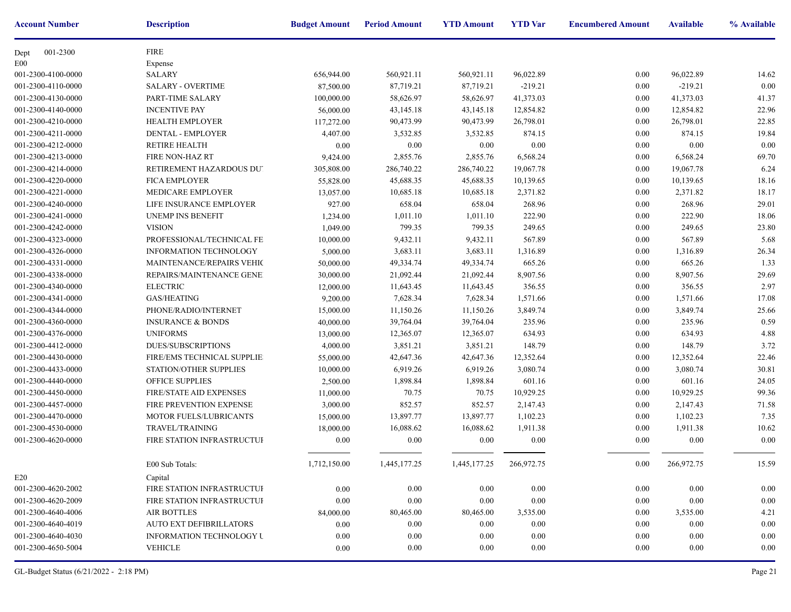| <b>Account Number</b> | <b>Description</b>               | <b>Budget Amount</b> | <b>Period Amount</b> | <b>YTD Amount</b>       | <b>YTD</b> Var | <b>Encumbere</b> |
|-----------------------|----------------------------------|----------------------|----------------------|-------------------------|----------------|------------------|
| 001-2300<br>Dept      | <b>FIRE</b>                      |                      |                      |                         |                |                  |
| E <sub>0</sub>        | Expense                          |                      |                      |                         |                |                  |
| 001-2300-4100-0000    | <b>SALARY</b>                    | 656,944.00           | 560,921.11           | 560,921.11              | 96,022.89      |                  |
| 001-2300-4110-0000    | <b>SALARY - OVERTIME</b>         | 87,500.00            | 87,719.21            | 87,719.21               | $-219.21$      |                  |
| 001-2300-4130-0000    | PART-TIME SALARY                 | 100,000.00           | 58,626.97            | 58,626.97               | 41,373.03      |                  |
| 001-2300-4140-0000    | <b>INCENTIVE PAY</b>             | 56,000.00            | 43,145.18            | 43,145.18               | 12,854.82      |                  |
| 001-2300-4210-0000    | <b>HEALTH EMPLOYER</b>           | 117,272.00           | 90,473.99            | 90,473.99               | 26,798.01      |                  |
| 001-2300-4211-0000    | DENTAL - EMPLOYER                | 4,407.00             | 3,532.85             | 3,532.85                | 874.15         |                  |
| 001-2300-4212-0000    | <b>RETIRE HEALTH</b>             | 0.00                 | 0.00                 | 0.00                    | 0.00           |                  |
| 001-2300-4213-0000    | <b>FIRE NON-HAZ RT</b>           | 9,424.00             | 2,855.76             | 2,855.76                | 6,568.24       |                  |
| 001-2300-4214-0000    | RETIREMENT HAZARDOUS DU'         | 305,808.00           | 286,740.22           | 286,740.22              | 19,067.78      |                  |
| 001-2300-4220-0000    | <b>FICA EMPLOYER</b>             | 55,828.00            | 45,688.35            | 45,688.35               | 10,139.65      |                  |
| 001-2300-4221-0000    | MEDICARE EMPLOYER                | 13,057.00            | 10,685.18            | 10,685.18               | 2,371.82       |                  |
| 001-2300-4240-0000    | LIFE INSURANCE EMPLOYER          | 927.00               | 658.04               | 658.04                  | 268.96         |                  |
| 001-2300-4241-0000    | <b>UNEMP INS BENEFIT</b>         | 1,234.00             | 1,011.10             | 1,011.10                | 222.90         |                  |
| 001-2300-4242-0000    | <b>VISION</b>                    | 1,049.00             | 799.35               | 799.35                  | 249.65         |                  |
| 001-2300-4323-0000    | PROFESSIONAL/TECHNICAL FE        | 10,000.00            | 9,432.11             | 9,432.11                | 567.89         |                  |
| 001-2300-4326-0000    | <b>INFORMATION TECHNOLOGY</b>    | 5,000.00             | 3,683.11             | 3,683.11                | 1,316.89       |                  |
| 001-2300-4331-0000    | <b>MAINTENANCE/REPAIRS VEHIC</b> | 50,000.00            | 49,334.74            | 49,334.74               | 665.26         |                  |
| 001-2300-4338-0000    | REPAIRS/MAINTENANCE GENE!        | 30,000.00            | 21,092.44            | 21,092.44               | 8,907.56       |                  |
| 001-2300-4340-0000    | <b>ELECTRIC</b>                  | 12,000.00            | 11,643.45            | 11,643.45               | 356.55         |                  |
| 001-2300-4341-0000    | <b>GAS/HEATING</b>               | 9,200.00             | 7,628.34             | 7,628.34                | 1,571.66       |                  |
| 001-2300-4344-0000    | PHONE/RADIO/INTERNET             | 15,000.00            | 11,150.26            | 11,150.26               | 3,849.74       |                  |
| 001-2300-4360-0000    | <b>INSURANCE &amp; BONDS</b>     | 40,000.00            | 39,764.04            | 39,764.04               | 235.96         |                  |
| 001-2300-4376-0000    | <b>UNIFORMS</b>                  | 13,000.00            | 12,365.07            | 12,365.07               | 634.93         |                  |
| 001-2300-4412-0000    | DUES/SUBSCRIPTIONS               | 4,000.00             | 3,851.21             | 3,851.21                | 148.79         |                  |
| 001-2300-4430-0000    | FIRE/EMS TECHNICAL SUPPLIE:      | 55,000.00            | 42,647.36            | 42,647.36               | 12,352.64      |                  |
| 001-2300-4433-0000    | STATION/OTHER SUPPLIES           | 10,000.00            | 6,919.26             | 6,919.26                | 3,080.74       |                  |
| 001-2300-4440-0000    | OFFICE SUPPLIES                  | 2,500.00             | 1,898.84             | 1,898.84                | 601.16         |                  |
| 001-2300-4450-0000    | FIRE/STATE AID EXPENSES          | 11,000.00            | 70.75                | 70.75                   | 10,929.25      |                  |
| 001-2300-4457-0000    | FIRE PREVENTION EXPENSE          | 3,000.00             | 852.57               | 852.57                  | 2,147.43       |                  |
| 001-2300-4470-0000    | MOTOR FUELS/LUBRICANTS           | 15,000.00            | 13,897.77            | 13,897.77               | 1,102.23       |                  |
| 001-2300-4530-0000    | TRAVEL/TRAINING                  | 18,000.00            | 16,088.62            | 16,088.62               | 1,911.38       |                  |
| 001-2300-4620-0000    | FIRE STATION INFRASTRUCTUF       | 0.00                 | 0.00                 | 0.00                    | 0.00           |                  |
|                       | E00 Sub Totals:                  | 1,712,150.00         | 1,445,177.25         | 1,445,177.25 266,972.75 |                |                  |
| E20                   | Capital                          |                      |                      |                         |                |                  |
| 001-2300-4620-2002    | FIRE STATION INFRASTRUCTUF       | 0.00                 | 0.00                 | 0.00                    | 0.00           |                  |
| 001-2300-4620-2009    | FIRE STATION INFRASTRUCTUF       | $0.00\,$             | 0.00                 | 0.00                    | 0.00           |                  |
| 001-2300-4640-4006    | <b>AIR BOTTLES</b>               | 84,000.00            | 80,465.00            | 80,465.00               | 3,535.00       |                  |
| 001-2300-4640-4019    | <b>AUTO EXT DEFIBRILLATORS</b>   | 0.00                 | $0.00\,$             | 0.00                    | 0.00           |                  |
| 001-2300-4640-4030    | <b>INFORMATION TECHNOLOGY U</b>  | 0.00                 | 0.00                 | 0.00                    | 0.00           |                  |
| 001-2300-4650-5004    | <b>VEHICLE</b>                   | 0.00                 | 0.00                 | 0.00                    | 0.00           |                  |
|                       |                                  |                      |                      |                         |                |                  |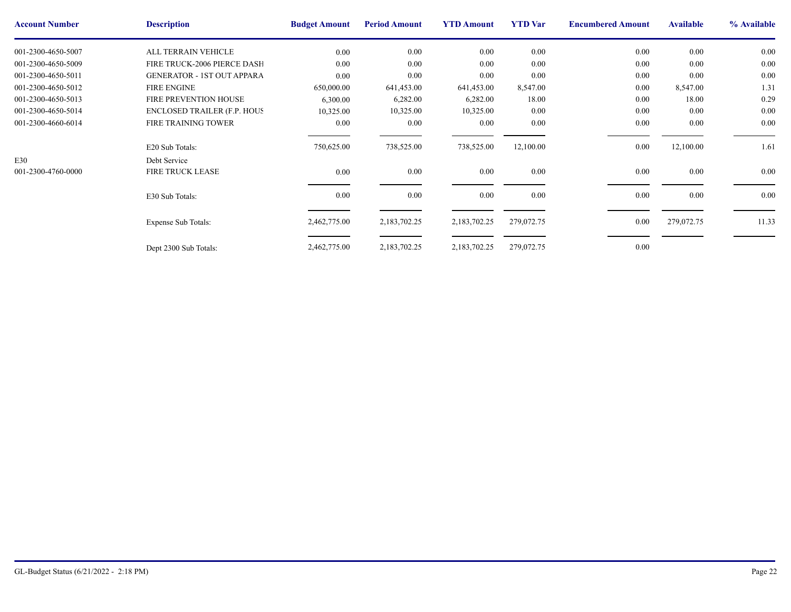| <b>Account Number</b> | <b>Description</b>                 | <b>Budget Amount</b> | <b>Period Amount</b> | <b>YTD Amount</b> | <b>YTD</b> Var | <b>Encumbere</b> |
|-----------------------|------------------------------------|----------------------|----------------------|-------------------|----------------|------------------|
| 001-2300-4650-5007    | ALL TERRAIN VEHICLE                | 0.00                 | $0.00\,$             | 0.00              | 0.00           |                  |
| 001-2300-4650-5009    | FIRE TRUCK-2006 PIERCE DASH        | 0.00                 | 0.00                 | 0.00              | 0.00           |                  |
| 001-2300-4650-5011    | <b>GENERATOR - 1ST OUT APPARA</b>  | 0.00                 | 0.00                 | 0.00              | 0.00           |                  |
| 001-2300-4650-5012    | <b>FIRE ENGINE</b>                 | 650,000.00           | 641,453.00           | 641,453.00        | 8,547.00       |                  |
| 001-2300-4650-5013    | <b>FIRE PREVENTION HOUSE</b>       | 6,300.00             | 6,282.00             | 6,282.00          | 18.00          |                  |
| 001-2300-4650-5014    | <b>ENCLOSED TRAILER (F.P. HOUS</b> | 10,325.00            | 10,325.00            | 10,325.00         | 0.00           |                  |
| 001-2300-4660-6014    | <b>FIRE TRAINING TOWER</b>         | 0.00                 | $0.00\,$             | $0.00\,$          | 0.00           |                  |
|                       |                                    |                      |                      |                   |                |                  |
|                       | E20 Sub Totals:                    | 750,625.00           | 738,525.00           | 738,525.00        | 12,100.00      |                  |
| E30                   | Debt Service                       |                      |                      |                   |                |                  |
| 001-2300-4760-0000    | <b>FIRE TRUCK LEASE</b>            | 0.00                 | $0.00\,$             | 0.00              | 0.00           |                  |
|                       |                                    |                      |                      |                   |                |                  |
|                       | E30 Sub Totals:                    | 0.00                 | $0.00\,$             | 0.00              | 0.00           |                  |
|                       |                                    |                      |                      |                   |                |                  |
|                       | <b>Expense Sub Totals:</b>         | 2,462,775.00         | 2,183,702.25         | 2,183,702.25      | 279,072.75     |                  |
|                       |                                    |                      |                      |                   |                |                  |
|                       | Dept 2300 Sub Totals:              | 2,462,775.00         | 2,183,702.25         | 2,183,702.25      | 279,072.75     |                  |
|                       |                                    |                      |                      |                   |                |                  |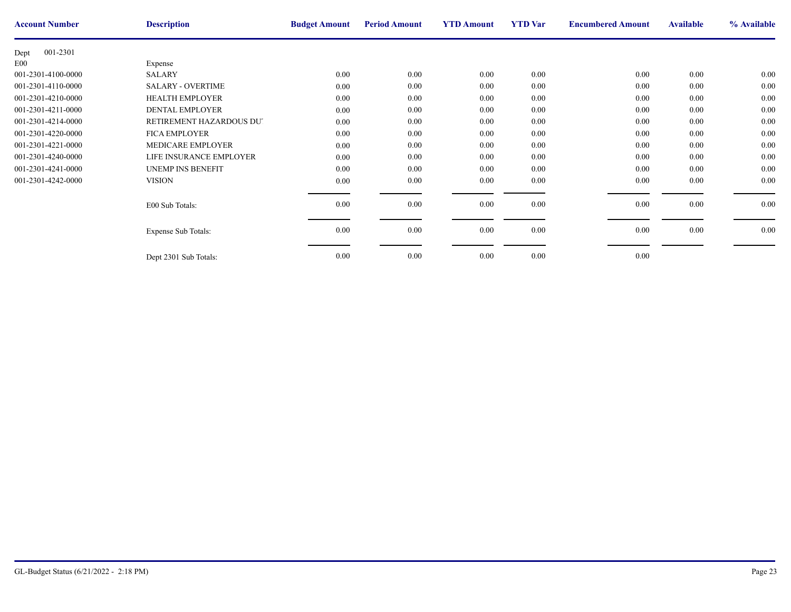| <b>Account Number</b> | <b>Description</b>       | <b>Budget Amount</b> | <b>Period Amount</b> | <b>YTD Amount</b> | <b>YTD</b> Var | <b>Encumbere</b> |
|-----------------------|--------------------------|----------------------|----------------------|-------------------|----------------|------------------|
| 001-2301<br>Dept      |                          |                      |                      |                   |                |                  |
| E00                   | Expense                  |                      |                      |                   |                |                  |
| 001-2301-4100-0000    | <b>SALARY</b>            | 0.00                 | 0.00                 | 0.00              | 0.00           |                  |
| 001-2301-4110-0000    | <b>SALARY - OVERTIME</b> | 0.00                 | 0.00                 | 0.00              | 0.00           |                  |
| 001-2301-4210-0000    | <b>HEALTH EMPLOYER</b>   | 0.00                 | 0.00                 | 0.00              | 0.00           |                  |
| 001-2301-4211-0000    | <b>DENTAL EMPLOYER</b>   | 0.00                 | 0.00                 | 0.00              | 0.00           |                  |
| 001-2301-4214-0000    | RETIREMENT HAZARDOUS DUT | $0.00\,$             | 0.00                 | 0.00              | 0.00           |                  |
| 001-2301-4220-0000    | <b>FICA EMPLOYER</b>     | 0.00                 | 0.00                 | 0.00              | 0.00           |                  |
| 001-2301-4221-0000    | MEDICARE EMPLOYER        | 0.00                 | 0.00                 | 0.00              | 0.00           |                  |
| 001-2301-4240-0000    | LIFE INSURANCE EMPLOYER  | 0.00                 | 0.00                 | 0.00              | 0.00           |                  |
| 001-2301-4241-0000    | <b>UNEMP INS BENEFIT</b> | 0.00                 | 0.00                 | 0.00              | 0.00           |                  |
| 001-2301-4242-0000    | <b>VISION</b>            | 0.00                 | 0.00                 | 0.00              | 0.00           |                  |
|                       |                          |                      |                      |                   |                |                  |
|                       | E00 Sub Totals:          | 0.00                 | 0.00                 | 0.00              | 0.00           |                  |
|                       |                          |                      |                      |                   |                |                  |
|                       | Expense Sub Totals:      | 0.00                 | $0.00\,$             | 0.00              | 0.00           |                  |
|                       |                          |                      |                      |                   |                |                  |
|                       | Dept 2301 Sub Totals:    | 0.00                 | 0.00                 | 0.00              | 0.00           |                  |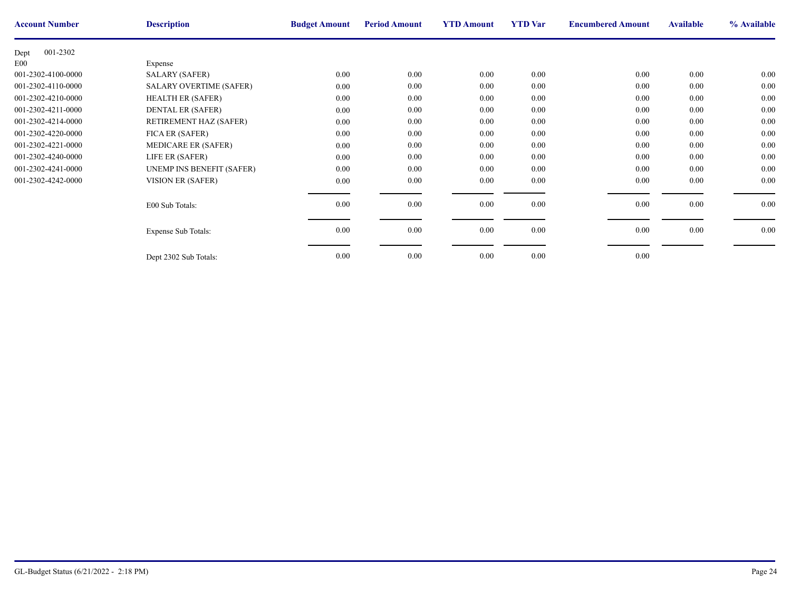| <b>Account Number</b> | <b>Description</b>             | <b>Budget Amount</b> | <b>Period Amount</b> | <b>YTD Amount</b> | <b>YTD</b> Var | <b>Encumbere</b> |
|-----------------------|--------------------------------|----------------------|----------------------|-------------------|----------------|------------------|
| 001-2302<br>Dept      |                                |                      |                      |                   |                |                  |
| E00                   | Expense                        |                      |                      |                   |                |                  |
| 001-2302-4100-0000    | <b>SALARY (SAFER)</b>          | $0.00\,$             | $0.00\,$             | $0.00\,$          | 0.00           |                  |
| 001-2302-4110-0000    | <b>SALARY OVERTIME (SAFER)</b> | $0.00\,$             | 0.00                 | 0.00              | 0.00           |                  |
| 001-2302-4210-0000    | <b>HEALTH ER (SAFER)</b>       | 0.00                 | $0.00\,$             | $0.00\,$          | 0.00           |                  |
| 001-2302-4211-0000    | <b>DENTAL ER (SAFER)</b>       | 0.00                 | 0.00                 | 0.00              | 0.00           |                  |
| 001-2302-4214-0000    | RETIREMENT HAZ (SAFER)         | $0.00\,$             | 0.00                 | 0.00              | 0.00           |                  |
| 001-2302-4220-0000    | FICA ER (SAFER)                | $0.00\,$             | $0.00\,$             | 0.00              | 0.00           |                  |
| 001-2302-4221-0000    | <b>MEDICARE ER (SAFER)</b>     | $0.00\,$             | $0.00\,$             | 0.00              | 0.00           |                  |
| 001-2302-4240-0000    | LIFE ER (SAFER)                | 0.00                 | 0.00                 | 0.00              | 0.00           |                  |
| 001-2302-4241-0000    | UNEMP INS BENEFIT (SAFER)      | 0.00                 | 0.00                 | 0.00              | 0.00           |                  |
| 001-2302-4242-0000    | VISION ER (SAFER)              | $0.00\,$             | $0.00\,$             | $0.00\,$          | 0.00           |                  |
|                       |                                |                      |                      |                   |                |                  |
|                       | E00 Sub Totals:                | 0.00                 | $0.00\,$             | 0.00              | 0.00           |                  |
|                       |                                |                      |                      |                   |                |                  |
|                       | <b>Expense Sub Totals:</b>     | 0.00                 | $0.00\,$             | $0.00\,$          | 0.00           |                  |
|                       |                                |                      |                      |                   |                |                  |
|                       | Dept 2302 Sub Totals:          | 0.00                 | 0.00                 | 0.00              | 0.00           |                  |
|                       |                                |                      |                      |                   |                |                  |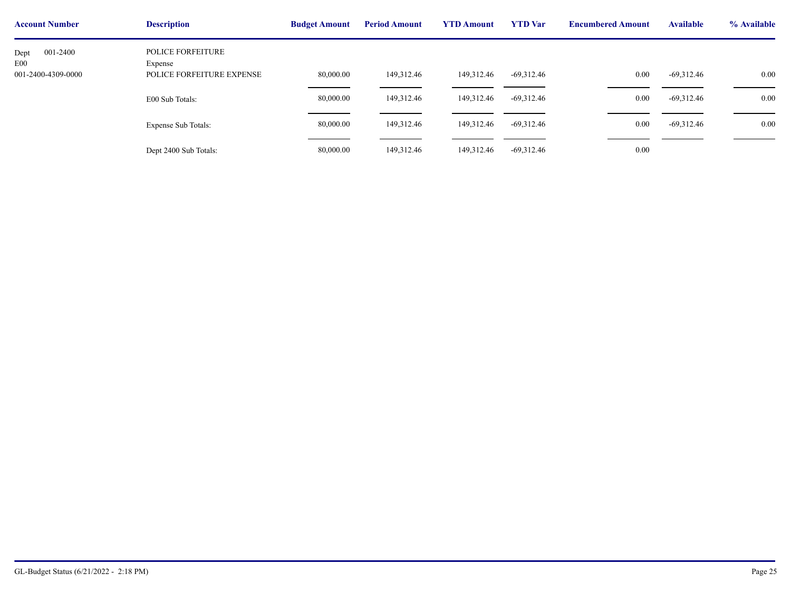| <b>Account Number</b>                         | <b>Description</b>                                               | <b>Budget Amount</b> | <b>Period Amount</b> | <b>YTD Amount</b> | <b>YTD</b> Var | <b>Encumbere</b> |
|-----------------------------------------------|------------------------------------------------------------------|----------------------|----------------------|-------------------|----------------|------------------|
| 001-2400<br>Dept<br>E00<br>001-2400-4309-0000 | <b>POLICE FORFEITURE</b><br>Expense<br>POLICE FORFEITURE EXPENSE | 80,000.00            | 149,312.46           | 149,312.46        | $-69,312.46$   |                  |
|                                               | E00 Sub Totals:                                                  | 80,000.00            | 149,312.46           | 149,312.46        | $-69,312.46$   |                  |
|                                               | Expense Sub Totals:                                              | 80,000.00            | 149,312.46           | 149,312.46        | $-69,312.46$   |                  |
|                                               | Dept 2400 Sub Totals:                                            | 80,000.00            | 149,312.46           | 149,312.46        | $-69,312.46$   |                  |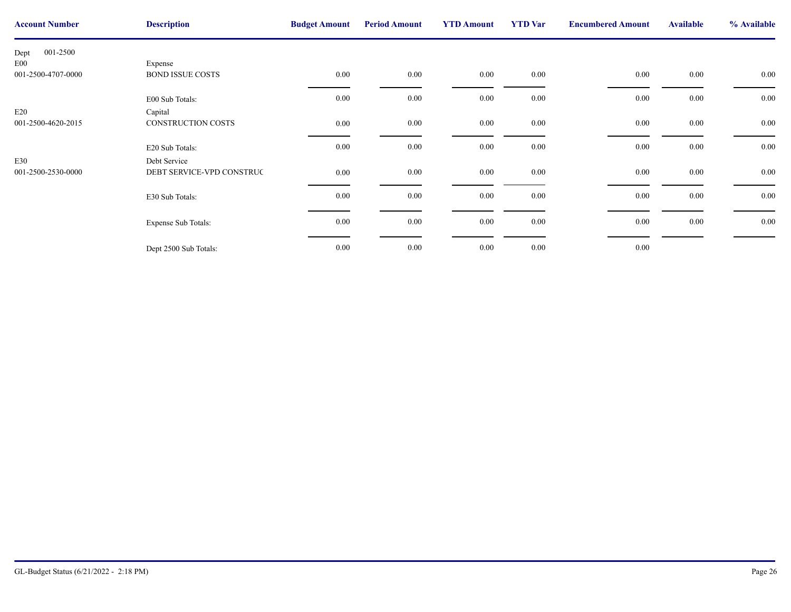| <b>Account Number</b> | <b>Description</b>        | <b>Budget Amount</b> | <b>Period Amount</b> | <b>YTD Amount</b> | <b>YTD</b> Var | <b>Encumbere</b> |
|-----------------------|---------------------------|----------------------|----------------------|-------------------|----------------|------------------|
| 001-2500<br>Dept      |                           |                      |                      |                   |                |                  |
| E <sub>00</sub>       | Expense                   |                      |                      |                   |                |                  |
| 001-2500-4707-0000    | <b>BOND ISSUE COSTS</b>   | $0.00\,$             | $0.00\,$             | $0.00\,$          | $0.00\,$       |                  |
|                       | E00 Sub Totals:           | 0.00                 | $0.00\,$             | 0.00              | 0.00           |                  |
| E20                   | Capital                   |                      |                      |                   |                |                  |
| 001-2500-4620-2015    | CONSTRUCTION COSTS        | 0.00                 | $0.00\,$             | 0.00              | $0.00\,$       |                  |
|                       | E20 Sub Totals:           | 0.00                 | $0.00\,$             | 0.00              | $0.00\,$       |                  |
| E30                   | Debt Service              |                      |                      |                   |                |                  |
| 001-2500-2530-0000    | DEBT SERVICE-VPD CONSTRUC | 0.00                 | $0.00\,$             | 0.00              | $0.00\,$       |                  |
|                       | E30 Sub Totals:           | $0.00\,$             | $0.00\,$             | $0.00\,$          | $0.00\,$       |                  |
|                       | Expense Sub Totals:       | 0.00                 | $0.00\,$             | 0.00              | $0.00\,$       |                  |
|                       | Dept 2500 Sub Totals:     | 0.00                 | $0.00\,$             | $0.00\,$          | 0.00           |                  |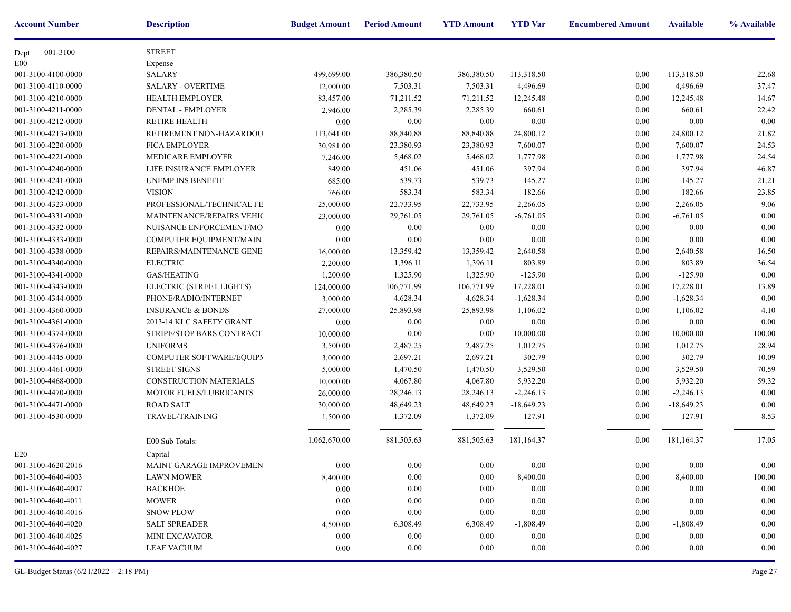| <b>Account Number</b> | <b>Description</b>           | <b>Budget Amount</b> | <b>Period Amount</b> | <b>YTD Amount</b> | <b>YTD</b> Var | <b>Encumbere</b> |
|-----------------------|------------------------------|----------------------|----------------------|-------------------|----------------|------------------|
| 001-3100<br>Dept      | <b>STREET</b>                |                      |                      |                   |                |                  |
| E00                   | Expense                      |                      |                      |                   |                |                  |
| 001-3100-4100-0000    | <b>SALARY</b>                | 499,699.00           | 386,380.50           | 386,380.50        | 113,318.50     |                  |
| 001-3100-4110-0000    | <b>SALARY - OVERTIME</b>     | 12,000.00            | 7,503.31             | 7,503.31          | 4,496.69       |                  |
| 001-3100-4210-0000    | <b>HEALTH EMPLOYER</b>       | 83,457.00            | 71,211.52            | 71,211.52         | 12,245.48      |                  |
| 001-3100-4211-0000    | DENTAL - EMPLOYER            | 2,946.00             | 2,285.39             | 2,285.39          | 660.61         |                  |
| 001-3100-4212-0000    | <b>RETIRE HEALTH</b>         | 0.00                 | 0.00                 | 0.00              | 0.00           |                  |
| 001-3100-4213-0000    | RETIREMENT NON-HAZARDOU      | 113,641.00           | 88,840.88            | 88,840.88         | 24,800.12      |                  |
| 001-3100-4220-0000    | <b>FICA EMPLOYER</b>         | 30,981.00            | 23,380.93            | 23,380.93         | 7,600.07       |                  |
| 001-3100-4221-0000    | MEDICARE EMPLOYER            | 7,246.00             | 5,468.02             | 5,468.02          | 1,777.98       |                  |
| 001-3100-4240-0000    | LIFE INSURANCE EMPLOYER      | 849.00               | 451.06               | 451.06            | 397.94         |                  |
| 001-3100-4241-0000    | UNEMP INS BENEFIT            | 685.00               | 539.73               | 539.73            | 145.27         |                  |
| 001-3100-4242-0000    | <b>VISION</b>                | 766.00               | 583.34               | 583.34            | 182.66         |                  |
| 001-3100-4323-0000    | PROFESSIONAL/TECHNICAL FE    | 25,000.00            | 22,733.95            | 22,733.95         | 2,266.05       |                  |
| 001-3100-4331-0000    | MAINTENANCE/REPAIRS VEHIC    | 23,000.00            | 29,761.05            | 29,761.05         | $-6,761.05$    |                  |
| 001-3100-4332-0000    | NUISANCE ENFORCEMENT/MO      | 0.00                 | 0.00                 | 0.00              | 0.00           |                  |
| 001-3100-4333-0000    | COMPUTER EQUIPMENT/MAINT     | 0.00                 | 0.00                 | 0.00              | 0.00           |                  |
| 001-3100-4338-0000    | REPAIRS/MAINTENANCE GENE!    | 16,000.00            | 13,359.42            | 13,359.42         | 2,640.58       |                  |
| 001-3100-4340-0000    | <b>ELECTRIC</b>              | 2,200.00             | 1,396.11             | 1,396.11          | 803.89         |                  |
| 001-3100-4341-0000    | <b>GAS/HEATING</b>           | 1,200.00             | 1,325.90             | 1,325.90          | $-125.90$      |                  |
| 001-3100-4343-0000    | ELECTRIC (STREET LIGHTS)     | 124,000.00           | 106,771.99           | 106,771.99        | 17,228.01      |                  |
| 001-3100-4344-0000    | PHONE/RADIO/INTERNET         | 3,000.00             | 4,628.34             | 4,628.34          | $-1,628.34$    |                  |
| 001-3100-4360-0000    | <b>INSURANCE &amp; BONDS</b> | 27,000.00            | 25,893.98            | 25,893.98         | 1,106.02       |                  |
| 001-3100-4361-0000    | 2013-14 KLC SAFETY GRANT     | 0.00                 | 0.00                 | 0.00              | 0.00           |                  |
| 001-3100-4374-0000    | STRIPE/STOP BARS CONTRACT    | 10,000.00            | $0.00\,$             | 0.00              | 10,000.00      |                  |
| 001-3100-4376-0000    | <b>UNIFORMS</b>              | 3,500.00             | 2,487.25             | 2,487.25          | 1,012.75       |                  |
| 001-3100-4445-0000    | COMPUTER SOFTWARE/EQUIPM     | 3,000.00             | 2,697.21             | 2,697.21          | 302.79         |                  |
| 001-3100-4461-0000    | <b>STREET SIGNS</b>          | 5,000.00             | 1,470.50             | 1,470.50          | 3,529.50       |                  |
| 001-3100-4468-0000    | CONSTRUCTION MATERIALS       | 10,000.00            | 4,067.80             | 4,067.80          | 5,932.20       |                  |
| 001-3100-4470-0000    | MOTOR FUELS/LUBRICANTS       | 26,000.00            | 28,246.13            | 28,246.13         | $-2,246.13$    |                  |
| 001-3100-4471-0000    | <b>ROAD SALT</b>             | 30,000.00            | 48,649.23            | 48,649.23         | $-18,649.23$   |                  |
| 001-3100-4530-0000    | TRAVEL/TRAINING              | 1,500.00             | 1,372.09             | 1,372.09          | 127.91         |                  |
|                       | E00 Sub Totals:              | 1,062,670.00         | 881,505.63           | 881,505.63        | 181,164.37     |                  |
| E20                   | Capital                      |                      |                      |                   |                |                  |
| 001-3100-4620-2016    | MAINT GARAGE IMPROVEMEN      | $0.00\,$             | $0.00\,$             | $0.00\,$          | 0.00           |                  |
| 001-3100-4640-4003    | <b>LAWN MOWER</b>            | 8,400.00             | 0.00                 | 0.00              | 8,400.00       |                  |
| 001-3100-4640-4007    | <b>BACKHOE</b>               | $0.00\,$             | 0.00                 | 0.00              | $0.00\,$       |                  |
| 001-3100-4640-4011    | <b>MOWER</b>                 | $0.00\,$             | 0.00                 | 0.00              | $0.00\,$       |                  |
| 001-3100-4640-4016    | <b>SNOW PLOW</b>             | $0.00\,$             | 0.00                 | 0.00              | 0.00           |                  |
| 001-3100-4640-4020    | <b>SALT SPREADER</b>         | 4,500.00             | 6,308.49             | 6,308.49          | $-1,808.49$    |                  |
| 001-3100-4640-4025    | <b>MINI EXCAVATOR</b>        | 0.00                 | 0.00                 | 0.00              | $0.00\,$       |                  |
| 001-3100-4640-4027    | <b>LEAF VACUUM</b>           | 0.00                 | 0.00                 | 0.00              | 0.00           |                  |
|                       |                              |                      |                      |                   |                |                  |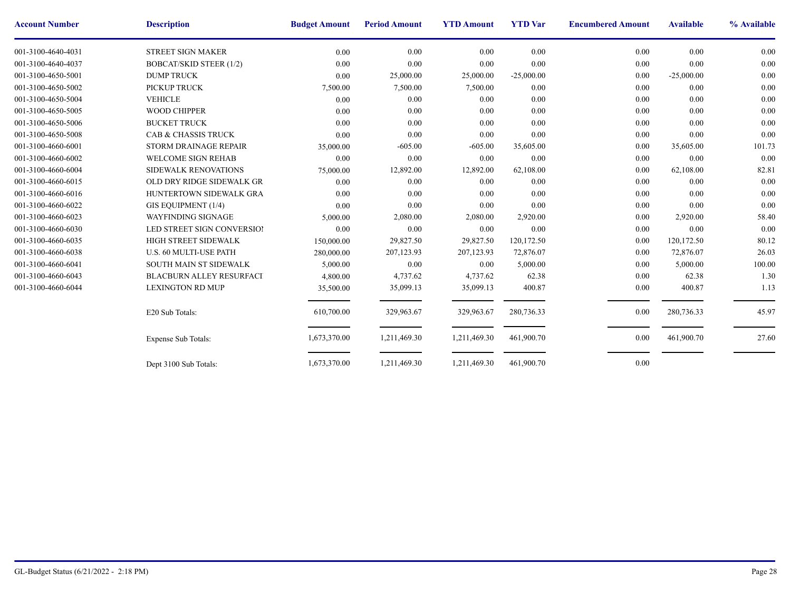| <b>Account Number</b> | <b>Description</b>              | <b>Budget Amount</b> | <b>Period Amount</b> | <b>YTD Amount</b> | <b>YTD</b> Var | <b>Encumbere</b> |
|-----------------------|---------------------------------|----------------------|----------------------|-------------------|----------------|------------------|
| 001-3100-4640-4031    | <b>STREET SIGN MAKER</b>        | 0.00                 | 0.00                 | 0.00              | 0.00           |                  |
| 001-3100-4640-4037    | <b>BOBCAT/SKID STEER (1/2)</b>  | 0.00                 | 0.00                 | 0.00              | 0.00           |                  |
| 001-3100-4650-5001    | <b>DUMP TRUCK</b>               | 0.00                 | 25,000.00            | 25,000.00         | $-25,000.00$   |                  |
| 001-3100-4650-5002    | PICKUP TRUCK                    | 7,500.00             | 7,500.00             | 7,500.00          | 0.00           |                  |
| 001-3100-4650-5004    | <b>VEHICLE</b>                  | 0.00                 | 0.00                 | 0.00              | 0.00           |                  |
| 001-3100-4650-5005    | <b>WOOD CHIPPER</b>             | 0.00                 | 0.00                 | 0.00              | 0.00           |                  |
| 001-3100-4650-5006    | <b>BUCKET TRUCK</b>             | 0.00                 | 0.00                 | 0.00              | 0.00           |                  |
| 001-3100-4650-5008    | CAB & CHASSIS TRUCK             | 0.00                 | 0.00                 | 0.00              | 0.00           |                  |
| 001-3100-4660-6001    | STORM DRAINAGE REPAIR           | 35,000.00            | $-605.00$            | $-605.00$         | 35,605.00      |                  |
| 001-3100-4660-6002    | <b>WELCOME SIGN REHAB</b>       | 0.00                 | 0.00                 | 0.00              | 0.00           |                  |
| 001-3100-4660-6004    | SIDEWALK RENOVATIONS            | 75,000.00            | 12,892.00            | 12,892.00         | 62,108.00      |                  |
| 001-3100-4660-6015    | OLD DRY RIDGE SIDEWALK GR       | 0.00                 | 0.00                 | 0.00              | 0.00           |                  |
| 001-3100-4660-6016    | HUNTERTOWN SIDEWALK GRA         | 0.00                 | 0.00                 | 0.00              | 0.00           |                  |
| 001-3100-4660-6022    | GIS EQUIPMENT (1/4)             | 0.00                 | 0.00                 | 0.00              | 0.00           |                  |
| 001-3100-4660-6023    | WAYFINDING SIGNAGE              | 5,000.00             | 2,080.00             | 2,080.00          | 2,920.00       |                  |
| 001-3100-4660-6030    | LED STREET SIGN CONVERSIOI      | 0.00                 | 0.00                 | 0.00              | 0.00           |                  |
| 001-3100-4660-6035    | HIGH STREET SIDEWALK            | 150,000.00           | 29,827.50            | 29,827.50         | 120,172.50     |                  |
| 001-3100-4660-6038    | U.S. 60 MULTI-USE PATH          | 280,000.00           | 207,123.93           | 207,123.93        | 72,876.07      |                  |
| 001-3100-4660-6041    | <b>SOUTH MAIN ST SIDEWALK</b>   | 5,000.00             | 0.00                 | 0.00              | 5,000.00       |                  |
| 001-3100-4660-6043    | <b>BLACBURN ALLEY RESURFACI</b> | 4,800.00             | 4,737.62             | 4,737.62          | 62.38          |                  |
| 001-3100-4660-6044    | <b>LEXINGTON RD MUP</b>         | 35,500.00            | 35,099.13            | 35,099.13         | 400.87         |                  |
|                       | E20 Sub Totals:                 | 610,700.00           | 329,963.67           | 329,963.67        | 280,736.33     |                  |
|                       | <b>Expense Sub Totals:</b>      | 1,673,370.00         | 1,211,469.30         | 1,211,469.30      | 461,900.70     |                  |
|                       | Dept 3100 Sub Totals:           | 1,673,370.00         | 1,211,469.30         | 1,211,469.30      | 461,900.70     |                  |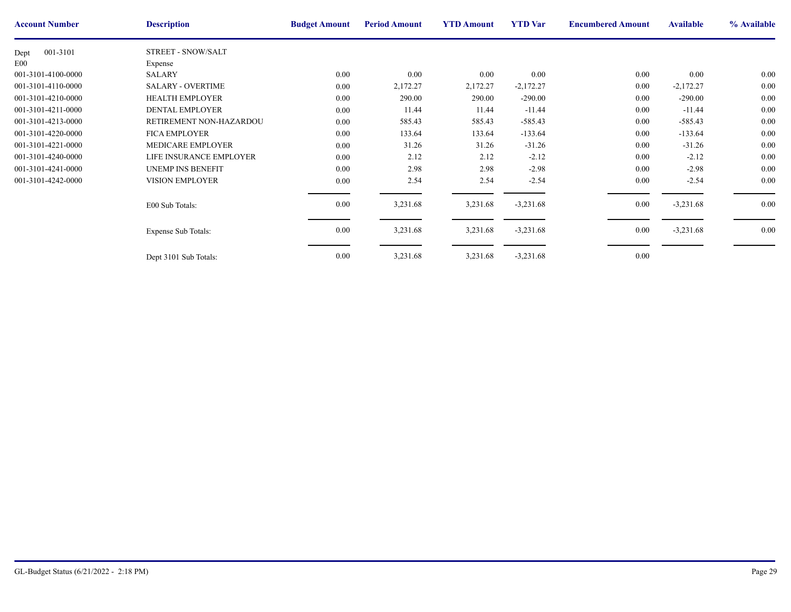| <b>Account Number</b> | <b>Description</b>         | <b>Budget Amount</b> | <b>Period Amount</b> | <b>YTD Amount</b> | <b>YTD</b> Var | <b>Encumbere</b> |
|-----------------------|----------------------------|----------------------|----------------------|-------------------|----------------|------------------|
| 001-3101<br>Dept      | STREET - SNOW/SALT         |                      |                      |                   |                |                  |
| E00                   | Expense                    |                      |                      |                   |                |                  |
| 001-3101-4100-0000    | <b>SALARY</b>              | 0.00                 | 0.00                 | $0.00\,$          | 0.00           |                  |
| 001-3101-4110-0000    | <b>SALARY - OVERTIME</b>   | 0.00                 | 2,172.27             | 2,172.27          | $-2,172.27$    |                  |
| 001-3101-4210-0000    | <b>HEALTH EMPLOYER</b>     | 0.00                 | 290.00               | 290.00            | $-290.00$      |                  |
| 001-3101-4211-0000    | <b>DENTAL EMPLOYER</b>     | 0.00                 | 11.44                | 11.44             | $-11.44$       |                  |
| 001-3101-4213-0000    | RETIREMENT NON-HAZARDOU    | 0.00                 | 585.43               | 585.43            | $-585.43$      |                  |
| 001-3101-4220-0000    | <b>FICA EMPLOYER</b>       | 0.00                 | 133.64               | 133.64            | $-133.64$      |                  |
| 001-3101-4221-0000    | MEDICARE EMPLOYER          | 0.00                 | 31.26                | 31.26             | $-31.26$       |                  |
| 001-3101-4240-0000    | LIFE INSURANCE EMPLOYER    | 0.00                 | 2.12                 | 2.12              | $-2.12$        |                  |
| 001-3101-4241-0000    | <b>UNEMP INS BENEFIT</b>   | 0.00                 | 2.98                 | 2.98              | $-2.98$        |                  |
| 001-3101-4242-0000    | VISION EMPLOYER            | 0.00                 | 2.54                 | 2.54              | $-2.54$        |                  |
|                       | E00 Sub Totals:            | 0.00                 | 3,231.68             | 3,231.68          | $-3,231.68$    |                  |
|                       | <b>Expense Sub Totals:</b> | 0.00                 | 3,231.68             | 3,231.68          | $-3,231.68$    |                  |
|                       | Dept 3101 Sub Totals:      | 0.00                 | 3,231.68             | 3,231.68          | $-3,231.68$    |                  |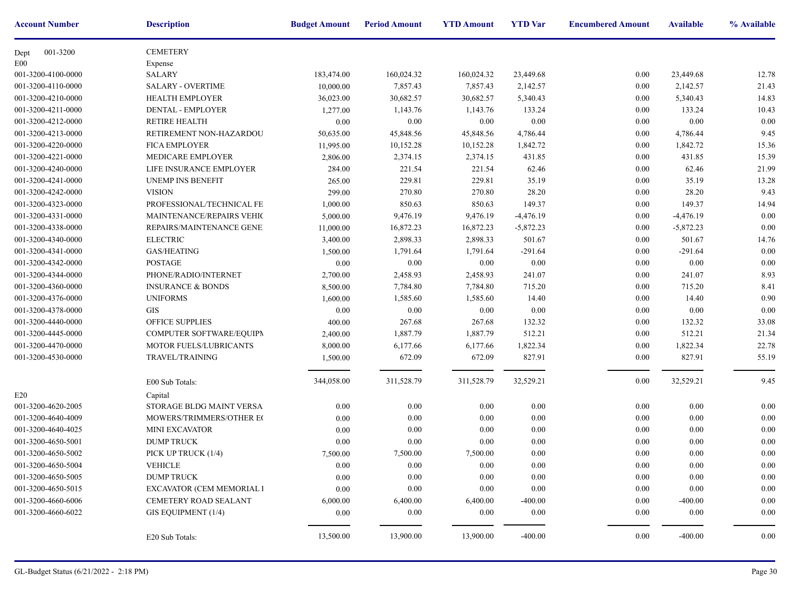| <b>Account Number</b> | <b>Description</b>           | <b>Budget Amount</b> | <b>Period Amount</b> | <b>YTD Amount</b> | <b>YTD</b> Var | <b>Encumbere</b> |
|-----------------------|------------------------------|----------------------|----------------------|-------------------|----------------|------------------|
| 001-3200<br>Dept      | <b>CEMETERY</b>              |                      |                      |                   |                |                  |
| E <sub>00</sub>       | Expense                      |                      |                      |                   |                |                  |
| 001-3200-4100-0000    | <b>SALARY</b>                | 183,474.00           | 160,024.32           | 160,024.32        | 23,449.68      |                  |
| 001-3200-4110-0000    | <b>SALARY - OVERTIME</b>     | 10,000.00            | 7,857.43             | 7,857.43          | 2,142.57       |                  |
| 001-3200-4210-0000    | <b>HEALTH EMPLOYER</b>       | 36,023.00            | 30,682.57            | 30,682.57         | 5,340.43       |                  |
| 001-3200-4211-0000    | DENTAL - EMPLOYER            | 1,277.00             | 1,143.76             | 1,143.76          | 133.24         |                  |
| 001-3200-4212-0000    | <b>RETIRE HEALTH</b>         | 0.00                 | 0.00                 | 0.00              | 0.00           |                  |
| 001-3200-4213-0000    | RETIREMENT NON-HAZARDOU      | 50,635.00            | 45,848.56            | 45,848.56         | 4,786.44       |                  |
| 001-3200-4220-0000    | <b>FICA EMPLOYER</b>         | 11,995.00            | 10,152.28            | 10,152.28         | 1,842.72       |                  |
| 001-3200-4221-0000    | MEDICARE EMPLOYER            | 2,806.00             | 2,374.15             | 2,374.15          | 431.85         |                  |
| 001-3200-4240-0000    | LIFE INSURANCE EMPLOYER      | 284.00               | 221.54               | 221.54            | 62.46          |                  |
| 001-3200-4241-0000    | UNEMP INS BENEFIT            | 265.00               | 229.81               | 229.81            | 35.19          |                  |
| 001-3200-4242-0000    | <b>VISION</b>                | 299.00               | 270.80               | 270.80            | 28.20          |                  |
| 001-3200-4323-0000    | PROFESSIONAL/TECHNICAL FE    | 1,000.00             | 850.63               | 850.63            | 149.37         |                  |
| 001-3200-4331-0000    | MAINTENANCE/REPAIRS VEHIC    | 5,000.00             | 9,476.19             | 9,476.19          | $-4,476.19$    |                  |
| 001-3200-4338-0000    | REPAIRS/MAINTENANCE GENE!    | 11,000.00            | 16,872.23            | 16,872.23         | $-5,872.23$    |                  |
| 001-3200-4340-0000    | <b>ELECTRIC</b>              | 3,400.00             | 2,898.33             | 2,898.33          | 501.67         |                  |
| 001-3200-4341-0000    | <b>GAS/HEATING</b>           | 1,500.00             | 1,791.64             | 1,791.64          | $-291.64$      |                  |
| 001-3200-4342-0000    | <b>POSTAGE</b>               | $0.00\,$             | 0.00                 | 0.00              | 0.00           |                  |
| 001-3200-4344-0000    | PHONE/RADIO/INTERNET         | 2,700.00             | 2,458.93             | 2,458.93          | 241.07         |                  |
| 001-3200-4360-0000    | <b>INSURANCE &amp; BONDS</b> | 8,500.00             | 7,784.80             | 7,784.80          | 715.20         |                  |
| 001-3200-4376-0000    | <b>UNIFORMS</b>              | 1,600.00             | 1,585.60             | 1,585.60          | 14.40          |                  |
| 001-3200-4378-0000    | <b>GIS</b>                   | 0.00                 | $0.00\,$             | 0.00              | 0.00           |                  |
| 001-3200-4440-0000    | <b>OFFICE SUPPLIES</b>       | 400.00               | 267.68               | 267.68            | 132.32         |                  |
| 001-3200-4445-0000    | COMPUTER SOFTWARE/EQUIPM     | 2,400.00             | 1,887.79             | 1,887.79          | 512.21         |                  |
| 001-3200-4470-0000    | MOTOR FUELS/LUBRICANTS       | 8,000.00             | 6,177.66             | 6,177.66          | 1,822.34       |                  |
| 001-3200-4530-0000    | TRAVEL/TRAINING              | 1,500.00             | 672.09               | 672.09            | 827.91         |                  |
|                       |                              |                      |                      |                   |                |                  |
|                       | E00 Sub Totals:              | 344,058.00           | 311,528.79           | 311,528.79        | 32,529.21      |                  |
| E20                   | Capital                      |                      |                      |                   |                |                  |
| 001-3200-4620-2005    | STORAGE BLDG MAINT VERSA     | 0.00                 | 0.00                 | 0.00              | 0.00           |                  |
| 001-3200-4640-4009    | MOWERS/TRIMMERS/OTHER EC     | 0.00                 | 0.00                 | 0.00              | 0.00           |                  |
| 001-3200-4640-4025    | <b>MINI EXCAVATOR</b>        | 0.00                 | 0.00                 | 0.00              | 0.00           |                  |
| 001-3200-4650-5001    | <b>DUMP TRUCK</b>            | 0.00                 | 0.00                 | $0.00\,$          | 0.00           |                  |
| 001-3200-4650-5002    | PICK UP TRUCK (1/4)          | 7,500.00             | 7,500.00             | 7,500.00          | 0.00           |                  |
| 001-3200-4650-5004    | VEHICLE                      | $0.00\,$             | $0.00\,$             | $0.00\,$          | $0.00\,$       |                  |
| 001-3200-4650-5005    | <b>DUMP TRUCK</b>            | 0.00                 | 0.00                 | 0.00              | 0.00           |                  |
| 001-3200-4650-5015    | EXCAVATOR (CEM MEMORIAL I    | 0.00                 | $0.00\,$             | $0.00\,$          | $0.00\,$       |                  |
| 001-3200-4660-6006    | CEMETERY ROAD SEALANT        | 6,000.00             | 6,400.00             | 6,400.00          | $-400.00$      |                  |
| 001-3200-4660-6022    | GIS EQUIPMENT (1/4)          | 0.00                 | 0.00                 | $0.00\,$          | 0.00           |                  |
|                       | E20 Sub Totals:              | 13,500.00            | 13,900.00            | 13,900.00         | $-400.00$      |                  |
|                       |                              |                      |                      |                   |                |                  |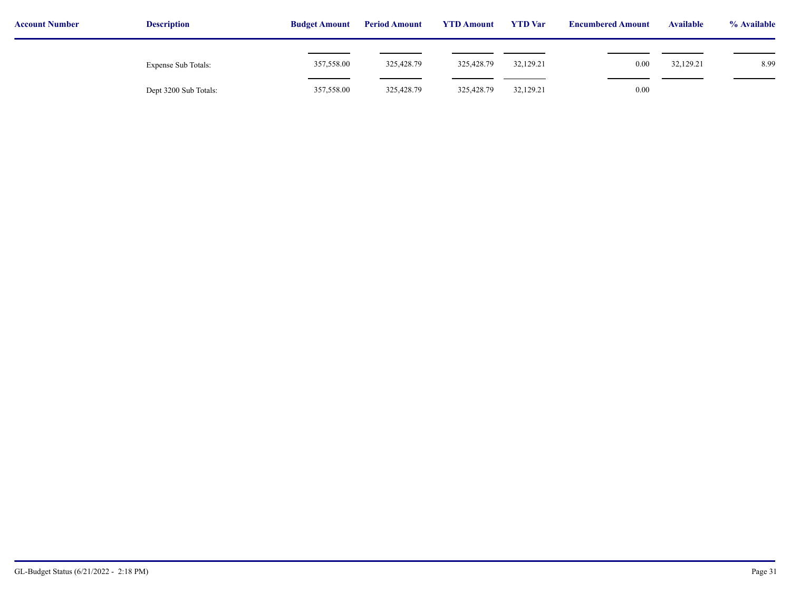| <b>Account Number</b> | <b>Description</b>    | <b>Budget Amount</b> | <b>Period Amount</b> | <b>YTD Amount</b> | <b>YTD</b> Var | <b>Encumbered Amount</b> | <b>Available</b> | % Available |  |
|-----------------------|-----------------------|----------------------|----------------------|-------------------|----------------|--------------------------|------------------|-------------|--|
|                       | Expense Sub Totals:   | 357,558.00           | 325,428.79           | 325,428.79        | 32,129.21      | 0.00                     | 32,129.21        | 8.99        |  |
|                       | Dept 3200 Sub Totals: | 357,558.00           | 325,428.79           | 325,428.79        | 32,129.21      | 0.00                     |                  |             |  |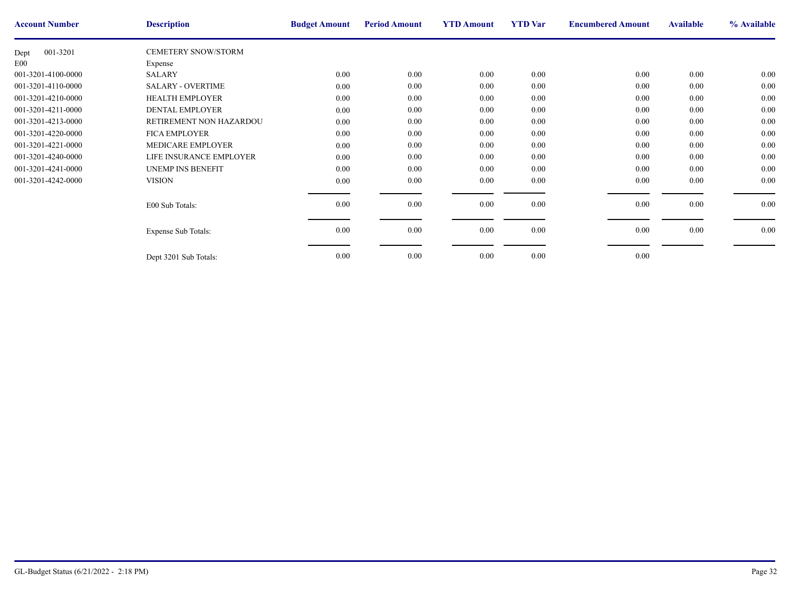| <b>Account Number</b> | <b>Description</b>         | <b>Budget Amount</b> | <b>Period Amount</b> | <b>YTD Amount</b> | <b>YTD</b> Var | <b>Encumbere</b> |
|-----------------------|----------------------------|----------------------|----------------------|-------------------|----------------|------------------|
| 001-3201<br>Dept      | <b>CEMETERY SNOW/STORM</b> |                      |                      |                   |                |                  |
| E <sub>00</sub>       | Expense                    |                      |                      |                   |                |                  |
| 001-3201-4100-0000    | <b>SALARY</b>              | 0.00                 | 0.00                 | 0.00              | 0.00           |                  |
| 001-3201-4110-0000    | <b>SALARY - OVERTIME</b>   | 0.00                 | $0.00\,$             | 0.00              | 0.00           |                  |
| 001-3201-4210-0000    | <b>HEALTH EMPLOYER</b>     | 0.00                 | 0.00                 | 0.00              | 0.00           |                  |
| 001-3201-4211-0000    | <b>DENTAL EMPLOYER</b>     | $0.00\,$             | $0.00\,$             | 0.00              | 0.00           |                  |
| 001-3201-4213-0000    | RETIREMENT NON HAZARDOU    | $0.00\,$             | 0.00                 | $0.00\,$          | 0.00           |                  |
| 001-3201-4220-0000    | <b>FICA EMPLOYER</b>       | $0.00\,$             | 0.00                 | 0.00              | 0.00           |                  |
| 001-3201-4221-0000    | MEDICARE EMPLOYER          | $0.00\,$             | 0.00                 | 0.00              | 0.00           |                  |
| 001-3201-4240-0000    | LIFE INSURANCE EMPLOYER    | $0.00\,$             | $0.00\,$             | 0.00              | 0.00           |                  |
| 001-3201-4241-0000    | <b>UNEMP INS BENEFIT</b>   | $0.00\,$             | 0.00                 | 0.00              | 0.00           |                  |
| 001-3201-4242-0000    | <b>VISION</b>              | $0.00\,$             | 0.00                 | $0.00\,$          | 0.00           |                  |
|                       |                            |                      |                      |                   |                |                  |
|                       | E00 Sub Totals:            | $0.00\,$             | 0.00                 | 0.00              | 0.00           |                  |
|                       |                            |                      |                      |                   |                |                  |
|                       | <b>Expense Sub Totals:</b> | $0.00\,$             | $0.00\,$             | $0.00\,$          | 0.00           |                  |
|                       |                            |                      |                      |                   |                |                  |
|                       | Dept 3201 Sub Totals:      | $0.00\,$             | 0.00                 | 0.00              | 0.00           |                  |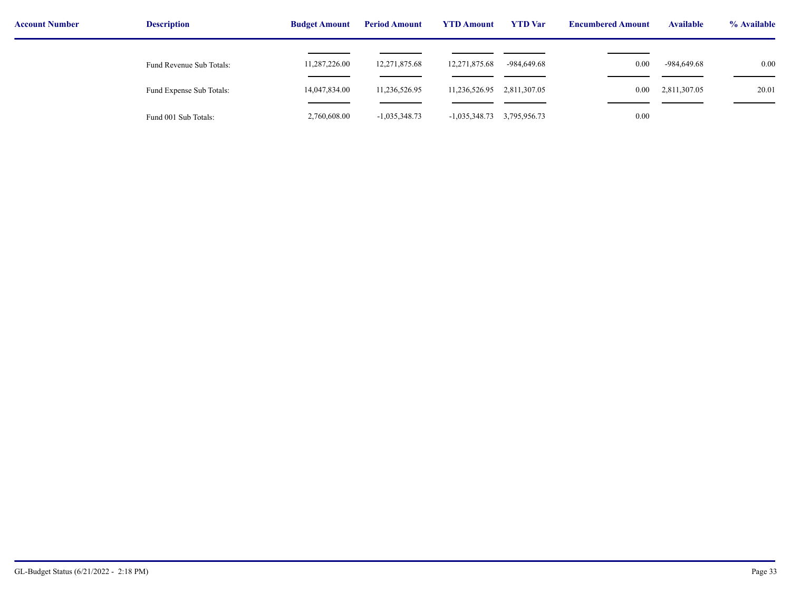| <b>Account Number</b> | <b>Description</b>       | <b>Budget Amount</b> | <b>YTD Amount</b><br><b>Period Amount</b> |                 | <b>YTD</b> Var | <b>Encumbered Amount</b> | <b>Available</b> | % Available |
|-----------------------|--------------------------|----------------------|-------------------------------------------|-----------------|----------------|--------------------------|------------------|-------------|
|                       | Fund Revenue Sub Totals: | 11,287,226.00        | 12,271,875.68                             | 12,271,875.68   | -984,649.68    | 0.00                     | -984,649.68      | 0.00        |
|                       | Fund Expense Sub Totals: | 14,047,834.00        | 11,236,526.95                             | 11,236,526.95   | 2,811,307.05   | $0.00\,$                 | 2,811,307.05     | 20.01       |
|                       | Fund 001 Sub Totals:     | 2,760,608.00         | $-1,035,348.73$                           | $-1,035,348.73$ | 3,795,956.73   | 0.00                     |                  |             |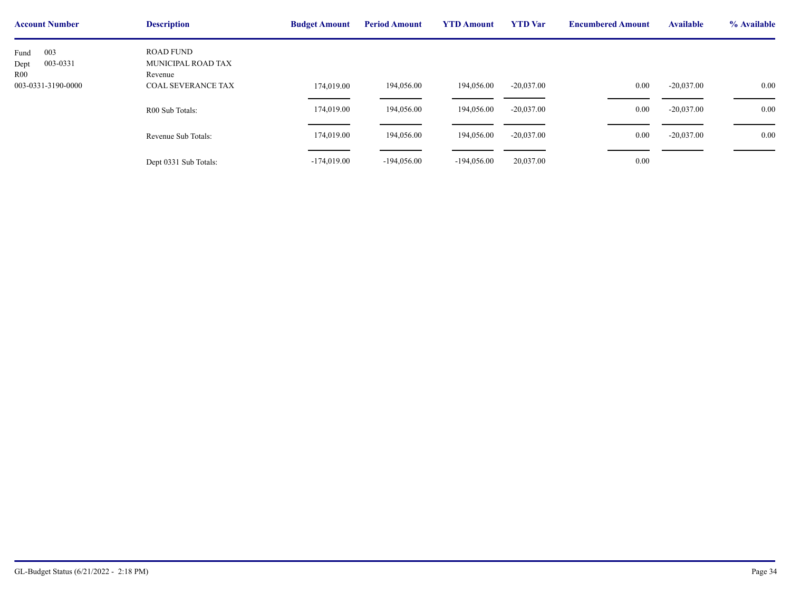| <b>Account Number</b>                                        | <b>Description</b>                                                             | <b>Budget Amount</b>     | <b>Period Amount</b> | <b>YTD Amount</b> | <b>YTD</b> Var | <b>Encumbere</b> |
|--------------------------------------------------------------|--------------------------------------------------------------------------------|--------------------------|----------------------|-------------------|----------------|------------------|
| 003<br>Fund<br>003-0331<br>Dept<br>R00<br>003-0331-3190-0000 | <b>ROAD FUND</b><br>MUNICIPAL ROAD TAX<br>Revenue<br><b>COAL SEVERANCE TAX</b> |                          | 194,056.00           | 194,056.00        | $-20,037.00$   |                  |
|                                                              | R00 Sub Totals:                                                                | 174,019.00<br>174,019.00 | 194,056.00           | 194,056.00        | $-20,037.00$   |                  |
|                                                              | Revenue Sub Totals:                                                            | 174,019.00               | 194,056.00           | 194,056.00        | $-20,037.00$   |                  |
|                                                              | Dept 0331 Sub Totals:                                                          | $-174,019.00$            | $-194,056.00$        | $-194,056.00$     | 20,037.00      |                  |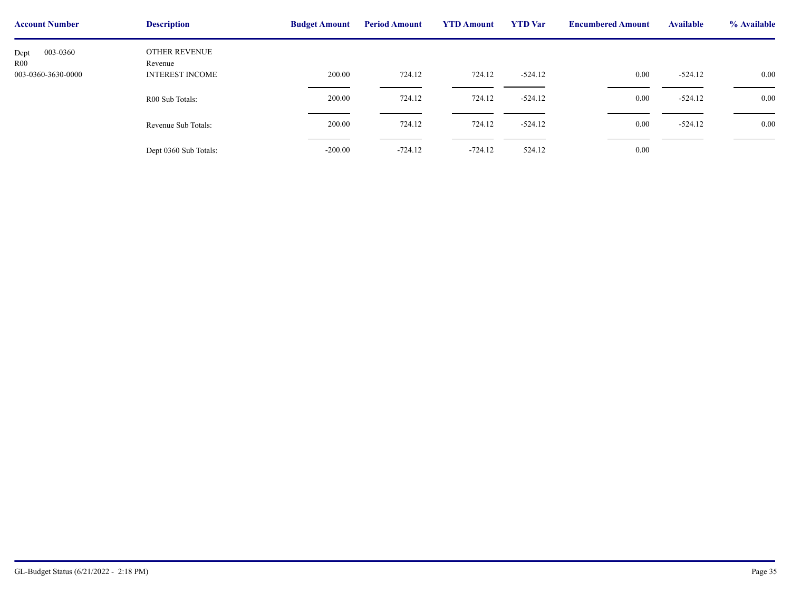| <b>Account Number</b>   | <b>Description</b>       | <b>Budget Amount</b> | <b>Period Amount</b> | <b>YTD Amount</b> | <b>YTD</b> Var | <b>Encumbere</b> |
|-------------------------|--------------------------|----------------------|----------------------|-------------------|----------------|------------------|
| 003-0360<br>Dept<br>R00 | OTHER REVENUE<br>Revenue |                      |                      |                   |                |                  |
| 003-0360-3630-0000      | <b>INTEREST INCOME</b>   | 200.00               | 724.12               | 724.12            | $-524.12$      |                  |
|                         | R00 Sub Totals:          | 200.00               | 724.12               | 724.12            | $-524.12$      |                  |
|                         | Revenue Sub Totals:      | 200.00               | 724.12               | 724.12            | $-524.12$      |                  |
|                         | Dept 0360 Sub Totals:    | $-200.00$            | $-724.12$            | $-724.12$         | 524.12         |                  |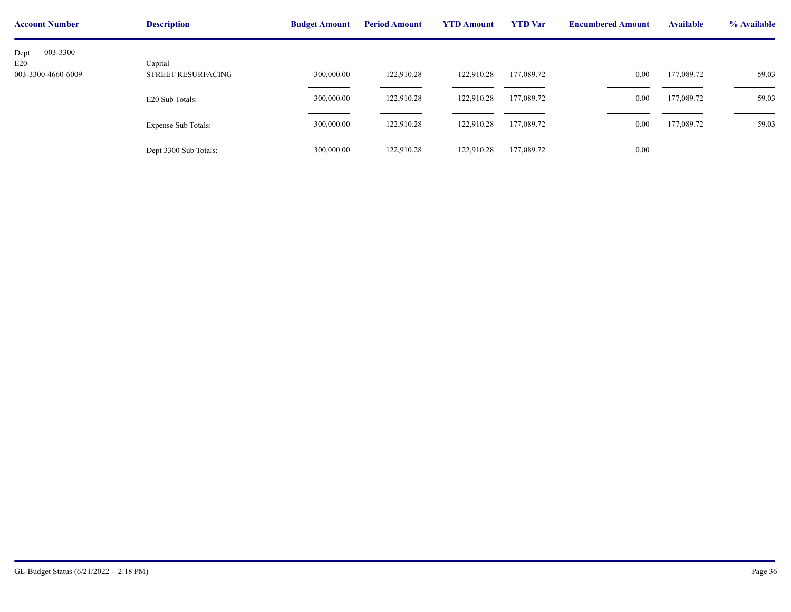| <b>Account Number</b>     | <b>Description</b>                   | <b>Budget Amount</b> | <b>Period Amount</b> | <b>YTD Amount</b> | <b>YTD</b> Var | <b>Encumbere</b> |
|---------------------------|--------------------------------------|----------------------|----------------------|-------------------|----------------|------------------|
| 003-3300<br>Dept          |                                      |                      |                      |                   |                |                  |
| E20<br>003-3300-4660-6009 | Capital<br><b>STREET RESURFACING</b> | 300,000.00           | 122,910.28           | 122,910.28        | 177,089.72     |                  |
|                           | E20 Sub Totals:                      | 300,000.00           | 122,910.28           | 122,910.28        | 177,089.72     |                  |
|                           | <b>Expense Sub Totals:</b>           | 300,000.00           | 122,910.28           | 122,910.28        | 177,089.72     |                  |
|                           | Dept 3300 Sub Totals:                | 300,000.00           | 122,910.28           | 122,910.28        | 177,089.72     |                  |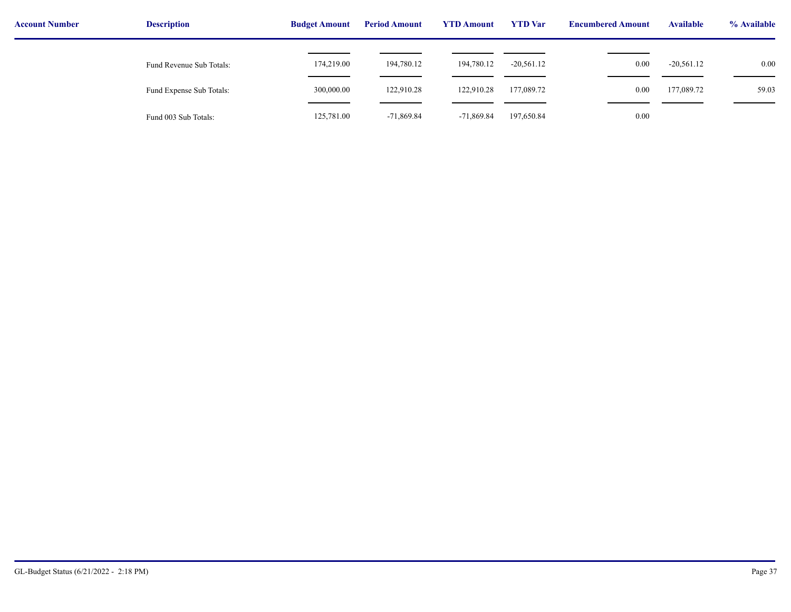| <b>Account Number</b> | <b>Description</b>       | <b>Budget Amount</b> | <b>Period Amount</b> | <b>YTD Amount</b> | <b>YTD</b> Var | <b>Encumbered Amount</b> | <b>Available</b> | % Available |
|-----------------------|--------------------------|----------------------|----------------------|-------------------|----------------|--------------------------|------------------|-------------|
|                       | Fund Revenue Sub Totals: | 174,219.00           | 194,780.12           | 194,780.12        | $-20,561.12$   | 0.00                     | $-20,561.12$     | 0.00        |
|                       | Fund Expense Sub Totals: | 300,000.00           | 122,910.28           | 122,910.28        | 177,089.72     | 0.00                     | 177,089.72       | 59.03       |
|                       | Fund 003 Sub Totals:     | 125,781.00           | $-71,869.84$         | $-71,869.84$      | 197,650.84     | 0.00                     |                  |             |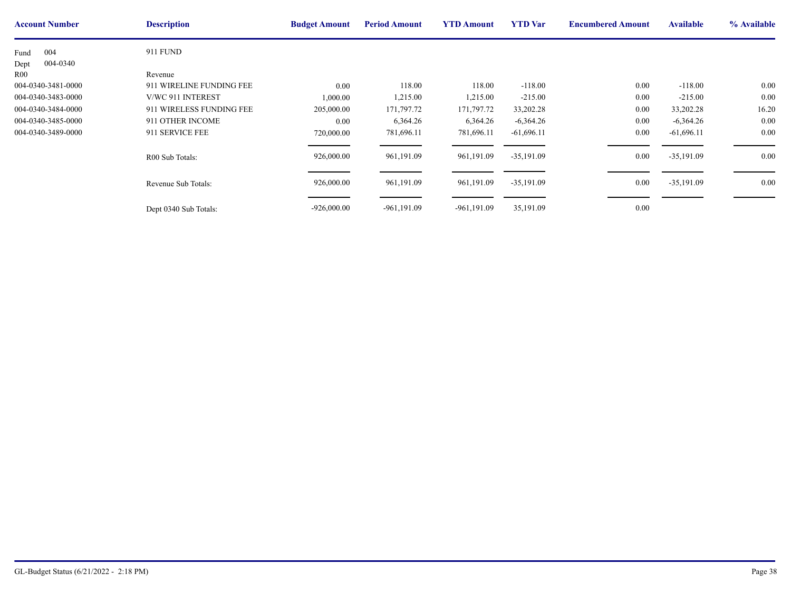| <b>Account Number</b>     | <b>Description</b>                  | <b>Budget Amount</b> | <b>Period Amount</b> | <b>YTD Amount</b> | <b>YTD</b> Var | <b>Encumbere</b> |
|---------------------------|-------------------------------------|----------------------|----------------------|-------------------|----------------|------------------|
| 004<br>Fund               | <b>911 FUND</b>                     |                      |                      |                   |                |                  |
| 004-0340<br>Dept          |                                     |                      |                      |                   |                |                  |
| R00<br>004-0340-3481-0000 | Revenue<br>911 WIRELINE FUNDING FEE | 0.00                 | 118.00               | 118.00            | $-118.00$      |                  |
| 004-0340-3483-0000        | V/WC 911 INTEREST                   | 000.00               | 1,215.00             | 1,215.00          | $-215.00$      |                  |
| 004-0340-3484-0000        | 911 WIRELESS FUNDING FEE            | 205,000.00           | 171,797.72           | 171,797.72        | 33,202.28      |                  |
| 004-0340-3485-0000        | 911 OTHER INCOME                    | $0.00\,$             | 6,364.26             | 6,364.26          | $-6,364.26$    |                  |
| 004-0340-3489-0000        | 911 SERVICE FEE                     | 720,000.00           | 781,696.11           | 781,696.11        | $-61,696.11$   |                  |
|                           | R00 Sub Totals:                     | 926,000.00           | 961,191.09           | 961,191.09        | $-35,191.09$   |                  |
|                           | Revenue Sub Totals:                 | 926,000.00           | 961,191.09           | 961,191.09        | $-35,191.09$   |                  |
|                           | Dept 0340 Sub Totals:               | $-926,000.00$        | $-961, 191.09$       | $-961,191.09$     | 35,191.09      |                  |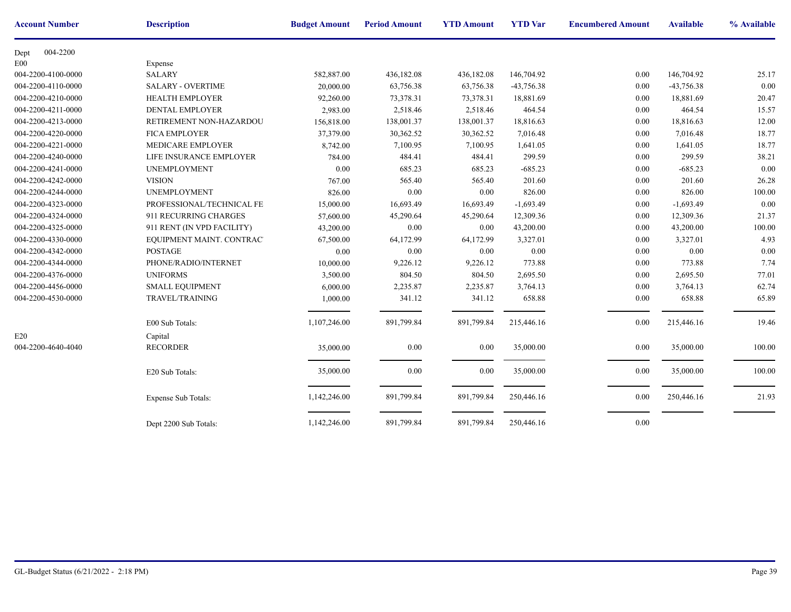| <b>Account Number</b> | <b>Description</b>         | <b>Budget Amount</b> | <b>Period Amount</b> | <b>YTD Amount</b> | <b>YTD</b> Var | <b>Encumbere</b> |
|-----------------------|----------------------------|----------------------|----------------------|-------------------|----------------|------------------|
| 004-2200<br>Dept      |                            |                      |                      |                   |                |                  |
| E00                   | Expense                    |                      |                      |                   |                |                  |
| 004-2200-4100-0000    | <b>SALARY</b>              | 582,887.00           | 436,182.08           | 436,182.08        | 146,704.92     |                  |
| 004-2200-4110-0000    | <b>SALARY - OVERTIME</b>   | 20,000.00            | 63,756.38            | 63,756.38         | -43,756.38     |                  |
| 004-2200-4210-0000    | <b>HEALTH EMPLOYER</b>     | 92,260.00            | 73,378.31            | 73,378.31         | 18,881.69      |                  |
| 004-2200-4211-0000    | <b>DENTAL EMPLOYER</b>     | 2,983.00             | 2,518.46             | 2,518.46          | 464.54         |                  |
| 004-2200-4213-0000    | RETIREMENT NON-HAZARDOU    | 156,818.00           | 138,001.37           | 138,001.37        | 18,816.63      |                  |
| 004-2200-4220-0000    | <b>FICA EMPLOYER</b>       | 37,379.00            | 30,362.52            | 30,362.52         | 7,016.48       |                  |
| 004-2200-4221-0000    | MEDICARE EMPLOYER          | 8,742.00             | 7,100.95             | 7,100.95          | 1,641.05       |                  |
| 004-2200-4240-0000    | LIFE INSURANCE EMPLOYER    | 784.00               | 484.41               | 484.41            | 299.59         |                  |
| 004-2200-4241-0000    | <b>UNEMPLOYMENT</b>        | 0.00                 | 685.23               | 685.23            | $-685.23$      |                  |
| 004-2200-4242-0000    | <b>VISION</b>              | 767.00               | 565.40               | 565.40            | 201.60         |                  |
| 004-2200-4244-0000    | <b>UNEMPLOYMENT</b>        | 826.00               | 0.00                 | 0.00              | 826.00         |                  |
| 004-2200-4323-0000    | PROFESSIONAL/TECHNICAL FE  | 15,000.00            | 16,693.49            | 16,693.49         | $-1,693.49$    |                  |
| 004-2200-4324-0000    | 911 RECURRING CHARGES      | 57,600.00            | 45,290.64            | 45,290.64         | 12,309.36      |                  |
| 004-2200-4325-0000    | 911 RENT (IN VPD FACILITY) | 43,200.00            | $0.00\,$             | 0.00              | 43,200.00      |                  |
| 004-2200-4330-0000    | EQUIPMENT MAINT. CONTRAC'  | 67,500.00            | 64,172.99            | 64,172.99         | 3,327.01       |                  |
| 004-2200-4342-0000    | <b>POSTAGE</b>             | 0.00                 | 0.00                 | 0.00              | 0.00           |                  |
| 004-2200-4344-0000    | PHONE/RADIO/INTERNET       | 10,000.00            | 9,226.12             | 9,226.12          | 773.88         |                  |
| 004-2200-4376-0000    | <b>UNIFORMS</b>            | 3,500.00             | 804.50               | 804.50            | 2,695.50       |                  |
| 004-2200-4456-0000    | <b>SMALL EQUIPMENT</b>     | 6,000.00             | 2,235.87             | 2,235.87          | 3,764.13       |                  |
| 004-2200-4530-0000    | <b>TRAVEL/TRAINING</b>     | 1,000.00             | 341.12               | 341.12            | 658.88         |                  |
|                       |                            |                      |                      |                   |                |                  |
|                       | E00 Sub Totals:            | 1,107,246.00         | 891,799.84           | 891,799.84        | 215,446.16     |                  |
| E20                   | Capital                    |                      |                      |                   |                |                  |
| 004-2200-4640-4040    | <b>RECORDER</b>            | 35,000.00            | 0.00                 | $0.00\,$          | 35,000.00      |                  |
|                       |                            |                      |                      |                   |                |                  |
|                       | E20 Sub Totals:            | 35,000.00            | 0.00                 | 0.00              | 35,000.00      |                  |
|                       |                            |                      |                      |                   |                |                  |
|                       | <b>Expense Sub Totals:</b> | 1,142,246.00         | 891,799.84           | 891,799.84        | 250,446.16     |                  |
|                       |                            |                      |                      |                   |                |                  |
|                       | Dept 2200 Sub Totals:      | 1,142,246.00         | 891,799.84           | 891,799.84        | 250,446.16     |                  |
|                       |                            |                      |                      |                   |                |                  |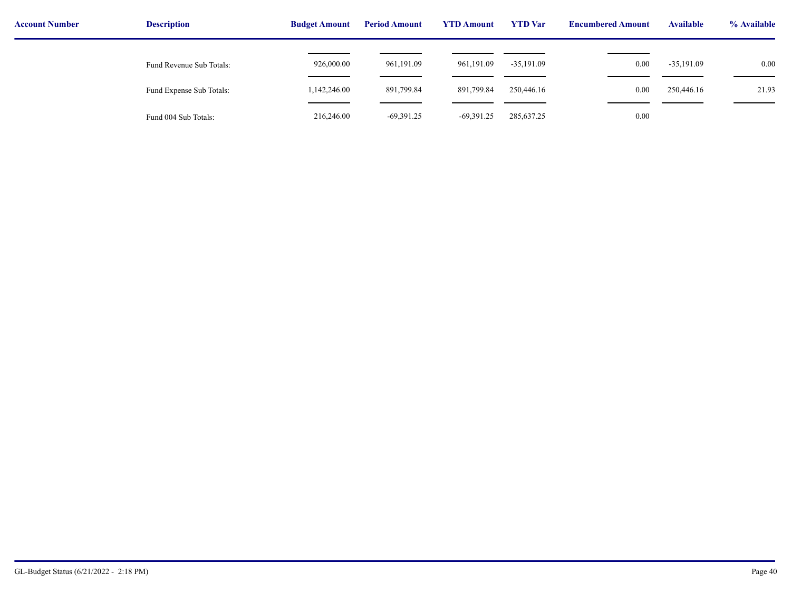| <b>Account Number</b> | <b>Description</b>       | <b>Period Amount</b><br><b>Budget Amount</b> |              | <b>YTD Amount</b> | <b>YTD</b> Var | <b>Encumbered Amount</b> | <b>Available</b> | % Available |  |
|-----------------------|--------------------------|----------------------------------------------|--------------|-------------------|----------------|--------------------------|------------------|-------------|--|
|                       | Fund Revenue Sub Totals: | 926,000.00                                   | 961,191.09   | 961,191.09        | $-35,191.09$   | 0.00                     | $-35,191.09$     | 0.00        |  |
|                       | Fund Expense Sub Totals: | 1,142,246.00                                 | 891,799.84   | 891,799.84        | 250,446.16     | 0.00                     | 250,446.16       | 21.93       |  |
|                       | Fund 004 Sub Totals:     | 216,246.00                                   | $-69,391.25$ | $-69,391.25$      | 285,637.25     | 0.00                     |                  |             |  |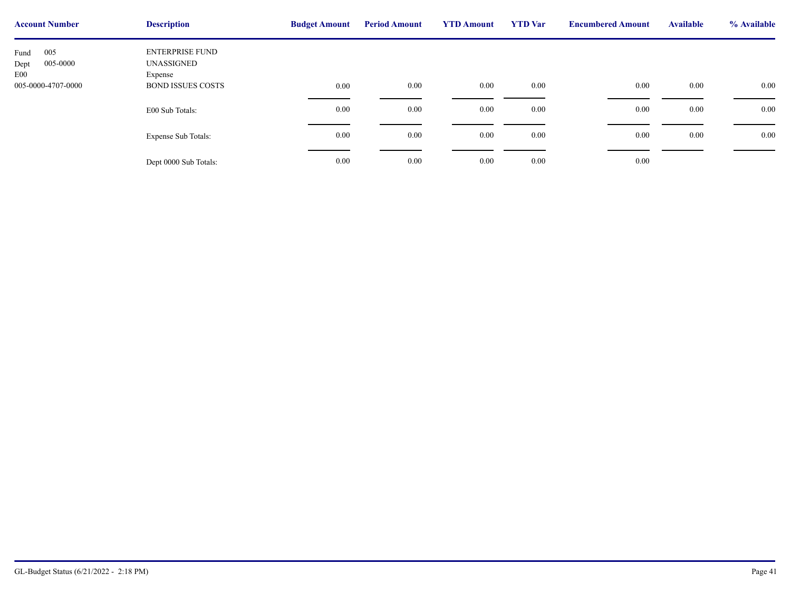| <b>Account Number</b>                  | <b>Description</b>                       | <b>Budget Amount</b> | <b>Period Amount</b> | <b>YTD Amount</b> | <b>YTD</b> Var | <b>Encumbere</b> |
|----------------------------------------|------------------------------------------|----------------------|----------------------|-------------------|----------------|------------------|
| 005<br>Fund<br>005-0000<br>Dept<br>E00 | ENTERPRISE FUND<br>UNASSIGNED<br>Expense |                      |                      |                   |                |                  |
| 005-0000-4707-0000                     | <b>BOND ISSUES COSTS</b>                 | $0.00\,$             | 0.00                 | 0.00              | $0.00\,$       |                  |
|                                        | E00 Sub Totals:                          | $0.00\,$             | 0.00                 | 0.00              | $0.00\,$       |                  |
|                                        | <b>Expense Sub Totals:</b>               | 0.00                 | 0.00                 | 0.00              | $0.00\,$       |                  |
|                                        | Dept 0000 Sub Totals:                    | 0.00                 | 0.00                 | 0.00              | $0.00\,$       |                  |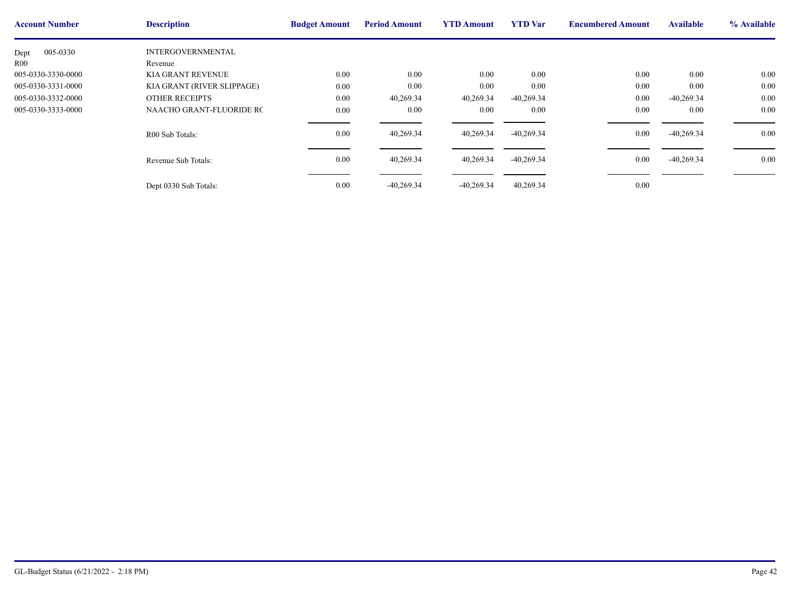| <b>Account Number</b> | <b>Description</b>         | <b>Budget Amount</b> | <b>Period Amount</b> | <b>YTD Amount</b> | <b>YTD</b> Var | <b>Encumbere</b> |
|-----------------------|----------------------------|----------------------|----------------------|-------------------|----------------|------------------|
| 005-0330<br>Dept      | <b>INTERGOVERNMENTAL</b>   |                      |                      |                   |                |                  |
| R <sub>00</sub>       | Revenue                    |                      |                      |                   |                |                  |
| 005-0330-3330-0000    | <b>KIA GRANT REVENUE</b>   | 0.00                 | 0.00                 | 0.00              | 0.00           |                  |
| 005-0330-3331-0000    | KIA GRANT (RIVER SLIPPAGE) | 0.00                 | $0.00\,$             | 0.00              | 0.00           |                  |
| 005-0330-3332-0000    | <b>OTHER RECEIPTS</b>      | 0.00                 | 40,269.34            | 40,269.34         | $-40,269.34$   |                  |
| 005-0330-3333-0000    | NAACHO GRANT-FLUORIDE RC   | 0.00                 | $0.00\,$             | 0.00              | 0.00           |                  |
|                       | R00 Sub Totals:            | 0.00                 | 40,269.34            | 40,269.34         | $-40,269.34$   |                  |
|                       | Revenue Sub Totals:        | 0.00                 | 40,269.34            | 40,269.34         | $-40,269.34$   |                  |
|                       | Dept 0330 Sub Totals:      | 0.00                 | $-40,269.34$         | $-40,269.34$      | 40,269.34      |                  |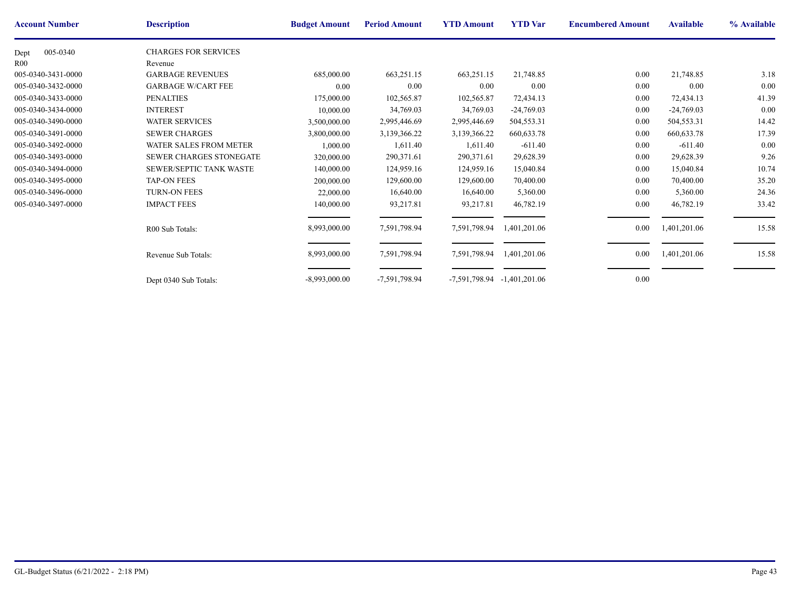| <b>Account Number</b> | <b>Description</b>             | <b>Budget Amount</b> | <b>Period Amount</b> | <b>YTD Amount</b>               | <b>YTD</b> Var | <b>Encumbere</b> |
|-----------------------|--------------------------------|----------------------|----------------------|---------------------------------|----------------|------------------|
| 005-0340<br>Dept      | <b>CHARGES FOR SERVICES</b>    |                      |                      |                                 |                |                  |
| R00                   | Revenue                        |                      |                      |                                 |                |                  |
| 005-0340-3431-0000    | <b>GARBAGE REVENUES</b>        | 685,000.00           | 663,251.15           | 663,251.15                      | 21,748.85      |                  |
| 005-0340-3432-0000    | <b>GARBAGE W/CART FEE</b>      | 0.00                 | $0.00\,$             | 0.00                            | 0.00           |                  |
| 005-0340-3433-0000    | <b>PENALTIES</b>               | 175,000.00           | 102,565.87           | 102,565.87                      | 72,434.13      |                  |
| 005-0340-3434-0000    | <b>INTEREST</b>                | 10,000.00            | 34,769.03            | 34,769.03                       | $-24,769.03$   |                  |
| 005-0340-3490-0000    | <b>WATER SERVICES</b>          | 3,500,000.00         | 2,995,446.69         | 2,995,446.69                    | 504,553.31     |                  |
| 005-0340-3491-0000    | <b>SEWER CHARGES</b>           | 3,800,000.00         | 3,139,366.22         | 3,139,366.22                    | 660, 633. 78   |                  |
| 005-0340-3492-0000    | <b>WATER SALES FROM METER</b>  | 1,000.00             | 1,611.40             | 1,611.40                        | $-611.40$      |                  |
| 005-0340-3493-0000    | <b>SEWER CHARGES STONEGATE</b> | 320,000.00           | 290,371.61           | 290,371.61                      | 29,628.39      |                  |
| 005-0340-3494-0000    | SEWER/SEPTIC TANK WASTE        | 140,000.00           | 124,959.16           | 124,959.16                      | 15,040.84      |                  |
| 005-0340-3495-0000    | <b>TAP-ON FEES</b>             | 200,000.00           | 129,600.00           | 129,600.00                      | 70,400.00      |                  |
| 005-0340-3496-0000    | <b>TURN-ON FEES</b>            | 22,000.00            | 16,640.00            | 16,640.00                       | 5,360.00       |                  |
| 005-0340-3497-0000    | <b>IMPACT FEES</b>             | 140,000.00           | 93,217.81            | 93,217.81                       | 46,782.19      |                  |
|                       | R00 Sub Totals:                | 8,993,000.00         | 7,591,798.94         | 7,591,798.94                    | 1,401,201.06   |                  |
|                       |                                |                      |                      |                                 |                |                  |
|                       | Revenue Sub Totals:            | 8,993,000.00         | 7,591,798.94         | 7,591,798.94                    | 1,401,201.06   |                  |
|                       | Dept 0340 Sub Totals:          | $-8,993,000.00$      | -7,591,798.94        | $-7,591,798.94$ $-1,401,201.06$ |                |                  |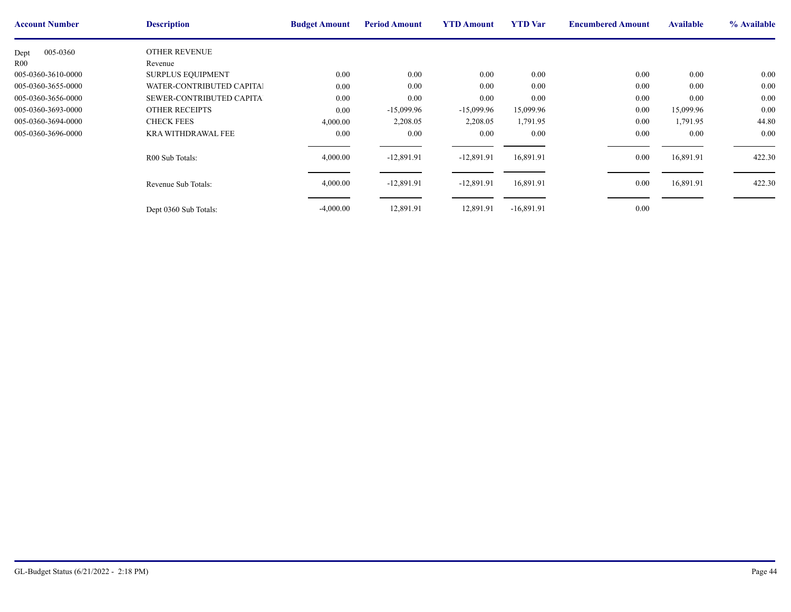| <b>Account Number</b> | <b>Description</b>        | <b>Budget Amount</b> | <b>Period Amount</b> | <b>YTD Amount</b> | <b>YTD</b> Var | <b>Encumbere</b> |
|-----------------------|---------------------------|----------------------|----------------------|-------------------|----------------|------------------|
| 005-0360<br>Dept      | <b>OTHER REVENUE</b>      |                      |                      |                   |                |                  |
| R <sub>00</sub>       | Revenue                   |                      |                      |                   |                |                  |
| 005-0360-3610-0000    | <b>SURPLUS EQUIPMENT</b>  | 0.00                 | 0.00                 | $0.00\,$          | 0.00           |                  |
| 005-0360-3655-0000    | WATER-CONTRIBUTED CAPITAL | $0.00\,$             | 0.00                 | 0.00              | 0.00           |                  |
| 005-0360-3656-0000    | SEWER-CONTRIBUTED CAPITAL | $0.00\,$             | 0.00                 | 0.00              | 0.00           |                  |
| 005-0360-3693-0000    | <b>OTHER RECEIPTS</b>     | $0.00\,$             | $-15,099.96$         | $-15,099.96$      | 15,099.96      |                  |
| 005-0360-3694-0000    | <b>CHECK FEES</b>         | 4,000.00             | 2,208.05             | 2,208.05          | 1,791.95       |                  |
| 005-0360-3696-0000    | <b>KRA WITHDRAWAL FEE</b> | $0.00\,$             | 0.00                 | $0.00\,$          | 0.00           |                  |
|                       | R00 Sub Totals:           | 4,000.00             | $-12,891.91$         | $-12,891.91$      | 16,891.91      |                  |
|                       | Revenue Sub Totals:       | 4,000.00             | $-12,891.91$         | $-12,891.91$      | 16,891.91      |                  |
|                       | Dept 0360 Sub Totals:     | $-4,000.00$          | 12,891.91            | 12,891.91         | $-16,891.91$   |                  |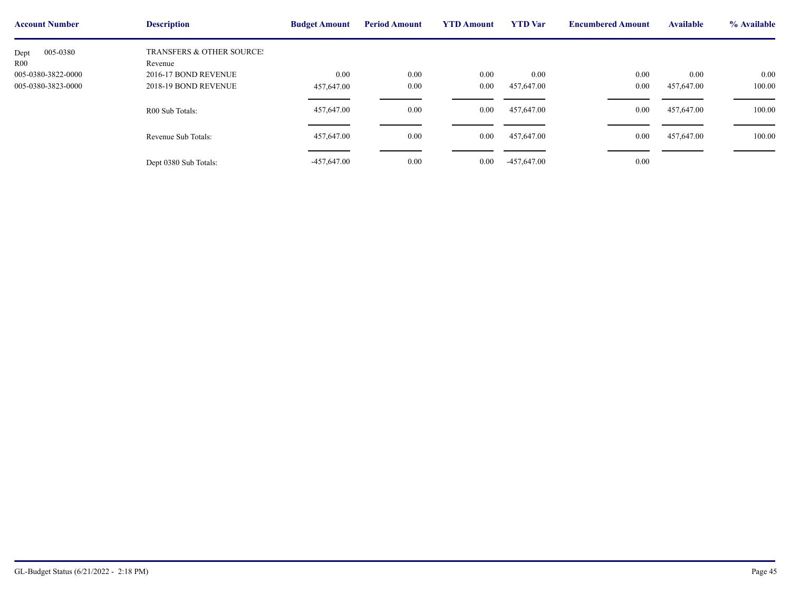| <b>Account Number</b> | <b>Description</b>                   | <b>Budget Amount</b> | <b>Period Amount</b> | <b>YTD Amount</b> | <b>YTD</b> Var | <b>Encumbere</b> |
|-----------------------|--------------------------------------|----------------------|----------------------|-------------------|----------------|------------------|
| 005-0380<br>Dept      | <b>TRANSFERS &amp; OTHER SOURCE:</b> |                      |                      |                   |                |                  |
| R <sub>00</sub>       | Revenue                              |                      |                      |                   |                |                  |
| 005-0380-3822-0000    | 2016-17 BOND REVENUE                 | 0.00                 | 0.00                 | 0.00              | 0.00           |                  |
| 005-0380-3823-0000    | 2018-19 BOND REVENUE                 | 457,647.00           | 0.00                 | $0.00\,$          | 457,647.00     |                  |
|                       | R00 Sub Totals:                      | 457,647.00           | 0.00                 | $0.00\,$          | 457,647.00     |                  |
|                       | Revenue Sub Totals:                  | 457,647.00           | 0.00                 | 0.00              | 457,647.00     |                  |
|                       | Dept 0380 Sub Totals:                | $-457,647.00$        | 0.00                 | $0.00\,$          | $-457,647.00$  |                  |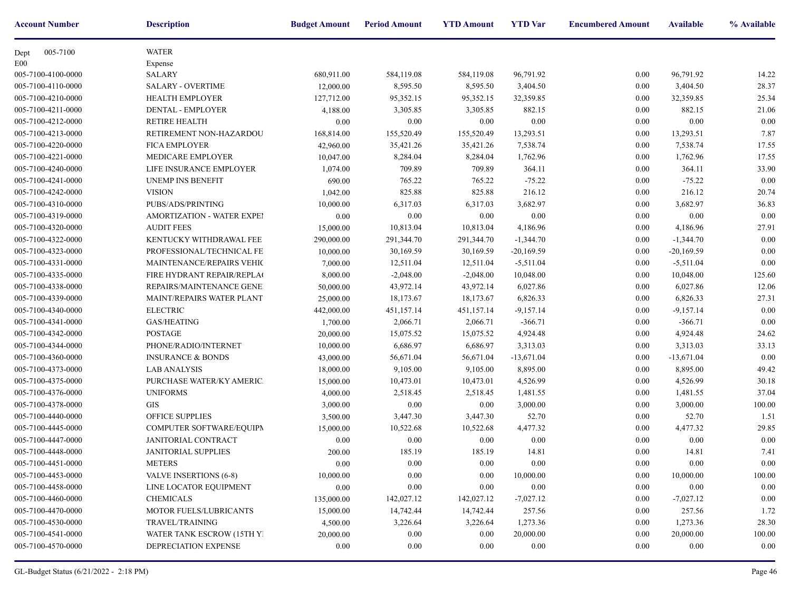| <b>Account Number</b> | <b>Description</b>                | <b>Budget Amount</b> | <b>Period Amount</b> | <b>YTD Amount</b> | <b>YTD</b> Var | <b>Encumbere</b> |
|-----------------------|-----------------------------------|----------------------|----------------------|-------------------|----------------|------------------|
| 005-7100<br>Dept      | <b>WATER</b>                      |                      |                      |                   |                |                  |
| E <sub>00</sub>       | Expense                           |                      |                      |                   |                |                  |
| 005-7100-4100-0000    | <b>SALARY</b>                     | 680,911.00           | 584,119.08           | 584,119.08        | 96,791.92      |                  |
| 005-7100-4110-0000    | <b>SALARY - OVERTIME</b>          | 12,000.00            | 8,595.50             | 8,595.50          | 3,404.50       |                  |
| 005-7100-4210-0000    | <b>HEALTH EMPLOYER</b>            | 127,712.00           | 95,352.15            | 95,352.15         | 32,359.85      |                  |
| 005-7100-4211-0000    | DENTAL - EMPLOYER                 | 4,188.00             | 3,305.85             | 3,305.85          | 882.15         |                  |
| 005-7100-4212-0000    | <b>RETIRE HEALTH</b>              | 0.00                 | 0.00                 | $0.00\,$          | 0.00           |                  |
| 005-7100-4213-0000    | RETIREMENT NON-HAZARDOU           | 168,814.00           | 155,520.49           | 155,520.49        | 13,293.51      |                  |
| 005-7100-4220-0000    | <b>FICA EMPLOYER</b>              | 42,960.00            | 35,421.26            | 35,421.26         | 7,538.74       |                  |
| 005-7100-4221-0000    | MEDICARE EMPLOYER                 | 10,047.00            | 8,284.04             | 8,284.04          | 1,762.96       |                  |
| 005-7100-4240-0000    | LIFE INSURANCE EMPLOYER           | 1,074.00             | 709.89               | 709.89            | 364.11         |                  |
| 005-7100-4241-0000    | UNEMP INS BENEFIT                 | 690.00               | 765.22               | 765.22            | $-75.22$       |                  |
| 005-7100-4242-0000    | <b>VISION</b>                     | 1,042.00             | 825.88               | 825.88            | 216.12         |                  |
| 005-7100-4310-0000    | PUBS/ADS/PRINTING                 | 10,000.00            | 6,317.03             | 6,317.03          | 3,682.97       |                  |
| 005-7100-4319-0000    | <b>AMORTIZATION - WATER EXPEI</b> | 0.00                 | 0.00                 | 0.00              | 0.00           |                  |
| 005-7100-4320-0000    | <b>AUDIT FEES</b>                 | 15,000.00            | 10,813.04            | 10,813.04         | 4,186.96       |                  |
| 005-7100-4322-0000    | KENTUCKY WITHDRAWAL FEE           | 290,000.00           | 291,344.70           | 291,344.70        | $-1,344.70$    |                  |
| 005-7100-4323-0000    | PROFESSIONAL/TECHNICAL FE         | 10,000.00            | 30,169.59            | 30,169.59         | $-20,169.59$   |                  |
| 005-7100-4331-0000    | <b>MAINTENANCE/REPAIRS VEHIC</b>  | 7,000.00             | 12,511.04            | 12,511.04         | $-5,511.04$    |                  |
| 005-7100-4335-0000    | FIRE HYDRANT REPAIR/REPLAC        | 8,000.00             | $-2,048.00$          | $-2,048.00$       | 10,048.00      |                  |
| 005-7100-4338-0000    | REPAIRS/MAINTENANCE GENE!         | 50,000.00            | 43,972.14            | 43,972.14         | 6,027.86       |                  |
| 005-7100-4339-0000    | <b>MAINT/REPAIRS WATER PLANT</b>  | 25,000.00            | 18,173.67            | 18,173.67         | 6,826.33       |                  |
| 005-7100-4340-0000    | <b>ELECTRIC</b>                   | 442,000.00           | 451,157.14           | 451,157.14        | $-9,157.14$    |                  |
| 005-7100-4341-0000    | GAS/HEATING                       | 1,700.00             | 2,066.71             | 2,066.71          | $-366.71$      |                  |
| 005-7100-4342-0000    | <b>POSTAGE</b>                    | 20,000.00            | 15,075.52            | 15,075.52         | 4,924.48       |                  |
| 005-7100-4344-0000    | PHONE/RADIO/INTERNET              | 10,000.00            | 6,686.97             | 6,686.97          | 3,313.03       |                  |
| 005-7100-4360-0000    | <b>INSURANCE &amp; BONDS</b>      | 43,000.00            | 56,671.04            | 56,671.04         | $-13,671.04$   |                  |
| 005-7100-4373-0000    | <b>LAB ANALYSIS</b>               | 18,000.00            | 9,105.00             | 9,105.00          | 8,895.00       |                  |
| 005-7100-4375-0000    | PURCHASE WATER/KY AMERIC.         | 15,000.00            | 10,473.01            | 10,473.01         | 4,526.99       |                  |
| 005-7100-4376-0000    | <b>UNIFORMS</b>                   | 4,000.00             | 2,518.45             | 2,518.45          | 1,481.55       |                  |
| 005-7100-4378-0000    | <b>GIS</b>                        | 3,000.00             | 0.00                 | 0.00              | 3,000.00       |                  |
| 005-7100-4440-0000    | <b>OFFICE SUPPLIES</b>            | 3,500.00             | 3,447.30             | 3,447.30          | 52.70          |                  |
| 005-7100-4445-0000    | COMPUTER SOFTWARE/EQUIPN          | 15,000.00            | 10,522.68            | 10,522.68         | 4,477.32       |                  |
| 005-7100-4447-0000    | JANITORIAL CONTRACT               | 0.00                 | 0.00                 | 0.00              | 0.00           |                  |
| 005-7100-4448-0000    | <b>JANITORIAL SUPPLIES</b>        | 200.00               | 185.19               | 185.19            | 14.81          |                  |
| 005-7100-4451-0000    | <b>METERS</b>                     | $0.00\,$             | $0.00\,$             | $0.00\,$          | 0.00           |                  |
| 005-7100-4453-0000    | VALVE INSERTIONS (6-8)            | 10,000.00            | $0.00\,$             | 0.00              | 10,000.00      |                  |
| 005-7100-4458-0000    | LINE LOCATOR EQUIPMENT            | 0.00                 | 0.00                 | 0.00              | $0.00\,$       |                  |
| 005-7100-4460-0000    | <b>CHEMICALS</b>                  | 135,000.00           | 142,027.12           | 142,027.12        | $-7,027.12$    |                  |
| 005-7100-4470-0000    | MOTOR FUELS/LUBRICANTS            | 15,000.00            | 14,742.44            | 14,742.44         | 257.56         |                  |
| 005-7100-4530-0000    | TRAVEL/TRAINING                   | 4,500.00             | 3,226.64             | 3,226.64          | 1,273.36       |                  |
| 005-7100-4541-0000    | WATER TANK ESCROW (15TH Y)        | 20,000.00            | $0.00\,$             | 0.00              | 20,000.00      |                  |
| 005-7100-4570-0000    | DEPRECIATION EXPENSE              | 0.00                 | $0.00\,$             | 0.00              | 0.00           |                  |
|                       |                                   |                      |                      |                   |                |                  |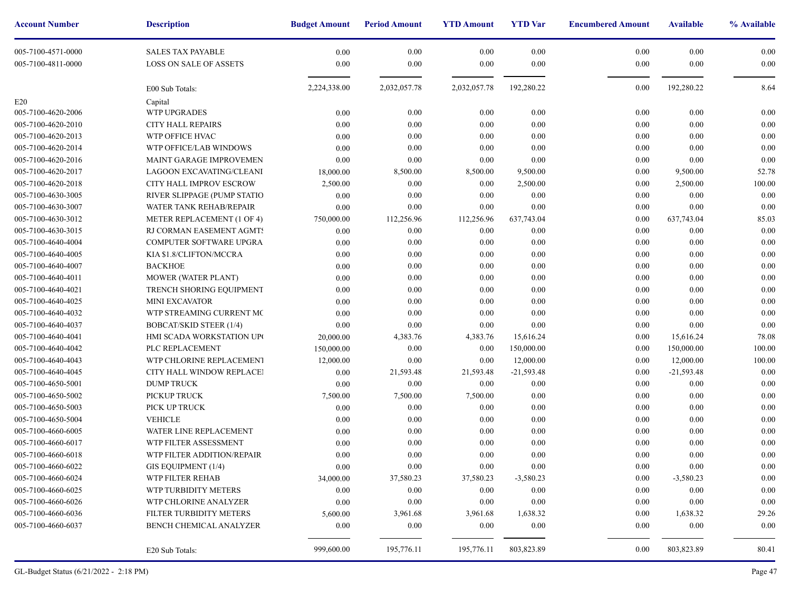| <b>Account Number</b> | <b>Description</b>             | <b>Budget Amount</b> | <b>Period Amount</b> | <b>YTD Amount</b> | <b>YTD</b> Var | <b>Encumbere</b> |
|-----------------------|--------------------------------|----------------------|----------------------|-------------------|----------------|------------------|
| 005-7100-4571-0000    | <b>SALES TAX PAYABLE</b>       | 0.00                 | 0.00                 | 0.00              | 0.00           |                  |
| 005-7100-4811-0000    | LOSS ON SALE OF ASSETS         | 0.00                 | 0.00                 | 0.00              | 0.00           |                  |
|                       | E00 Sub Totals:                | 2,224,338.00         | 2,032,057.78         | 2,032,057.78      | 192,280.22     |                  |
| E20                   | Capital                        |                      |                      |                   |                |                  |
| 005-7100-4620-2006    | <b>WTP UPGRADES</b>            | 0.00                 | 0.00                 | 0.00              | 0.00           |                  |
| 005-7100-4620-2010    | <b>CITY HALL REPAIRS</b>       | 0.00                 | 0.00                 | 0.00              | 0.00           |                  |
| 005-7100-4620-2013    | WTP OFFICE HVAC                | 0.00                 | 0.00                 | 0.00              | 0.00           |                  |
| 005-7100-4620-2014    | WTP OFFICE/LAB WINDOWS         | 0.00                 | 0.00                 | 0.00              | 0.00           |                  |
| 005-7100-4620-2016    | MAINT GARAGE IMPROVEMEN        | 0.00                 | 0.00                 | 0.00              | 0.00           |                  |
| 005-7100-4620-2017    | LAGOON EXCAVATING/CLEANI       | 18,000.00            | 8,500.00             | 8,500.00          | 9,500.00       |                  |
| 005-7100-4620-2018    | CITY HALL IMPROV ESCROW        | 2,500.00             | 0.00                 | 0.00              | 2,500.00       |                  |
| 005-7100-4630-3005    | RIVER SLIPPAGE (PUMP STATIO    | 0.00                 | 0.00                 | 0.00              | 0.00           |                  |
| 005-7100-4630-3007    | WATER TANK REHAB/REPAIR        | 0.00                 | 0.00                 | 0.00              | 0.00           |                  |
| 005-7100-4630-3012    | METER REPLACEMENT (1 OF 4)     | 750,000.00           | 112,256.96           | 112,256.96        | 637,743.04     |                  |
| 005-7100-4630-3015    | RJ CORMAN EASEMENT AGMTS       | 0.00                 | 0.00                 | 0.00              | 0.00           |                  |
| 005-7100-4640-4004    | <b>COMPUTER SOFTWARE UPGRA</b> | 0.00                 | 0.00                 | 0.00              | 0.00           |                  |
| 005-7100-4640-4005    | KIA \$1.8/CLIFTON/MCCRA        | 0.00                 | 0.00                 | 0.00              | 0.00           |                  |
| 005-7100-4640-4007    | <b>BACKHOE</b>                 | 0.00                 | 0.00                 | 0.00              | 0.00           |                  |
| 005-7100-4640-4011    | MOWER (WATER PLANT)            | 0.00                 | 0.00                 | 0.00              | 0.00           |                  |
| 005-7100-4640-4021    | TRENCH SHORING EQUIPMENT       | 0.00                 | 0.00                 | 0.00              | 0.00           |                  |
| 005-7100-4640-4025    | <b>MINI EXCAVATOR</b>          | 0.00                 | 0.00                 | 0.00              | 0.00           |                  |
| 005-7100-4640-4032    | WTP STREAMING CURRENT MC       | 0.00                 | 0.00                 | 0.00              | 0.00           |                  |
| 005-7100-4640-4037    | <b>BOBCAT/SKID STEER (1/4)</b> | 0.00                 | 0.00                 | 0.00              | 0.00           |                  |
| 005-7100-4640-4041    | HMI SCADA WORKSTATION UPO      | 20,000.00            | 4,383.76             | 4,383.76          | 15,616.24      |                  |
| 005-7100-4640-4042    | PLC REPLACEMENT                | 150,000.00           | 0.00                 | 0.00              | 150,000.00     |                  |
| 005-7100-4640-4043    | WTP CHLORINE REPLACEMENT       | 12,000.00            | 0.00                 | 0.00              | 12,000.00      |                  |
| 005-7100-4640-4045    | CITY HALL WINDOW REPLACEI      | 0.00                 | 21,593.48            | 21,593.48         | $-21,593.48$   |                  |
| 005-7100-4650-5001    | <b>DUMP TRUCK</b>              | 0.00                 | 0.00                 | 0.00              | 0.00           |                  |
| 005-7100-4650-5002    | PICKUP TRUCK                   | 7,500.00             | 7,500.00             | 7,500.00          | 0.00           |                  |
| 005-7100-4650-5003    | PICK UP TRUCK                  | 0.00                 | 0.00                 | 0.00              | 0.00           |                  |
| 005-7100-4650-5004    | <b>VEHICLE</b>                 | 0.00                 | 0.00                 | 0.00              | 0.00           |                  |
| 005-7100-4660-6005    | WATER LINE REPLACEMENT         | 0.00                 | 0.00                 | 0.00              | 0.00           |                  |
| 005-7100-4660-6017    | WTP FILTER ASSESSMENT          | 0.00                 | 0.00                 | 0.00              | 0.00           |                  |
| 005-7100-4660-6018    | WTP FILTER ADDITION/REPAIR     | 0.00                 | 0.00                 | 0.00              | 0.00           |                  |
| 005-7100-4660-6022    | GIS EQUIPMENT (1/4)            | $0.00\,$             | 0.00                 | $0.00\,$          | 0.00           |                  |
| 005-7100-4660-6024    | WTP FILTER REHAB               | 34,000.00            | 37,580.23            | 37,580.23         | $-3,580.23$    |                  |
| 005-7100-4660-6025    | WTP TURBIDITY METERS           | 0.00                 | $0.00\,$             | 0.00              | 0.00           |                  |
| 005-7100-4660-6026    | WTP CHLORINE ANALYZER          | 0.00                 | 0.00                 | $0.00\,$          | 0.00           |                  |
| 005-7100-4660-6036    | FILTER TURBIDITY METERS        | 5,600.00             | 3,961.68             | 3,961.68          | 1,638.32       |                  |
| 005-7100-4660-6037    | <b>BENCH CHEMICAL ANALYZER</b> | 0.00                 | $0.00\,$             | 0.00              | 0.00           |                  |
|                       | E20 Sub Totals:                | 999,600.00           | 195,776.11           | 195,776.11        | 803,823.89     |                  |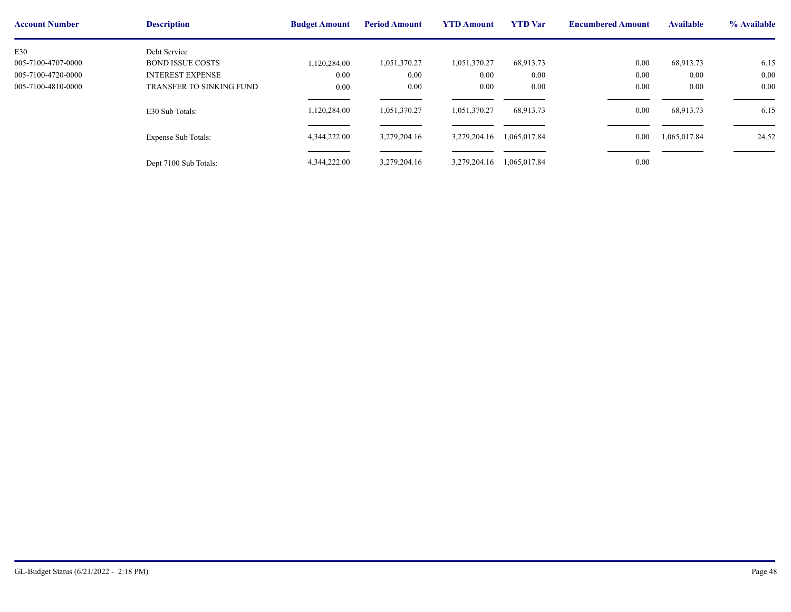| <b>Account Number</b> | <b>Description</b>         | <b>Budget Amount</b> | <b>Period Amount</b> | <b>YTD Amount</b> | <b>YTD</b> Var | <b>Encumbere</b> |
|-----------------------|----------------------------|----------------------|----------------------|-------------------|----------------|------------------|
| E30                   | Debt Service               |                      |                      |                   |                |                  |
| 005-7100-4707-0000    | <b>BOND ISSUE COSTS</b>    | 1,120,284.00         | 1,051,370.27         | 1,051,370.27      | 68,913.73      |                  |
| 005-7100-4720-0000    | <b>INTEREST EXPENSE</b>    | 0.00                 | 0.00                 | 0.00              | 0.00           |                  |
| 005-7100-4810-0000    | TRANSFER TO SINKING FUND   | 0.00                 | 0.00                 | 0.00              | 0.00           |                  |
|                       |                            |                      |                      |                   |                |                  |
|                       | E30 Sub Totals:            | 1,120,284.00         | 1,051,370.27         | 1,051,370.27      | 68,913.73      |                  |
|                       |                            |                      |                      |                   |                |                  |
|                       | <b>Expense Sub Totals:</b> | 4,344,222.00         | 3,279,204.16         | 3,279,204.16      | 1,065,017.84   |                  |
|                       |                            |                      |                      |                   |                |                  |
|                       | Dept 7100 Sub Totals:      | 4,344,222.00         | 3,279,204.16         | 3,279,204.16      | 1,065,017.84   |                  |
|                       |                            |                      |                      |                   |                |                  |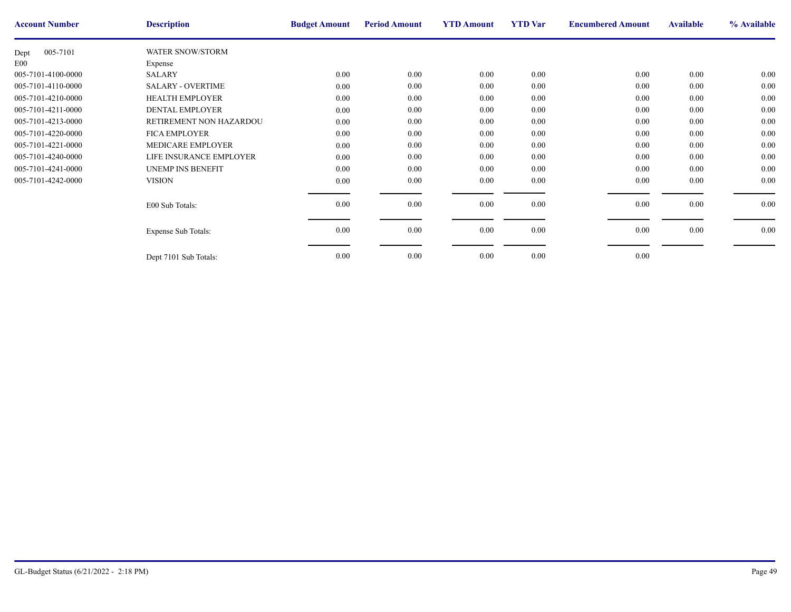| <b>Account Number</b> | <b>Description</b>         | <b>Budget Amount</b> | <b>Period Amount</b> | <b>YTD Amount</b> | <b>YTD</b> Var | <b>Encumbere</b> |
|-----------------------|----------------------------|----------------------|----------------------|-------------------|----------------|------------------|
| 005-7101<br>Dept      | <b>WATER SNOW/STORM</b>    |                      |                      |                   |                |                  |
| E <sub>00</sub>       | Expense                    |                      |                      |                   |                |                  |
| 005-7101-4100-0000    | <b>SALARY</b>              | 0.00                 | $0.00\,$             | $0.00\,$          | 0.00           |                  |
| 005-7101-4110-0000    | <b>SALARY - OVERTIME</b>   | 0.00                 | $0.00\,$             | 0.00              | 0.00           |                  |
| 005-7101-4210-0000    | <b>HEALTH EMPLOYER</b>     | 0.00                 | $0.00\,$             | 0.00              | 0.00           |                  |
| 005-7101-4211-0000    | <b>DENTAL EMPLOYER</b>     | 0.00                 | $0.00\,$             | 0.00              | 0.00           |                  |
| 005-7101-4213-0000    | RETIREMENT NON HAZARDOU    | $0.00\,$             | $0.00\,$             | $0.00\,$          | 0.00           |                  |
| 005-7101-4220-0000    | <b>FICA EMPLOYER</b>       | 0.00                 | 0.00                 | 0.00              | 0.00           |                  |
| 005-7101-4221-0000    | MEDICARE EMPLOYER          | 0.00                 | $0.00\,$             | 0.00              | 0.00           |                  |
| 005-7101-4240-0000    | LIFE INSURANCE EMPLOYER    | 0.00                 | 0.00                 | 0.00              | 0.00           |                  |
| 005-7101-4241-0000    | <b>UNEMP INS BENEFIT</b>   | 0.00                 | 0.00                 | 0.00              | 0.00           |                  |
| 005-7101-4242-0000    | <b>VISION</b>              | $0.00\,$             | $0.00\,$             | $0.00\,$          | 0.00           |                  |
|                       |                            |                      |                      |                   |                |                  |
|                       | E00 Sub Totals:            | 0.00                 | $0.00\,$             | $0.00\,$          | 0.00           |                  |
|                       |                            |                      |                      |                   |                |                  |
|                       | <b>Expense Sub Totals:</b> | 0.00                 | $0.00\,$             | $0.00\,$          | 0.00           |                  |
|                       |                            |                      |                      |                   |                |                  |
|                       | Dept 7101 Sub Totals:      | 0.00                 | $0.00\,$             | 0.00              | 0.00           |                  |
|                       |                            |                      |                      |                   |                |                  |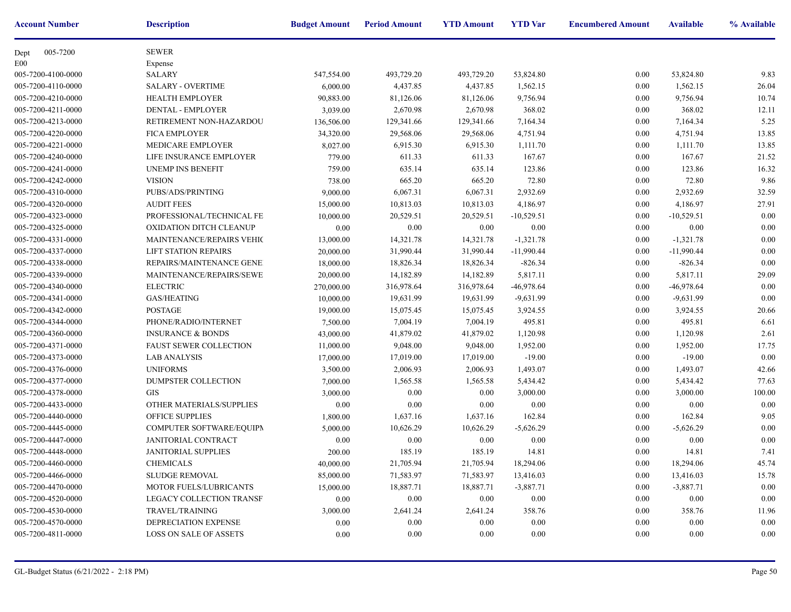| <b>Account Number</b> | <b>Description</b>               | <b>Budget Amount</b> | <b>Period Amount</b> | <b>YTD Amount</b> | <b>YTD</b> Var | <b>Encumbere</b> |
|-----------------------|----------------------------------|----------------------|----------------------|-------------------|----------------|------------------|
| 005-7200<br>Dept      | <b>SEWER</b>                     |                      |                      |                   |                |                  |
| E00                   | Expense                          |                      |                      |                   |                |                  |
| 005-7200-4100-0000    | <b>SALARY</b>                    | 547,554.00           | 493,729.20           | 493,729.20        | 53,824.80      |                  |
| 005-7200-4110-0000    | <b>SALARY - OVERTIME</b>         | 6,000.00             | 4,437.85             | 4,437.85          | 1,562.15       |                  |
| 005-7200-4210-0000    | <b>HEALTH EMPLOYER</b>           | 90,883.00            | 81,126.06            | 81,126.06         | 9,756.94       |                  |
| 005-7200-4211-0000    | DENTAL - EMPLOYER                | 3,039.00             | 2,670.98             | 2,670.98          | 368.02         |                  |
| 005-7200-4213-0000    | RETIREMENT NON-HAZARDOU          | 136,506.00           | 129,341.66           | 129,341.66        | 7,164.34       |                  |
| 005-7200-4220-0000    | <b>FICA EMPLOYER</b>             | 34,320.00            | 29,568.06            | 29,568.06         | 4,751.94       |                  |
| 005-7200-4221-0000    | MEDICARE EMPLOYER                | 8,027.00             | 6,915.30             | 6,915.30          | 1,111.70       |                  |
| 005-7200-4240-0000    | LIFE INSURANCE EMPLOYER          | 779.00               | 611.33               | 611.33            | 167.67         |                  |
| 005-7200-4241-0000    | UNEMP INS BENEFIT                | 759.00               | 635.14               | 635.14            | 123.86         |                  |
| 005-7200-4242-0000    | <b>VISION</b>                    | 738.00               | 665.20               | 665.20            | 72.80          |                  |
| 005-7200-4310-0000    | PUBS/ADS/PRINTING                | 9,000.00             | 6,067.31             | 6,067.31          | 2,932.69       |                  |
| 005-7200-4320-0000    | <b>AUDIT FEES</b>                | 15,000.00            | 10,813.03            | 10,813.03         | 4,186.97       |                  |
| 005-7200-4323-0000    | PROFESSIONAL/TECHNICAL FE        | 10,000.00            | 20,529.51            | 20,529.51         | $-10,529.51$   |                  |
| 005-7200-4325-0000    | <b>OXIDATION DITCH CLEANUP</b>   | 0.00                 | 0.00                 | 0.00              | 0.00           |                  |
| 005-7200-4331-0000    | <b>MAINTENANCE/REPAIRS VEHIC</b> | 13,000.00            | 14,321.78            | 14,321.78         | $-1,321.78$    |                  |
| 005-7200-4337-0000    | <b>LIFT STATION REPAIRS</b>      | 20,000.00            | 31,990.44            | 31,990.44         | $-11,990.44$   |                  |
| 005-7200-4338-0000    | REPAIRS/MAINTENANCE GENE!        | 18,000.00            | 18,826.34            | 18,826.34         | $-826.34$      |                  |
| 005-7200-4339-0000    | MAINTENANCE/REPAIRS/SEWE         | 20,000.00            | 14,182.89            | 14,182.89         | 5,817.11       |                  |
| 005-7200-4340-0000    | <b>ELECTRIC</b>                  | 270,000.00           | 316,978.64           | 316,978.64        | $-46,978.64$   |                  |
| 005-7200-4341-0000    | <b>GAS/HEATING</b>               | 10,000.00            | 19,631.99            | 19,631.99         | $-9,631.99$    |                  |
| 005-7200-4342-0000    | <b>POSTAGE</b>                   | 19,000.00            | 15,075.45            | 15,075.45         | 3,924.55       |                  |
| 005-7200-4344-0000    | PHONE/RADIO/INTERNET             | 7,500.00             | 7,004.19             | 7,004.19          | 495.81         |                  |
| 005-7200-4360-0000    | <b>INSURANCE &amp; BONDS</b>     | 43,000.00            | 41,879.02            | 41,879.02         | 1,120.98       |                  |
| 005-7200-4371-0000    | <b>FAUST SEWER COLLECTION</b>    | 11,000.00            | 9,048.00             | 9,048.00          | 1,952.00       |                  |
| 005-7200-4373-0000    | <b>LAB ANALYSIS</b>              | 17,000.00            | 17,019.00            | 17,019.00         | $-19.00$       |                  |
| 005-7200-4376-0000    | <b>UNIFORMS</b>                  | 3,500.00             | 2,006.93             | 2,006.93          | 1,493.07       |                  |
| 005-7200-4377-0000    | DUMPSTER COLLECTION              | 7,000.00             | 1,565.58             | 1,565.58          | 5,434.42       |                  |
| 005-7200-4378-0000    | <b>GIS</b>                       | 3,000.00             | 0.00                 | 0.00              | 3,000.00       |                  |
| 005-7200-4433-0000    | OTHER MATERIALS/SUPPLIES         | 0.00                 | 0.00                 | 0.00              | 0.00           |                  |
| 005-7200-4440-0000    | OFFICE SUPPLIES                  | 1,800.00             | 1,637.16             | 1,637.16          | 162.84         |                  |
| 005-7200-4445-0000    | COMPUTER SOFTWARE/EQUIPN         | 5,000.00             | 10,626.29            | 10,626.29         | $-5,626.29$    |                  |
| 005-7200-4447-0000    | JANITORIAL CONTRACT              | 0.00                 | 0.00                 | 0.00              | 0.00           |                  |
| 005-7200-4448-0000    | JANITORIAL SUPPLIES              | 200.00               | 185.19               | 185.19            | 14.81          |                  |
| 005-7200-4460-0000    | CHEMICALS                        | 40,000.00            | 21,705.94            | 21,705.94         | 18,294.06      |                  |
| 005-7200-4466-0000    | <b>SLUDGE REMOVAL</b>            | 85,000.00            | 71,583.97            | 71,583.97         | 13,416.03      |                  |
| 005-7200-4470-0000    | <b>MOTOR FUELS/LUBRICANTS</b>    | 15,000.00            | 18,887.71            | 18,887.71         | $-3,887.71$    |                  |
| 005-7200-4520-0000    | <b>LEGACY COLLECTION TRANSF</b>  | 0.00                 | $0.00\,$             | $0.00\,$          | $0.00\,$       |                  |
| 005-7200-4530-0000    | <b>TRAVEL/TRAINING</b>           | 3,000.00             | 2,641.24             | 2,641.24          | 358.76         |                  |
| 005-7200-4570-0000    | DEPRECIATION EXPENSE             | $0.00\,$             | $0.00\,$             | $0.00\,$          | $0.00\,$       |                  |
| 005-7200-4811-0000    | LOSS ON SALE OF ASSETS           | $0.00\,$             | $0.00\,$             | 0.00              | 0.00           |                  |
|                       |                                  |                      |                      |                   |                |                  |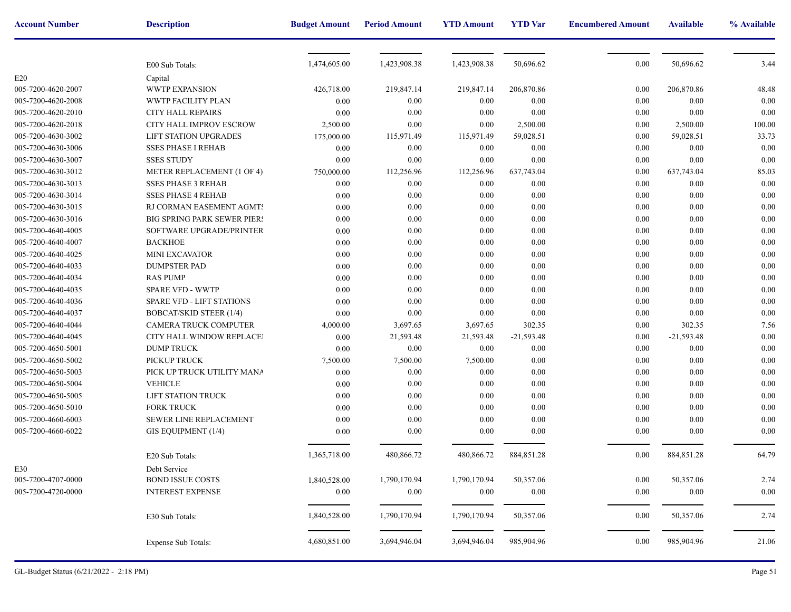| <b>Account Number</b> | <b>Description</b>                 | <b>Budget Amount</b> | <b>Period Amount</b> | <b>YTD Amount</b> | <b>YTD</b> Var | <b>Encumbere</b> |
|-----------------------|------------------------------------|----------------------|----------------------|-------------------|----------------|------------------|
|                       |                                    |                      |                      |                   |                |                  |
|                       | E00 Sub Totals:                    | 1,474,605.00         | 1,423,908.38         | 1,423,908.38      | 50,696.62      |                  |
| E20                   | Capital                            |                      |                      |                   |                |                  |
| 005-7200-4620-2007    | <b>WWTP EXPANSION</b>              | 426,718.00           | 219,847.14           | 219,847.14        | 206,870.86     |                  |
| 005-7200-4620-2008    | WWTP FACILITY PLAN                 | 0.00                 | 0.00                 | 0.00              | 0.00           |                  |
| 005-7200-4620-2010    | CITY HALL REPAIRS                  | 0.00                 | 0.00                 | 0.00              | 0.00           |                  |
| 005-7200-4620-2018    | CITY HALL IMPROV ESCROW            | 2,500.00             | 0.00                 | 0.00              | 2,500.00       |                  |
| 005-7200-4630-3002    | LIFT STATION UPGRADES              | 175,000.00           | 115,971.49           | 115,971.49        | 59,028.51      |                  |
| 005-7200-4630-3006    | <b>SSES PHASE I REHAB</b>          | 0.00                 | 0.00                 | 0.00              | 0.00           |                  |
| 005-7200-4630-3007    | <b>SSES STUDY</b>                  | 0.00                 | 0.00                 | 0.00              | $0.00\,$       |                  |
| 005-7200-4630-3012    | METER REPLACEMENT (1 OF 4)         | 750,000.00           | 112,256.96           | 112,256.96        | 637,743.04     |                  |
| 005-7200-4630-3013    | <b>SSES PHASE 3 REHAB</b>          | 0.00                 | 0.00                 | 0.00              | 0.00           |                  |
| 005-7200-4630-3014    | <b>SSES PHASE 4 REHAB</b>          | 0.00                 | 0.00                 | 0.00              | 0.00           |                  |
| 005-7200-4630-3015    | RJ CORMAN EASEMENT AGMTS           | 0.00                 | 0.00                 | 0.00              | 0.00           |                  |
| 005-7200-4630-3016    | <b>BIG SPRING PARK SEWER PIERS</b> | 0.00                 | 0.00                 | 0.00              | 0.00           |                  |
| 005-7200-4640-4005    | SOFTWARE UPGRADE/PRINTER           | 0.00                 | 0.00                 | 0.00              | 0.00           |                  |
| 005-7200-4640-4007    | <b>BACKHOE</b>                     | 0.00                 | 0.00                 | 0.00              | 0.00           |                  |
| 005-7200-4640-4025    | <b>MINI EXCAVATOR</b>              | 0.00                 | 0.00                 | 0.00              | 0.00           |                  |
| 005-7200-4640-4033    | <b>DUMPSTER PAD</b>                | 0.00                 | 0.00                 | 0.00              | 0.00           |                  |
| 005-7200-4640-4034    | <b>RAS PUMP</b>                    | 0.00                 | 0.00                 | 0.00              | 0.00           |                  |
| 005-7200-4640-4035    | <b>SPARE VFD - WWTP</b>            | 0.00                 | 0.00                 | 0.00              | 0.00           |                  |
| 005-7200-4640-4036    | <b>SPARE VFD - LIFT STATIONS</b>   | 0.00                 | 0.00                 | 0.00              | 0.00           |                  |
| 005-7200-4640-4037    | <b>BOBCAT/SKID STEER (1/4)</b>     | 0.00                 | 0.00                 | 0.00              | 0.00           |                  |
| 005-7200-4640-4044    | CAMERA TRUCK COMPUTER              | 4,000.00             | 3,697.65             | 3,697.65          | 302.35         |                  |
| 005-7200-4640-4045    | CITY HALL WINDOW REPLACE!          | 0.00                 | 21,593.48            | 21,593.48         | $-21,593.48$   |                  |
| 005-7200-4650-5001    | <b>DUMP TRUCK</b>                  | 0.00                 | 0.00                 | 0.00              | 0.00           |                  |
| 005-7200-4650-5002    | PICKUP TRUCK                       | 7,500.00             | 7,500.00             | 7,500.00          | 0.00           |                  |
| 005-7200-4650-5003    | PICK UP TRUCK UTILITY MANA         | 0.00                 | 0.00                 | 0.00              | $0.00\,$       |                  |
| 005-7200-4650-5004    | <b>VEHICLE</b>                     | 0.00                 | 0.00                 | 0.00              | 0.00           |                  |
| 005-7200-4650-5005    | LIFT STATION TRUCK                 | 0.00                 | 0.00                 | 0.00              | 0.00           |                  |
| 005-7200-4650-5010    | <b>FORK TRUCK</b>                  | 0.00                 | 0.00                 | 0.00              | 0.00           |                  |
| 005-7200-4660-6003    | <b>SEWER LINE REPLACEMENT</b>      | 0.00                 | 0.00                 | $0.00\,$          | 0.00           |                  |
| 005-7200-4660-6022    | GIS EQUIPMENT (1/4)                | 0.00                 | 0.00                 | 0.00              | 0.00           |                  |
|                       |                                    |                      |                      |                   |                |                  |
|                       | E20 Sub Totals:                    | 1,365,718.00         | 480,866.72           | 480,866.72        | 884,851.28     |                  |
| E30                   | Debt Service                       |                      |                      |                   |                |                  |
| 005-7200-4707-0000    | <b>BOND ISSUE COSTS</b>            | 1,840,528.00         | 1,790,170.94         | 1,790,170.94      | 50,357.06      |                  |
| 005-7200-4720-0000    | <b>INTEREST EXPENSE</b>            | 0.00                 | 0.00                 | 0.00              | 0.00           |                  |
|                       | E30 Sub Totals:                    | 1,840,528.00         | 1,790,170.94         | 1,790,170.94      | 50,357.06      |                  |
|                       | <b>Expense Sub Totals:</b>         | 4,680,851.00         | 3,694,946.04         | 3,694,946.04      | 985,904.96     |                  |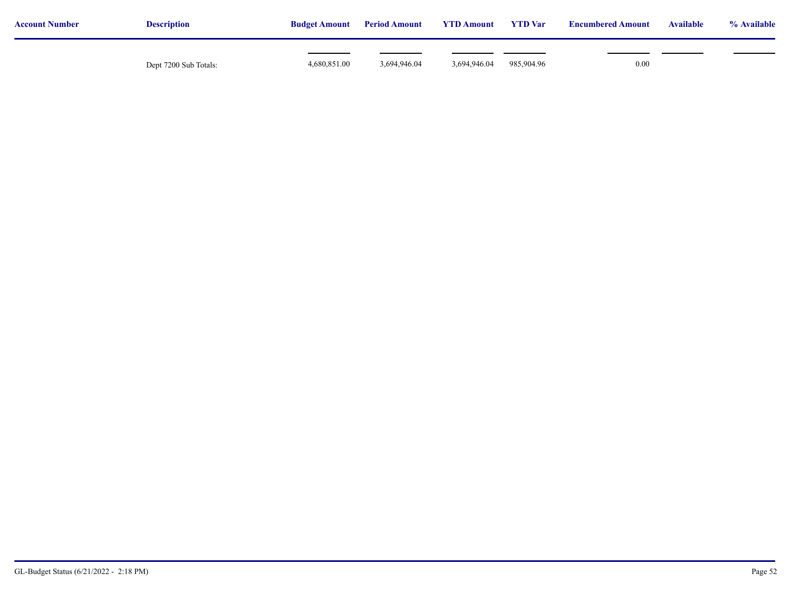| <b>Account Number</b> | <b>Description</b>    | <b>Budget Amount</b> | <b>Period Amount</b> | <b>YTD Amount</b> | <b>YTD</b> Var | <b>Encumbered Amount</b> | <b>Available</b> | % Available |
|-----------------------|-----------------------|----------------------|----------------------|-------------------|----------------|--------------------------|------------------|-------------|
|                       | Dept 7200 Sub Totals: | 4,680,851.00         | 3,694,946.04         | 3,694,946.04      | 985,904.96     | 0.00                     |                  |             |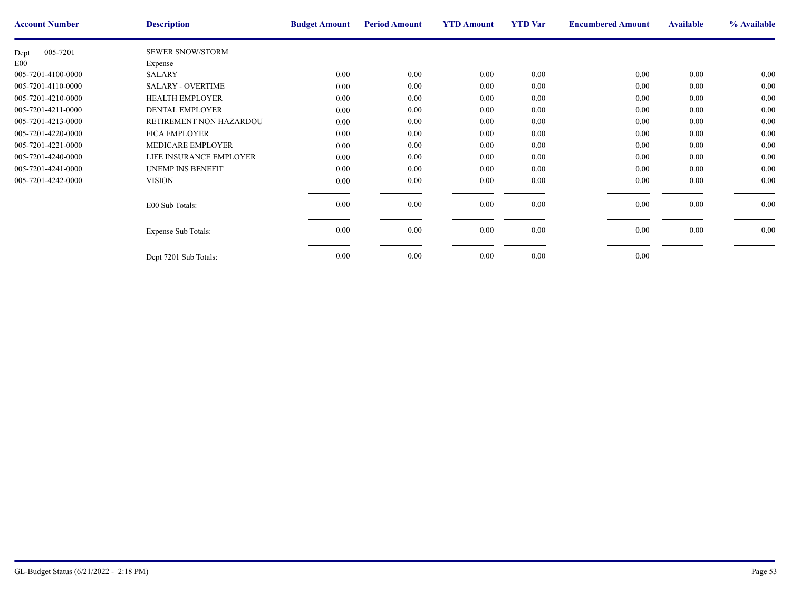| <b>SEWER SNOW/STORM</b><br>005-7201<br>Dept<br>E00<br>Expense<br>0.00<br>$0.00\,$<br>$0.00\,$<br>005-7201-4100-0000<br><b>SALARY</b><br>$0.00\,$<br>0.00<br>005-7201-4110-0000<br><b>SALARY - OVERTIME</b><br>0.00<br>0.00<br>0.00<br>$0.00\,$<br>0.00<br>0.00<br>005-7201-4210-0000<br><b>HEALTH EMPLOYER</b><br>0.00<br>DENTAL EMPLOYER<br>0.00<br>005-7201-4211-0000<br>0.00<br>0.00<br>0.00<br>$0.00\,$<br>$0.00\,$<br>0.00<br>005-7201-4213-0000<br>RETIREMENT NON HAZARDOU<br>0.00<br>005-7201-4220-0000<br><b>FICA EMPLOYER</b><br>0.00<br>0.00<br>0.00<br>0.00<br>0.00<br>005-7201-4221-0000<br>$0.00\,$<br>0.00<br>MEDICARE EMPLOYER<br>0.00<br>0.00<br>0.00<br>005-7201-4240-0000<br>LIFE INSURANCE EMPLOYER<br>0.00<br>0.00<br>0.00<br>005-7201-4241-0000<br>0.00<br>0.00<br><b>UNEMP INS BENEFIT</b><br>0.00<br>$0.00\,$<br>$0.00\,$<br>0.00<br>005-7201-4242-0000<br><b>VISION</b><br>$0.00\,$<br>0.00<br>$0.00\,$<br>0.00<br>0.00<br>E00 Sub Totals:<br>$0.00\,$<br>$0.00\,$<br>0.00<br>0.00<br><b>Expense Sub Totals:</b> | <b>Account Number</b> | <b>Description</b> | <b>Budget Amount</b> | <b>Period Amount</b> | <b>YTD Amount</b> | <b>YTD</b> Var | <b>Encumbere</b> |
|------------------------------------------------------------------------------------------------------------------------------------------------------------------------------------------------------------------------------------------------------------------------------------------------------------------------------------------------------------------------------------------------------------------------------------------------------------------------------------------------------------------------------------------------------------------------------------------------------------------------------------------------------------------------------------------------------------------------------------------------------------------------------------------------------------------------------------------------------------------------------------------------------------------------------------------------------------------------------------------------------------------------------------------|-----------------------|--------------------|----------------------|----------------------|-------------------|----------------|------------------|
|                                                                                                                                                                                                                                                                                                                                                                                                                                                                                                                                                                                                                                                                                                                                                                                                                                                                                                                                                                                                                                          |                       |                    |                      |                      |                   |                |                  |
|                                                                                                                                                                                                                                                                                                                                                                                                                                                                                                                                                                                                                                                                                                                                                                                                                                                                                                                                                                                                                                          |                       |                    |                      |                      |                   |                |                  |
|                                                                                                                                                                                                                                                                                                                                                                                                                                                                                                                                                                                                                                                                                                                                                                                                                                                                                                                                                                                                                                          |                       |                    |                      |                      |                   |                |                  |
|                                                                                                                                                                                                                                                                                                                                                                                                                                                                                                                                                                                                                                                                                                                                                                                                                                                                                                                                                                                                                                          |                       |                    |                      |                      |                   |                |                  |
|                                                                                                                                                                                                                                                                                                                                                                                                                                                                                                                                                                                                                                                                                                                                                                                                                                                                                                                                                                                                                                          |                       |                    |                      |                      |                   |                |                  |
|                                                                                                                                                                                                                                                                                                                                                                                                                                                                                                                                                                                                                                                                                                                                                                                                                                                                                                                                                                                                                                          |                       |                    |                      |                      |                   |                |                  |
|                                                                                                                                                                                                                                                                                                                                                                                                                                                                                                                                                                                                                                                                                                                                                                                                                                                                                                                                                                                                                                          |                       |                    |                      |                      |                   |                |                  |
|                                                                                                                                                                                                                                                                                                                                                                                                                                                                                                                                                                                                                                                                                                                                                                                                                                                                                                                                                                                                                                          |                       |                    |                      |                      |                   |                |                  |
|                                                                                                                                                                                                                                                                                                                                                                                                                                                                                                                                                                                                                                                                                                                                                                                                                                                                                                                                                                                                                                          |                       |                    |                      |                      |                   |                |                  |
|                                                                                                                                                                                                                                                                                                                                                                                                                                                                                                                                                                                                                                                                                                                                                                                                                                                                                                                                                                                                                                          |                       |                    |                      |                      |                   |                |                  |
|                                                                                                                                                                                                                                                                                                                                                                                                                                                                                                                                                                                                                                                                                                                                                                                                                                                                                                                                                                                                                                          |                       |                    |                      |                      |                   |                |                  |
|                                                                                                                                                                                                                                                                                                                                                                                                                                                                                                                                                                                                                                                                                                                                                                                                                                                                                                                                                                                                                                          |                       |                    |                      |                      |                   |                |                  |
|                                                                                                                                                                                                                                                                                                                                                                                                                                                                                                                                                                                                                                                                                                                                                                                                                                                                                                                                                                                                                                          |                       |                    |                      |                      |                   |                |                  |
|                                                                                                                                                                                                                                                                                                                                                                                                                                                                                                                                                                                                                                                                                                                                                                                                                                                                                                                                                                                                                                          |                       |                    |                      |                      |                   |                |                  |
|                                                                                                                                                                                                                                                                                                                                                                                                                                                                                                                                                                                                                                                                                                                                                                                                                                                                                                                                                                                                                                          |                       |                    |                      |                      |                   |                |                  |
|                                                                                                                                                                                                                                                                                                                                                                                                                                                                                                                                                                                                                                                                                                                                                                                                                                                                                                                                                                                                                                          |                       |                    |                      |                      |                   |                |                  |
|                                                                                                                                                                                                                                                                                                                                                                                                                                                                                                                                                                                                                                                                                                                                                                                                                                                                                                                                                                                                                                          |                       |                    |                      |                      |                   |                |                  |
| 0.00<br>0.00<br>0.00<br>0.00<br>Dept 7201 Sub Totals:                                                                                                                                                                                                                                                                                                                                                                                                                                                                                                                                                                                                                                                                                                                                                                                                                                                                                                                                                                                    |                       |                    |                      |                      |                   |                |                  |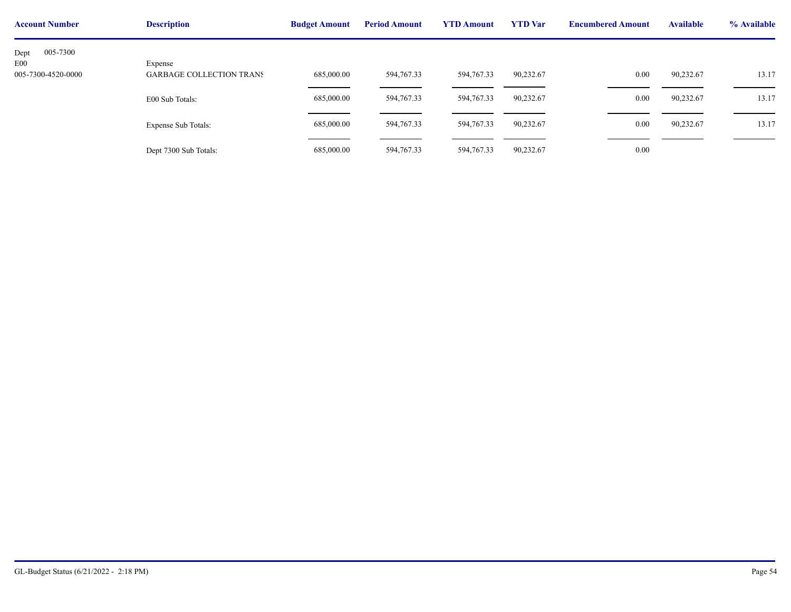| <b>Account Number</b>               | <b>Description</b>              | <b>Budget Amount</b> | <b>Period Amount</b> | <b>YTD Amount</b> | <b>YTD</b> Var | <b>Encumbere</b> |
|-------------------------------------|---------------------------------|----------------------|----------------------|-------------------|----------------|------------------|
| 005-7300<br>Dept<br>E <sub>00</sub> | Expense                         |                      |                      |                   |                |                  |
| 005-7300-4520-0000                  | <b>GARBAGE COLLECTION TRANS</b> | 685,000.00           | 594,767.33           | 594,767.33        | 90,232.67      |                  |
|                                     | E00 Sub Totals:                 | 685,000.00           | 594,767.33           | 594,767.33        | 90,232.67      |                  |
|                                     | <b>Expense Sub Totals:</b>      | 685,000.00           | 594,767.33           | 594,767.33        | 90,232.67      |                  |
|                                     | Dept 7300 Sub Totals:           | 685,000.00           | 594,767.33           | 594,767.33        | 90,232.67      |                  |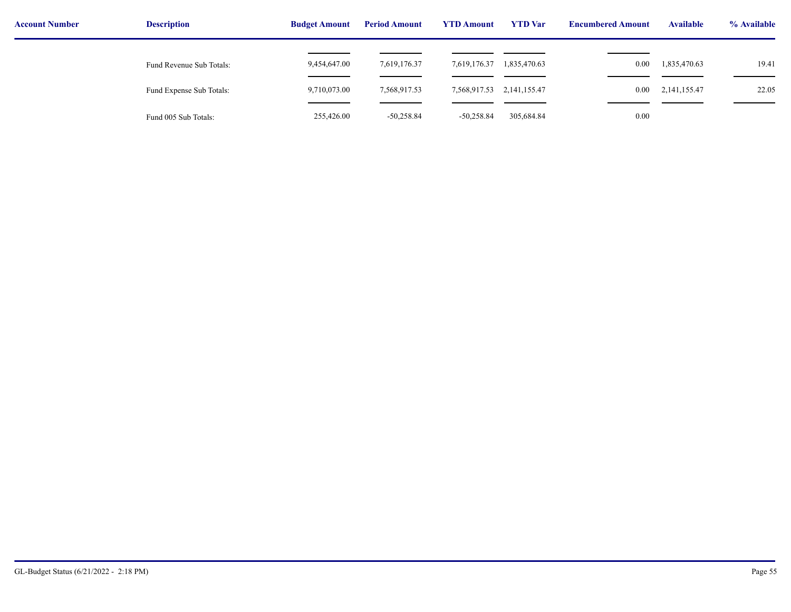| <b>Account Number</b> | <b>Description</b>       | <b>Budget Amount</b> | <b>Period Amount</b> | <b>YTD Amount</b> | <b>YTD</b> Var  | <b>Encumbered Amount</b> | <b>Available</b> | % Available |
|-----------------------|--------------------------|----------------------|----------------------|-------------------|-----------------|--------------------------|------------------|-------------|
|                       | Fund Revenue Sub Totals: | 9,454,647.00         | 7,619,176.37         | 7,619,176.37      | 1,835,470.63    | 0.00                     | 1,835,470.63     | 19.41       |
|                       | Fund Expense Sub Totals: | 9,710,073.00         | 7,568,917.53         | 7,568,917.53      | 2, 141, 155. 47 | $0.00\,$                 | 2, 141, 155. 47  | 22.05       |
|                       | Fund 005 Sub Totals:     | 255,426.00           | $-50,258.84$         | $-50,258.84$      | 305,684.84      | 0.00                     |                  |             |